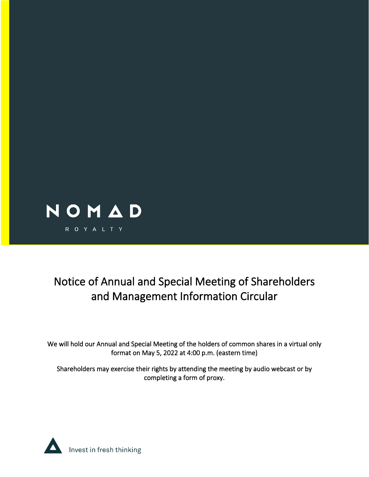

# Notice of Annual and Special Meeting of Shareholders and Management Information Circular

We will hold our Annual and Special Meeting of the holders of common shares in a virtual only format on May 5, 2022 at 4:00 p.m. (eastern time)

Shareholders may exercise their rights by attending the meeting by audio webcast or by completing a form of proxy.

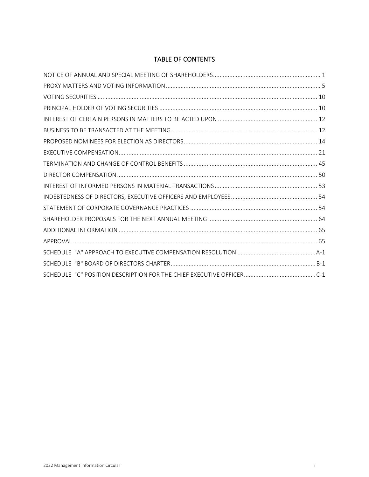# TABLE OF CONTENTS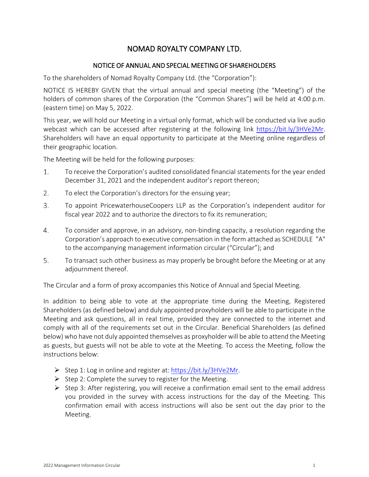# NOMAD ROYALTY COMPANY LTD.

# NOTICE OF ANNUAL AND SPECIAL MEETING OF SHAREHOLDERS

<span id="page-2-0"></span>To the shareholders of Nomad Royalty Company Ltd. (the "Corporation"):

NOTICE IS HEREBY GIVEN that the virtual annual and special meeting (the "Meeting") of the holders of common shares of the Corporation (the "Common Shares") will be held at 4:00 p.m. (eastern time) on May 5, 2022.

This year, we will hold our Meeting in a virtual only format, which will be conducted via live audio webcast which can be accessed after registering at the following link https://bit.ly/3HVe2Mr. Shareholders will have an equal opportunity to participate at the Meeting online regardless of their geographic location.

The Meeting will be held for the following purposes:

- $1.$ To receive the Corporation's audited consolidated financial statements for the year ended December 31, 2021 and the independent auditor's report thereon;
- $2.$ To elect the Corporation's directors for the ensuing year;
- 3. To appoint PricewaterhouseCoopers LLP as the Corporation's independent auditor for fiscal year 2022 and to authorize the directors to fix its remuneration;
- 4. To consider and approve, in an advisory, non-binding capacity, a resolution regarding the Corporation's approach to executive compensation in the form attached as [SCHEDULE "A"](#page-67-1) to the accompanying management information circular ("Circular"); and
- 5. To transact such other business as may properly be brought before the Meeting or at any adjournment thereof.

The Circular and a form of proxy accompanies this Notice of Annual and Special Meeting.

In addition to being able to vote at the appropriate time during the Meeting, Registered Shareholders (as defined below) and duly appointed proxyholders will be able to participate in the Meeting and ask questions, all in real time, provided they are connected to the internet and comply with all of the requirements set out in the Circular. Beneficial Shareholders (as defined below) who have not duly appointed themselves as proxyholder will be able to attend the Meeting as guests, but guests will not be able to vote at the Meeting. To access the Meeting, follow the instructions below:

- Step 1: Log in online and register at: https://bit.ly/3HVe2Mr.
- Step 2: Complete the survey to register for the Meeting.
- $\triangleright$  Step 3: After registering, you will receive a confirmation email sent to the email address you provided in the survey with access instructions for the day of the Meeting. This confirmation email with access instructions will also be sent out the day prior to the Meeting.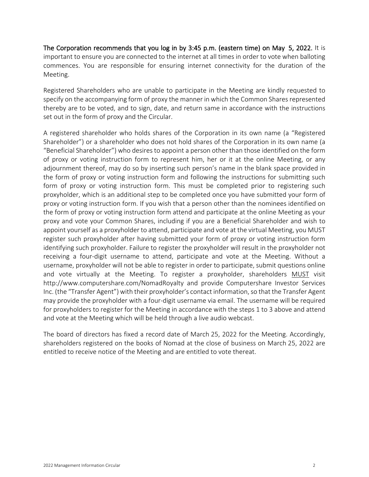The Corporation recommends that you log in by 3:45 p.m. (eastern time) on May 5, 2022. It is important to ensure you are connected to the internet at all times in order to vote when balloting commences. You are responsible for ensuring internet connectivity for the duration of the Meeting.

Registered Shareholders who are unable to participate in the Meeting are kindly requested to specify on the accompanying form of proxy the manner in which the Common Shares represented thereby are to be voted, and to sign, date, and return same in accordance with the instructions set out in the form of proxy and the Circular.

A registered shareholder who holds shares of the Corporation in its own name (a "Registered Shareholder") or a shareholder who does not hold shares of the Corporation in its own name (a "Beneficial Shareholder") who desires to appoint a person other than those identified on the form of proxy or voting instruction form to represent him, her or it at the online Meeting, or any adjournment thereof, may do so by inserting such person's name in the blank space provided in the form of proxy or voting instruction form and following the instructions for submitting such form of proxy or voting instruction form. This must be completed prior to registering such proxyholder, which is an additional step to be completed once you have submitted your form of proxy or voting instruction form. If you wish that a person other than the nominees identified on the form of proxy or voting instruction form attend and participate at the online Meeting as your proxy and vote your Common Shares, including if you are a Beneficial Shareholder and wish to appoint yourself as a proxyholder to attend, participate and vote at the virtual Meeting, you MUST register such proxyholder after having submitted your form of proxy or voting instruction form identifying such proxyholder. Failure to register the proxyholder will result in the proxyholder not receiving a four-digit username to attend, participate and vote at the Meeting. Without a username, proxyholder will not be able to register in order to participate, submit questions online and vote virtually at the Meeting. To register a proxyholder, shareholders MUST visit http://www.computershare.com/NomadRoyalty and provide Computershare Investor Services Inc. (the "Transfer Agent") with their proxyholder's contact information, so that the Transfer Agent may provide the proxyholder with a four-digit username via email. The username will be required for proxyholders to register for the Meeting in accordance with the steps 1 to 3 above and attend and vote at the Meeting which will be held through a live audio webcast.

The board of directors has fixed a record date of March 25, 2022 for the Meeting. Accordingly, shareholders registered on the books of Nomad at the close of business on March 25, 2022 are entitled to receive notice of the Meeting and are entitled to vote thereat.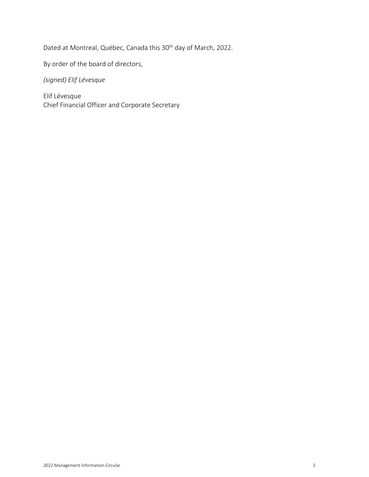Dated at Montreal, Québec, Canada this 30th day of March, 2022.

By order of the board of directors,

*(signed) Elif Lévesque*

Elif Lévesque Chief Financial Officer and Corporate Secretary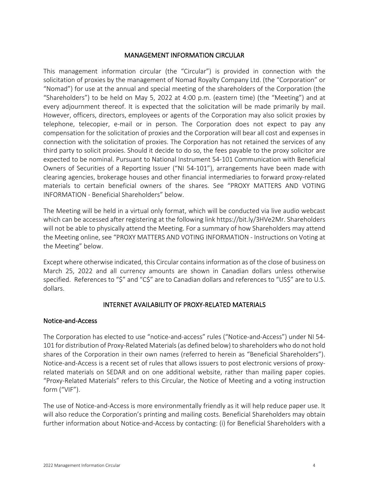# MANAGEMENT INFORMATION CIRCULAR

This management information circular (the "Circular") is provided in connection with the solicitation of proxies by the management of Nomad Royalty Company Ltd. (the "Corporation" or "Nomad") for use at the annual and special meeting of the shareholders of the Corporation (the "Shareholders") to be held on May 5, 2022 at 4:00 p.m. (eastern time) (the "Meeting") and at every adjournment thereof. It is expected that the solicitation will be made primarily by mail. However, officers, directors, employees or agents of the Corporation may also solicit proxies by telephone, telecopier, e-mail or in person. The Corporation does not expect to pay any compensation for the solicitation of proxies and the Corporation will bear all cost and expenses in connection with the solicitation of proxies. The Corporation has not retained the services of any third party to solicit proxies. Should it decide to do so, the fees payable to the proxy solicitor are expected to be nominal. Pursuant to National Instrument 54-101 Communication with Beneficial Owners of Securities of a Reporting Issuer ("NI 54-101"), arrangements have been made with clearing agencies, brokerage houses and other financial intermediaries to forward proxy-related materials to certain beneficial owners of the shares. See ["PROXY MATTERS AND VOTING](#page-6-0)  [INFORMATION](#page-6-0) - [Beneficial Shareholders"](#page-9-0) below.

The Meeting will be held in a virtual only format, which will be conducted via live audio webcast which can be accessed after registering at the following link https://bit.ly/3HVe2Mr. Shareholders will not be able to physically attend the Meeting. For a summary of how Shareholders may attend the Meeting online, see ["PROXY MATTERS AND VOTING INFORMATION](#page-6-0) - [Instructions on Voting at](#page-6-1)  [the Meeting"](#page-6-1) below.

Except where otherwise indicated, this Circular contains information as of the close of business on March 25, 2022 and all currency amounts are shown in Canadian dollars unless otherwise specified. References to "\$" and "C\$" are to Canadian dollars and references to "US\$" are to U.S. dollars.

# INTERNET AVAILABILITY OF PROXY-RELATED MATERIALS

# Notice-and-Access

The Corporation has elected to use "notice-and-access" rules ("Notice-and-Access") under NI 54- 101 for distribution of Proxy-Related Materials (as defined below) to shareholders who do not hold shares of the Corporation in their own names (referred to herein as "Beneficial Shareholders"). Notice-and-Access is a recent set of rules that allows issuers to post electronic versions of proxyrelated materials on SEDAR and on one additional website, rather than mailing paper copies. "Proxy-Related Materials" refers to this Circular, the Notice of Meeting and a voting instruction form ("VIF").

The use of Notice-and-Access is more environmentally friendly as it will help reduce paper use. It will also reduce the Corporation's printing and mailing costs. Beneficial Shareholders may obtain further information about Notice-and-Access by contacting: (i) for Beneficial Shareholders with a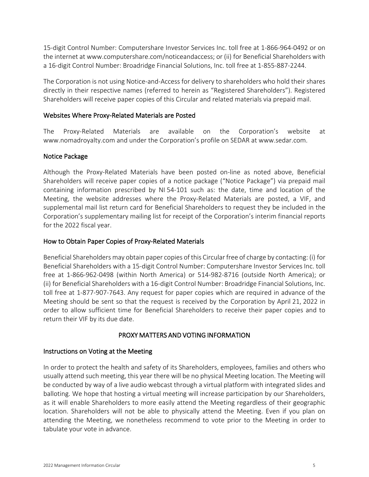15-digit Control Number: Computershare Investor Services Inc. toll free at 1-866-964-0492 or on the internet at www.computershare.com/noticeandaccess; or (ii) for Beneficial Shareholders with a 16-digit Control Number: Broadridge Financial Solutions, Inc. toll free at 1-855-887-2244.

The Corporation is not using Notice-and-Access for delivery to shareholders who hold their shares directly in their respective names (referred to herein as "Registered Shareholders"). Registered Shareholders will receive paper copies of this Circular and related materials via prepaid mail.

# Websites Where Proxy-Related Materials are Posted

The Proxy-Related Materials are available on the Corporation's website at [www.nomadroyalty.com](http://www.nomadroyalty.com/) and under the Corporation's profile on SEDAR at www.sedar.com.

# Notice Package

Although the Proxy-Related Materials have been posted on-line as noted above, Beneficial Shareholders will receive paper copies of a notice package ("Notice Package") via prepaid mail containing information prescribed by NI 54-101 such as: the date, time and location of the Meeting, the website addresses where the Proxy-Related Materials are posted, a VIF, and supplemental mail list return card for Beneficial Shareholders to request they be included in the Corporation's supplementary mailing list for receipt of the Corporation's interim financial reports for the 2022 fiscal year.

# How to Obtain Paper Copies of Proxy-Related Materials

Beneficial Shareholders may obtain paper copies of this Circular free of charge by contacting: (i) for Beneficial Shareholders with a 15-digit Control Number: Computershare Investor Services Inc. toll free at 1-866-962-0498 (within North America) or 514-982-8716 (outside North America); or (ii) for Beneficial Shareholders with a 16-digit Control Number: Broadridge Financial Solutions, Inc. toll free at 1-877-907-7643. Any request for paper copies which are required in advance of the Meeting should be sent so that the request is received by the Corporation by April 21, 2022 in order to allow sufficient time for Beneficial Shareholders to receive their paper copies and to return their VIF by its due date.

# PROXY MATTERS AND VOTING INFORMATION

# <span id="page-6-1"></span><span id="page-6-0"></span>Instructions on Voting at the Meeting

In order to protect the health and safety of its Shareholders, employees, families and others who usually attend such meeting, this year there will be no physical Meeting location. The Meeting will be conducted by way of a live audio webcast through a virtual platform with integrated slides and balloting. We hope that hosting a virtual meeting will increase participation by our Shareholders, as it will enable Shareholders to more easily attend the Meeting regardless of their geographic location. Shareholders will not be able to physically attend the Meeting. Even if you plan on attending the Meeting, we nonetheless recommend to vote prior to the Meeting in order to tabulate your vote in advance.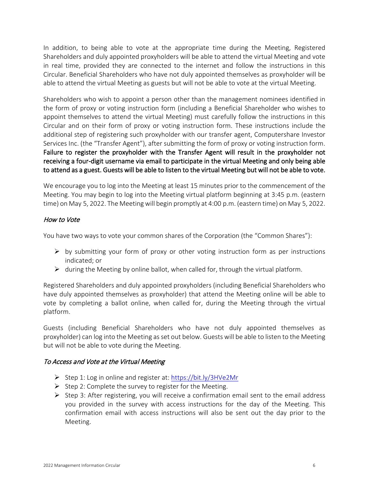In addition, to being able to vote at the appropriate time during the Meeting, Registered Shareholders and duly appointed proxyholders will be able to attend the virtual Meeting and vote in real time, provided they are connected to the internet and follow the instructions in this Circular. Beneficial Shareholders who have not duly appointed themselves as proxyholder will be able to attend the virtual Meeting as guests but will not be able to vote at the virtual Meeting.

Shareholders who wish to appoint a person other than the management nominees identified in the form of proxy or voting instruction form (including a Beneficial Shareholder who wishes to appoint themselves to attend the virtual Meeting) must carefully follow the instructions in this Circular and on their form of proxy or voting instruction form. These instructions include the additional step of registering such proxyholder with our transfer agent, Computershare Investor Services Inc. (the "Transfer Agent"), after submitting the form of proxy or voting instruction form. Failure to register the proxyholder with the Transfer Agent will result in the proxyholder not receiving a four-digit username via email to participate in the virtual Meeting and only being able to attend as a guest. Guests will be able to listen to the virtual Meeting but will not be able to vote.

We encourage you to log into the Meeting at least 15 minutes prior to the commencement of the Meeting. You may begin to log into the Meeting virtual platform beginning at 3:45 p.m. (eastern time) on May 5, 2022. The Meeting will begin promptly at 4:00 p.m. (eastern time) on May 5, 2022.

# How to Vote

You have two ways to vote your common shares of the Corporation (the "Common Shares"):

- $\triangleright$  by submitting your form of proxy or other voting instruction form as per instructions indicated; or
- $\triangleright$  during the Meeting by online ballot, when called for, through the virtual platform.

Registered Shareholders and duly appointed proxyholders (including Beneficial Shareholders who have duly appointed themselves as proxyholder) that attend the Meeting online will be able to vote by completing a ballot online, when called for, during the Meeting through the virtual platform.

Guests (including Beneficial Shareholders who have not duly appointed themselves as proxyholder) can log into the Meeting as set out below. Guests will be able to listen to the Meeting but will not be able to vote during the Meeting.

# To Access and Vote at the Virtual Meeting

- ▶ Step 1: Log in online and register at:<https://bit.ly/3HVe2Mr>
- $\triangleright$  Step 2: Complete the survey to register for the Meeting.
- $\triangleright$  Step 3: After registering, you will receive a confirmation email sent to the email address you provided in the survey with access instructions for the day of the Meeting. This confirmation email with access instructions will also be sent out the day prior to the Meeting.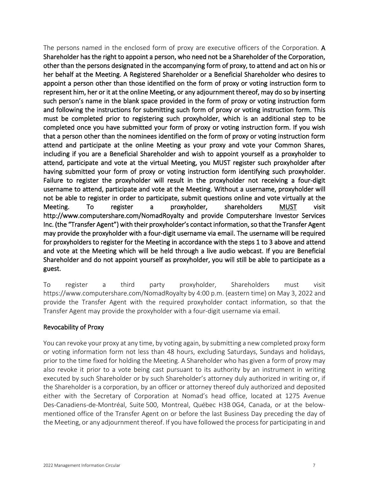The persons named in the enclosed form of proxy are executive officers of the Corporation. A Shareholder has the right to appoint a person, who need not be a Shareholder of the Corporation, other than the persons designated in the accompanying form of proxy, to attend and act on his or her behalf at the Meeting. A Registered Shareholder or a Beneficial Shareholder who desires to appoint a person other than those identified on the form of proxy or voting instruction form to represent him, her or it at the online Meeting, or any adjournment thereof, may do so by inserting such person's name in the blank space provided in the form of proxy or voting instruction form and following the instructions for submitting such form of proxy or voting instruction form. This must be completed prior to registering such proxyholder, which is an additional step to be completed once you have submitted your form of proxy or voting instruction form. If you wish that a person other than the nominees identified on the form of proxy or voting instruction form attend and participate at the online Meeting as your proxy and vote your Common Shares, including if you are a Beneficial Shareholder and wish to appoint yourself as a proxyholder to attend, participate and vote at the virtual Meeting, you MUST register such proxyholder after having submitted your form of proxy or voting instruction form identifying such proxyholder. Failure to register the proxyholder will result in the proxyholder not receiving a four-digit username to attend, participate and vote at the Meeting. Without a username, proxyholder will not be able to register in order to participate, submit questions online and vote virtually at the Meeting. To register a proxyholder, shareholders MUST visit http://www.computershare.com/NomadRoyalty and provide Computershare Investor Services Inc. (the "Transfer Agent") with their proxyholder's contact information, so that the Transfer Agent may provide the proxyholder with a four-digit username via email. The username will be required for proxyholders to register for the Meeting in accordance with the steps 1 to 3 above and attend and vote at the Meeting which will be held through a live audio webcast. If you are Beneficial Shareholder and do not appoint yourself as proxyholder, you will still be able to participate as a guest.

To register a third party proxyholder, Shareholders must visit https://www.computershare.com/NomadRoyalty by 4:00 p.m. (eastern time) on May 3, 2022 and provide the Transfer Agent with the required proxyholder contact information, so that the Transfer Agent may provide the proxyholder with a four-digit username via email.

# Revocability of Proxy

You can revoke your proxy at any time, by voting again, by submitting a new completed proxy form or voting information form not less than 48 hours, excluding Saturdays, Sundays and holidays, prior to the time fixed for holding the Meeting. A Shareholder who has given a form of proxy may also revoke it prior to a vote being cast pursuant to its authority by an instrument in writing executed by such Shareholder or by such Shareholder's attorney duly authorized in writing or, if the Shareholder is a corporation, by an officer or attorney thereof duly authorized and deposited either with the Secretary of Corporation at Nomad's head office, located at 1275 Avenue Des-Canadiens-de-Montréal, Suite 500, Montreal, Québec H3B 0G4, Canada, or at the belowmentioned office of the Transfer Agent on or before the last Business Day preceding the day of the Meeting, or any adjournment thereof. If you have followed the process for participating in and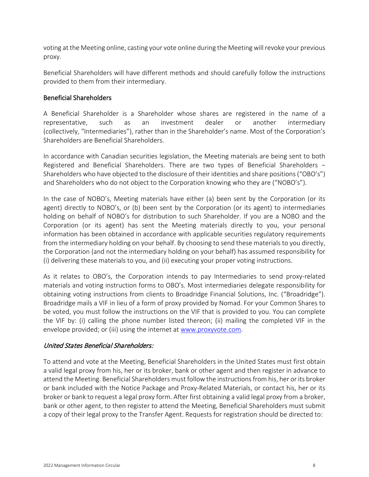voting at the Meeting online, casting your vote online during the Meeting will revoke your previous proxy.

Beneficial Shareholders will have different methods and should carefully follow the instructions provided to them from their intermediary.

# <span id="page-9-0"></span>Beneficial Shareholders

A Beneficial Shareholder is a Shareholder whose shares are registered in the name of a representative, such as an investment dealer or another intermediary (collectively, "Intermediaries"), rather than in the Shareholder's name. Most of the Corporation's Shareholders are Beneficial Shareholders.

In accordance with Canadian securities legislation, the Meeting materials are being sent to both Registered and Beneficial Shareholders. There are two types of Beneficial Shareholders − Shareholders who have objected to the disclosure of their identities and share positions ("OBO's") and Shareholders who do not object to the Corporation knowing who they are ("NOBO's").

In the case of NOBO's, Meeting materials have either (a) been sent by the Corporation (or its agent) directly to NOBO's, or (b) been sent by the Corporation (or its agent) to intermediaries holding on behalf of NOBO's for distribution to such Shareholder. If you are a NOBO and the Corporation (or its agent) has sent the Meeting materials directly to you, your personal information has been obtained in accordance with applicable securities regulatory requirements from the intermediary holding on your behalf. By choosing to send these materials to you directly, the Corporation (and not the intermediary holding on your behalf) has assumed responsibility for (i) delivering these materials to you, and (ii) executing your proper voting instructions.

As it relates to OBO's, the Corporation intends to pay Intermediaries to send proxy-related materials and voting instruction forms to OBO's. Most intermediaries delegate responsibility for obtaining voting instructions from clients to Broadridge Financial Solutions, Inc. ("Broadridge"). Broadridge mails a VIF in lieu of a form of proxy provided by Nomad. For your Common Shares to be voted, you must follow the instructions on the VIF that is provided to you. You can complete the VIF by: (i) calling the phone number listed thereon; (ii) mailing the completed VIF in the envelope provided; or (iii) using the internet at www.proxyvote.com.

# United States Beneficial Shareholders:

To attend and vote at the Meeting, Beneficial Shareholders in the United States must first obtain a valid legal proxy from his, her or its broker, bank or other agent and then register in advance to attend the Meeting. Beneficial Shareholders must follow the instructions from his, her or its broker or bank included with the Notice Package and Proxy-Related Materials, or contact his, her or its broker or bank to request a legal proxy form. After first obtaining a valid legal proxy from a broker, bank or other agent, to then register to attend the Meeting, Beneficial Shareholders must submit a copy of their legal proxy to the Transfer Agent. Requests for registration should be directed to: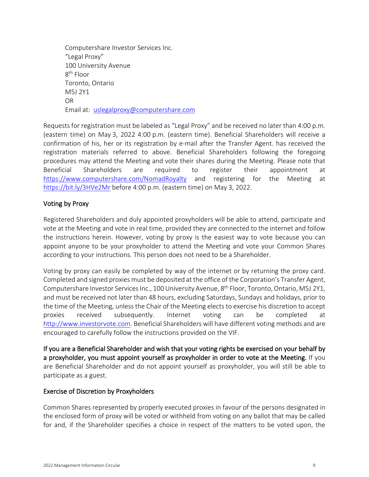Computershare Investor Services Inc. "Legal Proxy" 100 University Avenue 8<sup>th</sup> Floor Toronto, Ontario M5J 2Y1 OR Email at: uslegalproxy@computershare.com

Requests for registration must be labeled as "Legal Proxy" and be received no later than 4:00 p.m. (eastern time) on May 3, 2022 4:00 p.m. (eastern time). Beneficial Shareholders will receive a confirmation of his, her or its registration by e-mail after the Transfer Agent. has received the registration materials referred to above. Beneficial Shareholders following the foregoing procedures may attend the Meeting and vote their shares during the Meeting. Please note that Beneficial Shareholders are required to register their appointment at <https://www.computershare.com/NomadRoyalty> and registering for the Meeting at <https://bit.ly/3HVe2Mr> before 4:00 p.m. (eastern time) on May 3, 2022.

# Voting by Proxy

Registered Shareholders and duly appointed proxyholders will be able to attend, participate and vote at the Meeting and vote in real time, provided they are connected to the internet and follow the instructions herein. However, voting by proxy is the easiest way to vote because you can appoint anyone to be your proxyholder to attend the Meeting and vote your Common Shares according to your instructions. This person does not need to be a Shareholder.

Voting by proxy can easily be completed by way of the internet or by returning the proxy card. Completed and signed proxies must be deposited at the office of the Corporation's Transfer Agent, Computershare Investor Services Inc., 100 University Avenue, 8<sup>th</sup> Floor, Toronto, Ontario, M5J 2Y1, and must be received not later than 48 hours, excluding Saturdays, Sundays and holidays, prior to the time of the Meeting, unless the Chair of the Meeting elects to exercise his discretion to accept proxies received subsequently. Internet voting can be completed at [http://www.investorvote.com.](http://www.investorvote.com/) Beneficial Shareholders will have different voting methods and are encouraged to carefully follow the instructions provided on the VIF.

If you are a Beneficial Shareholder and wish that your voting rights be exercised on your behalf by a proxyholder, you must appoint yourself as proxyholder in order to vote at the Meeting. If you are Beneficial Shareholder and do not appoint yourself as proxyholder, you will still be able to participate as a guest.

# Exercise of Discretion by Proxyholders

Common Shares represented by properly executed proxies in favour of the persons designated in the enclosed form of proxy will be voted or withheld from voting on any ballot that may be called for and, if the Shareholder specifies a choice in respect of the matters to be voted upon, the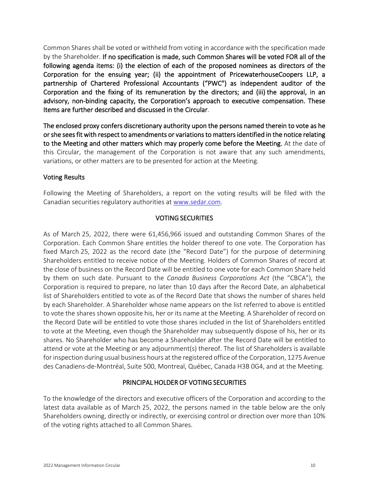Common Shares shall be voted or withheld from voting in accordance with the specification made by the Shareholder. If no specification is made, such Common Shares will be voted FOR all of the following agenda items: (i) the election of each of the proposed nominees as directors of the Corporation for the ensuing year; (ii) the appointment of PricewaterhouseCoopers LLP, a partnership of Chartered Professional Accountants ("PWC") as independent auditor of the Corporation and the fixing of its remuneration by the directors; and (iii) the approval, in an advisory, non-binding capacity, the Corporation's approach to executive compensation. These Items are further described and discussed in the Circular.

The enclosed proxy confers discretionary authority upon the persons named therein to vote as he or she sees fit with respect to amendments or variations to matters identified in the notice relating to the Meeting and other matters which may properly come before the Meeting. At the date of this Circular, the management of the Corporation is not aware that any such amendments, variations, or other matters are to be presented for action at the Meeting.

# Voting Results

<span id="page-11-0"></span>Following the Meeting of Shareholders, a report on the voting results will be filed with the Canadian securities regulatory authorities at www.sedar.com.

# VOTING SECURITIES

As of March 25, 2022, there were 61,456,966 issued and outstanding Common Shares of the Corporation. Each Common Share entitles the holder thereof to one vote. The Corporation has fixed March 25, 2022 as the record date (the "Record Date") for the purpose of determining Shareholders entitled to receive notice of the Meeting. Holders of Common Shares of record at the close of business on the Record Date will be entitled to one vote for each Common Share held by them on such date. Pursuant to the *Canada Business Corporations Act* (the "CBCA"), the Corporation is required to prepare, no later than 10 days after the Record Date, an alphabetical list of Shareholders entitled to vote as of the Record Date that shows the number of shares held by each Shareholder. A Shareholder whose name appears on the list referred to above is entitled to vote the shares shown opposite his, her or its name at the Meeting. A Shareholder of record on the Record Date will be entitled to vote those shares included in the list of Shareholders entitled to vote at the Meeting, even though the Shareholder may subsequently dispose of his, her or its shares. No Shareholder who has become a Shareholder after the Record Date will be entitled to attend or vote at the Meeting or any adjournment(s) thereof. The list of Shareholders is available for inspection during usual business hours at the registered office of the Corporation, 1275 Avenue des Canadiens-de-Montréal, Suite 500, Montreal, Québec, Canada H3B 0G4, and at the Meeting.

# PRINCIPAL HOLDER OF VOTING SECURITIES

<span id="page-11-1"></span>To the knowledge of the directors and executive officers of the Corporation and according to the latest data available as of March 25, 2022, the persons named in the table below are the only Shareholders owning, directly or indirectly, or exercising control or direction over more than 10% of the voting rights attached to all Common Shares.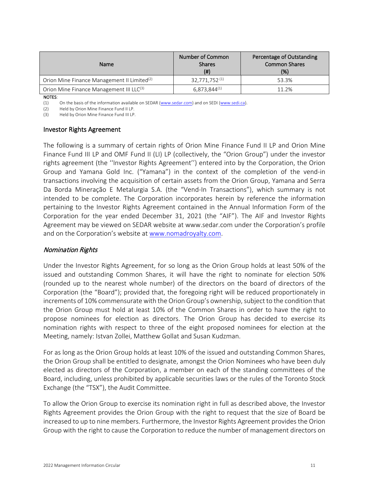| <b>Name</b>                                             | <b>Number of Common</b><br><b>Shares</b><br>$($ # $)$ | Percentage of Outstanding<br><b>Common Shares</b><br>(%) |  |
|---------------------------------------------------------|-------------------------------------------------------|----------------------------------------------------------|--|
| Orion Mine Finance Management II Limited <sup>(2)</sup> | 32,771,752 <sup>(1)</sup>                             | 53.3%                                                    |  |
| Orion Mine Finance Management III LLC(3)                | $6,873,844^{(1)}$                                     | 11.2%                                                    |  |

NOTES:

(1) On the basis of the information available on SEDAR (www.sedar.com) and on SEDI (www.sedi.ca).

(2) Held by Orion Mine Finance Fund II LP.

(3) Held by Orion Mine Finance Fund III LP.

#### Investor Rights Agreement

The following is a summary of certain rights of Orion Mine Finance Fund II LP and Orion Mine Finance Fund III LP and OMF Fund II (LI) LP (collectively, the "Orion Group") under the investor rights agreement (the ''Investor Rights Agreement'') entered into by the Corporation, the Orion Group and Yamana Gold Inc. ("Yamana") in the context of the completion of the vend-in transactions involving the acquisition of certain assets from the Orion Group, Yamana and Serra Da Borda Mineração E Metalurgia S.A. (the "Vend-In Transactions"), which summary is not intended to be complete. The Corporation incorporates herein by reference the information pertaining to the Investor Rights Agreement contained in the Annual Information Form of the Corporation for the year ended December 31, 2021 (the "AIF"). The AIF and Investor Rights Agreement may be viewed on SEDAR website at www.sedar.com under the Corporation's profile and on the Corporation's website at [www.nomadroyalty.com.](http://www.nomadroyalty.com/)

# Nomination Rights

Under the Investor Rights Agreement, for so long as the Orion Group holds at least 50% of the issued and outstanding Common Shares, it will have the right to nominate for election 50% (rounded up to the nearest whole number) of the directors on the board of directors of the Corporation (the "Board"); provided that, the foregoing right will be reduced proportionately in increments of 10% commensurate with the Orion Group's ownership, subject to the condition that the Orion Group must hold at least 10% of the Common Shares in order to have the right to propose nominees for election as directors. The Orion Group has decided to exercise its nomination rights with respect to three of the eight proposed nominees for election at the Meeting, namely: Istvan Zollei, Matthew Gollat and Susan Kudzman.

For as long as the Orion Group holds at least 10% of the issued and outstanding Common Shares, the Orion Group shall be entitled to designate, amongst the Orion Nominees who have been duly elected as directors of the Corporation, a member on each of the standing committees of the Board, including, unless prohibited by applicable securities laws or the rules of the Toronto Stock Exchange (the "TSX"), the Audit Committee.

To allow the Orion Group to exercise its nomination right in full as described above, the Investor Rights Agreement provides the Orion Group with the right to request that the size of Board be increased to up to nine members. Furthermore, the Investor Rights Agreement provides the Orion Group with the right to cause the Corporation to reduce the number of management directors on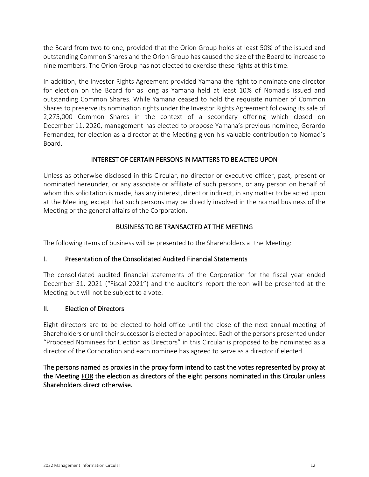the Board from two to one, provided that the Orion Group holds at least 50% of the issued and outstanding Common Shares and the Orion Group has caused the size of the Board to increase to nine members. The Orion Group has not elected to exercise these rights at this time.

In addition, the Investor Rights Agreement provided Yamana the right to nominate one director for election on the Board for as long as Yamana held at least 10% of Nomad's issued and outstanding Common Shares. While Yamana ceased to hold the requisite number of Common Shares to preserve its nomination rights under the Investor Rights Agreement following its sale of 2,275,000 Common Shares in the context of a secondary offering which closed on December 11, 2020, management has elected to propose Yamana's previous nominee, Gerardo Fernandez, for election as a director at the Meeting given his valuable contribution to Nomad's Board.

# INTEREST OF CERTAIN PERSONS IN MATTERS TO BE ACTED UPON

<span id="page-13-0"></span>Unless as otherwise disclosed in this Circular, no director or executive officer, past, present or nominated hereunder, or any associate or affiliate of such persons, or any person on behalf of whom this solicitation is made, has any interest, direct or indirect, in any matter to be acted upon at the Meeting, except that such persons may be directly involved in the normal business of the Meeting or the general affairs of the Corporation.

# BUSINESS TO BE TRANSACTED AT THE MEETING

<span id="page-13-1"></span>The following items of business will be presented to the Shareholders at the Meeting:

# I. Presentation of the Consolidated Audited Financial Statements

The consolidated audited financial statements of the Corporation for the fiscal year ended December 31, 2021 ("Fiscal 2021") and the auditor's report thereon will be presented at the Meeting but will not be subject to a vote.

# II. Election of Directors

Eight directors are to be elected to hold office until the close of the next annual meeting of Shareholders or until their successor is elected or appointed. Each of the persons presented under "Proposed Nominees for Election as Directors" in this Circular is proposed to be nominated as a director of the Corporation and each nominee has agreed to serve as a director if elected.

The persons named as proxies in the proxy form intend to cast the votes represented by proxy at the Meeting FOR the election as directors of the eight persons nominated in this Circular unless Shareholders direct otherwise.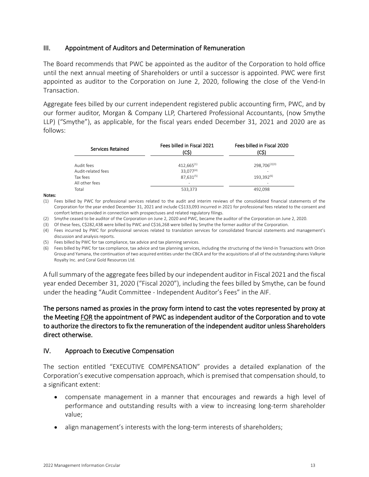# III. Appointment of Auditors and Determination of Remuneration

The Board recommends that PWC be appointed as the auditor of the Corporation to hold office until the next annual meeting of Shareholders or until a successor is appointed. PWC were first appointed as auditor to the Corporation on June 2, 2020, following the close of the Vend-In Transaction.

Aggregate fees billed by our current independent registered public accounting firm, PWC, and by our former auditor, Morgan & Company LLP, Chartered Professional Accountants, (now Smythe LLP) ("Smythe"), as applicable, for the fiscal years ended December 31, 2021 and 2020 are as follows:

| Services Retained  | Fees billed in Fiscal 2021<br>(C\$) | Fees billed in Fiscal 2020<br>(C\$) |  |
|--------------------|-------------------------------------|-------------------------------------|--|
| Audit fees         | $412,665^{(1)}$                     | 298.706 <sup>(2)(3)</sup>           |  |
| Audit-related fees | 33,077(4)                           |                                     |  |
| Tax fees           | $87,631^{(5)}$                      | 193,392(6)                          |  |
| All other fees     | $\overline{\phantom{a}}$            | $\overline{\phantom{a}}$            |  |
| Total              | 533,373                             | 492.098                             |  |

#### Notes:

(1) Fees billed by PWC for professional services related to the audit and interim reviews of the consolidated financial statements of the Corporation for the year ended December 31, 2021 and include C\$133,093 incurred in 2021 for professional fees related to the consent and comfort letters provided in connection with prospectuses and related regulatory filings.

(2) Smythe ceased to be auditor of the Corporation on June 2, 2020 and PWC, became the auditor of the Corporation on June 2, 2020.

(3) Of these fees, C\$282,438 were billed by PWC and C\$16,268 were billed by Smythe the former auditor of the Corporation.

(4) Fees incurred by PWC for professional services related to translation services for consolidated financial statements and management's discussion and analysis reports.

(5) Fees billed by PWC for tax compliance, tax advice and tax planning services.

(6) Fees billed by PWC for tax compliance, tax advice and tax planning services, including the structuring of the Vend-In Transactions with Orion Group and Yamana, the continuation of two acquired entities under the CBCA and for the acquisitions of all of the outstanding shares Valkyrie Royalty Inc. and Coral Gold Resources Ltd.

A full summary of the aggregate fees billed by our independent auditor in Fiscal 2021 and the fiscal year ended December 31, 2020 ("Fiscal 2020"), including the fees billed by Smythe, can be found under the heading "Audit Committee - Independent Auditor's Fees" in the AIF.

# The persons named as proxies in the proxy form intend to cast the votes represented by proxy at the Meeting FOR the appointment of PWC as independent auditor of the Corporation and to vote to authorize the directors to fix the remuneration of the independent auditor unless Shareholders direct otherwise.

# IV. Approach to Executive Compensation

The section entitled ["EXECUTIVE COMPENSATION"](#page-22-0) provides a detailed explanation of the Corporation's executive compensation approach, which is premised that compensation should, to a significant extent:

- compensate management in a manner that encourages and rewards a high level of performance and outstanding results with a view to increasing long-term shareholder value;
- align management's interests with the long-term interests of shareholders;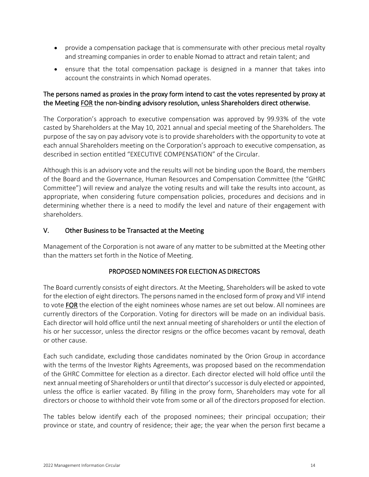- provide a compensation package that is commensurate with other precious metal royalty and streaming companies in order to enable Nomad to attract and retain talent; and
- ensure that the total compensation package is designed in a manner that takes into account the constraints in which Nomad operates.

# The persons named as proxies in the proxy form intend to cast the votes represented by proxy at the Meeting FOR the non-binding advisory resolution, unless Shareholders direct otherwise.

The Corporation's approach to executive compensation was approved by 99.93% of the vote casted by Shareholders at the May 10, 2021 annual and special meeting of the Shareholders. The purpose of the say on pay advisory vote is to provide shareholders with the opportunity to vote at each annual Shareholders meeting on the Corporation's approach to executive compensation, as described in section entitled "EXECUTIVE COMPENSATION" of the Circular.

Although this is an advisory vote and the results will not be binding upon the Board, the members of the Board and the Governance, Human Resources and Compensation Committee (the "GHRC Committee") will review and analyze the voting results and will take the results into account, as appropriate, when considering future compensation policies, procedures and decisions and in determining whether there is a need to modify the level and nature of their engagement with shareholders.

# V. Other Business to be Transacted at the Meeting

<span id="page-15-0"></span>Management of the Corporation is not aware of any matter to be submitted at the Meeting other than the matters set forth in the Notice of Meeting.

# PROPOSED NOMINEES FOR ELECTION AS DIRECTORS

The Board currently consists of eight directors. At the Meeting, Shareholders will be asked to vote for the election of eight directors. The persons named in the enclosed form of proxy and VIF intend to vote FOR the election of the eight nominees whose names are set out below. All nominees are currently directors of the Corporation. Voting for directors will be made on an individual basis. Each director will hold office until the next annual meeting of shareholders or until the election of his or her successor, unless the director resigns or the office becomes vacant by removal, death or other cause.

Each such candidate, excluding those candidates nominated by the Orion Group in accordance with the terms of the Investor Rights Agreements, was proposed based on the recommendation of the GHRC Committee for election as a director. Each director elected will hold office until the next annual meeting of Shareholders or until that director's successor is duly elected or appointed, unless the office is earlier vacated. By filling in the proxy form, Shareholders may vote for all directors or choose to withhold their vote from some or all of the directors proposed for election.

The tables below identify each of the proposed nominees; their principal occupation; their province or state, and country of residence; their age; the year when the person first became a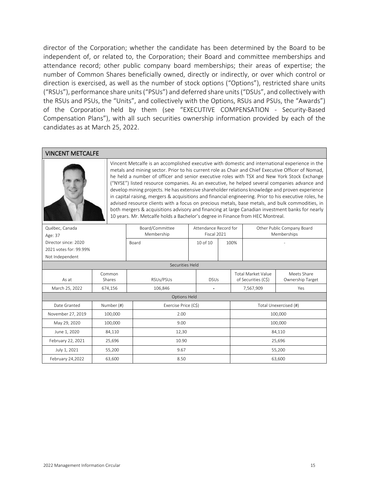director of the Corporation; whether the candidate has been determined by the Board to be independent of, or related to, the Corporation; their Board and committee memberships and attendance record; other public company board memberships; their areas of expertise; the number of Common Shares beneficially owned, directly or indirectly, or over which control or direction is exercised, as well as the number of stock options ("Options"), restricted share units ("RSUs"), performance share units ("PSUs") and deferred share units ("DSUs", and collectively with the RSUs and PSUs, the "Units", and collectively with the Options, RSUs and PSUs, the "Awards") of the Corporation held by them (see ["EXECUTIVE COMPENSATION](#page-22-0) - [Security-Based](#page-36-0)  [Compensation Plans"](#page-36-0)), with all such securities ownership information provided by each of the candidates as at March 25, 2022.

#### VINCENT METCALFE



Vincent Metcalfe is an accomplished executive with domestic and international experience in the metals and mining sector. Prior to his current role as Chair and Chief Executive Officer of Nomad, he held a number of officer and senior executive roles with TSX and New York Stock Exchange ("NYSE") listed resource companies. As an executive, he helped several companies advance and develop mining projects. He has extensive shareholder relations knowledge and proven experience in capital raising, mergers & acquisitions and financial engineering. Prior to his executive roles, he advised resource clients with a focus on precious metals, base metals, and bulk commodities, in both mergers & acquisitions advisory and financing at large Canadian investment banks for nearly 10 years. Mr. Metcalfe holds a Bachelor's degree in Finance from HEC Montreal.

| Québec, Canada<br>Age: 37 |                  | Board/Committee<br>Membership | Attendance Record for<br>Fiscal 2021 |      |                                                  | Other Public Company Board<br>Memberships |  |
|---------------------------|------------------|-------------------------------|--------------------------------------|------|--------------------------------------------------|-------------------------------------------|--|
| Director since: 2020      |                  | Board                         | 10 of 10                             | 100% |                                                  |                                           |  |
| 2021 votes for: 99.99%    |                  |                               |                                      |      |                                                  |                                           |  |
| Not Independent           |                  |                               |                                      |      |                                                  |                                           |  |
|                           |                  | Securities Held               |                                      |      |                                                  |                                           |  |
| As at                     | Common<br>Shares | RSUs/PSUs                     | <b>DSUs</b>                          |      | <b>Total Market Value</b><br>of Securities (C\$) | Meets Share<br>Ownership Target           |  |
| March 25, 2022            | 674,156          | 106,846                       | $\blacksquare$                       |      | 7,567,909                                        | Yes                                       |  |
|                           |                  | <b>Options Held</b>           |                                      |      |                                                  |                                           |  |
| Date Granted              | Number (#)       | Exercise Price (C\$)          |                                      |      |                                                  | Total Unexercised (#)                     |  |
| November 27, 2019         | 100,000          | 2.00                          |                                      |      |                                                  | 100,000                                   |  |
| May 29, 2020              | 100,000          | 9.00                          |                                      |      |                                                  | 100,000                                   |  |
| June 1, 2020              | 84,110           | 12,30                         |                                      |      | 84,110                                           |                                           |  |
| February 22, 2021         | 25,696           | 10.90                         |                                      |      | 25,696                                           |                                           |  |
| July 1, 2021              | 55,200           | 9.67                          |                                      |      | 55,200                                           |                                           |  |
| February 24,2022          | 63,600           | 8.50                          |                                      |      |                                                  | 63,600                                    |  |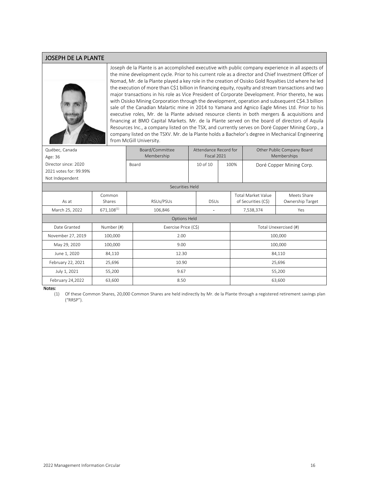#### JOSEPH DE LA PLANTE



Joseph de la Plante is an accomplished executive with public company experience in all aspects of the mine development cycle. Prior to his current role as a director and Chief Investment Officer of Nomad, Mr. de la Plante played a key role in the creation of Osisko Gold Royalties Ltd where he led the execution of more than C\$1 billion in financing equity, royalty and stream transactions and two major transactions in his role as Vice President of Corporate Development. Prior thereto, he was with Osisko Mining Corporation through the development, operation and subsequent C\$4.3 billion sale of the Canadian Malartic mine in 2014 to Yamana and Agnico Eagle Mines Ltd. Prior to his executive roles, Mr. de la Plante advised resource clients in both mergers & acquisitions and financing at BMO Capital Markets. Mr. de la Plante served on the board of directors of Aquila Resources Inc., a company listed on the TSX, and currently serves on Doré Copper Mining Corp., a company listed on the TSXV. Mr. de la Plante holds a Bachelor's degree in Mechanical Engineering from McGill University.

| Québec, Canada<br>Age: 36 |                  | Board/Committee<br>Membership | Attendance Record for<br>Fiscal 2021 |      | Other Public Company Board<br>Memberships        |                                 |  |
|---------------------------|------------------|-------------------------------|--------------------------------------|------|--------------------------------------------------|---------------------------------|--|
| Director since: 2020      |                  | Board                         | 10 of 10                             | 100% |                                                  | Doré Copper Mining Corp.        |  |
| 2021 votes for: 99.99%    |                  |                               |                                      |      |                                                  |                                 |  |
| Not Independent           |                  |                               |                                      |      |                                                  |                                 |  |
|                           |                  | Securities Held               |                                      |      |                                                  |                                 |  |
| As at                     | Common<br>Shares | RSUs/PSUs                     | <b>DSUs</b>                          |      | <b>Total Market Value</b><br>of Securities (C\$) | Meets Share<br>Ownership Target |  |
| March 25, 2022            | $671,108^{(1)}$  | 106,846                       |                                      |      | 7,538,374                                        | Yes                             |  |
|                           |                  | Options Held                  |                                      |      |                                                  |                                 |  |
| Date Granted              | Number (#)       | Exercise Price (C\$)          |                                      |      |                                                  | Total Unexercised (#)           |  |
| November 27, 2019         | 100,000          | 2.00                          |                                      |      |                                                  | 100,000                         |  |
| May 29, 2020              | 100,000          | 9.00                          |                                      |      |                                                  | 100,000                         |  |
| June 1, 2020              | 84,110           | 12.30                         |                                      |      | 84,110                                           |                                 |  |
| February 22, 2021         | 25,696           | 10.90                         |                                      |      | 25,696                                           |                                 |  |
| July 1, 2021              | 55,200           | 9.67                          |                                      |      | 55,200                                           |                                 |  |
| February 24,2022          | 63,600           | 8.50                          |                                      |      |                                                  | 63,600                          |  |

Notes:

(1) Of these Common Shares, 20,000 Common Shares are held indirectly by Mr. de la Plante through a registered retirement savings plan ("RRSP").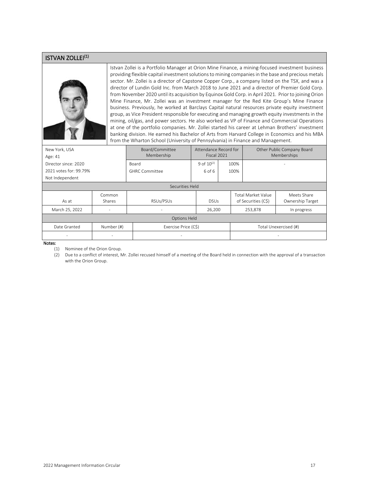#### ISTVAN ZOLLEI<sup>(1)</sup>



Istvan Zollei is a Portfolio Manager at Orion Mine Finance, a mining-focused investment business providing flexible capital investment solutions to mining companies in the base and precious metals sector. Mr. Zollei is a director of Capstone Copper Corp., a company listed on the TSX, and was a director of Lundin Gold Inc. from March 2018 to June 2021 and a director of Premier Gold Corp. from November 2020 until its acquisition by Equinox Gold Corp. in April 2021. Prior to joining Orion Mine Finance, Mr. Zollei was an investment manager for the Red Kite Group's Mine Finance business. Previously, he worked at Barclays Capital natural resources private equity investment group, as Vice President responsible for executing and managing growth equity investments in the mining, oil/gas, and power sectors. He also worked as VP of Finance and Commercial Operations at one of the portfolio companies. Mr. Zollei started his career at Lehman Brothers' investment banking division. He earned his Bachelor of Arts from Harvard College in Economics and his MBA from the Wharton School (University of Pennsylvania) in Finance and Management.

| New York, USA<br>Age: 41 |                          | Board/Committee<br>Membership | Attendance Record for<br>Fiscal 2021 |                       |                                                  | Other Public Company Board<br>Memberships |
|--------------------------|--------------------------|-------------------------------|--------------------------------------|-----------------------|--------------------------------------------------|-------------------------------------------|
| Director since: 2020     |                          | Board                         | 9 of $10^{(2)}$                      | 100%                  |                                                  |                                           |
| 2021 votes for: 99.79%   |                          | <b>GHRC Committee</b>         | 6 of 6                               | 100%                  |                                                  |                                           |
| Not Independent          |                          |                               |                                      |                       |                                                  |                                           |
| Securities Held          |                          |                               |                                      |                       |                                                  |                                           |
| As at                    | Common<br>Shares         | RSUs/PSUs                     | <b>DSUs</b>                          |                       | <b>Total Market Value</b><br>of Securities (C\$) | Meets Share<br>Ownership Target           |
| March 25, 2022           | ۰                        |                               | 26,200                               |                       | 253,878                                          | In progress                               |
| <b>Options Held</b>      |                          |                               |                                      |                       |                                                  |                                           |
| Date Granted             | Number (#)               | Exercise Price (C\$)          |                                      | Total Unexercised (#) |                                                  |                                           |
| $\overline{\phantom{a}}$ | $\overline{\phantom{a}}$ | -                             |                                      |                       |                                                  | $\overline{\phantom{a}}$                  |

Notes:

(1) Nominee of the Orion Group.

(2) Due to a conflict of interest, Mr. Zollei recused himself of a meeting of the Board held in connection with the approval of a transaction with the Orion Group.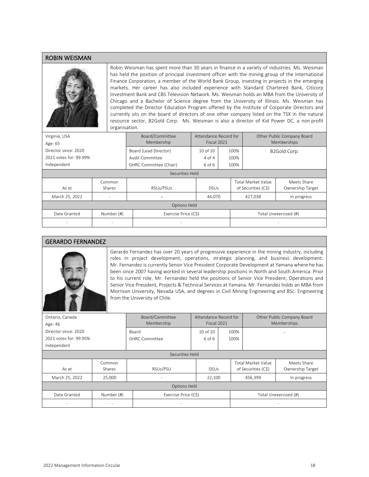#### ROBIN WEISMAN



Robin Weisman has spent more than 30 years in finance in a variety of industries. Ms. Weisman has held the position of principal investment officer with the mining group of the International Finance Corporation, a member of the World Bank Group, investing in projects in the emerging markets. Her career has also included experience with Standard Chartered Bank, Citicorp Investment Bank and CBS Television Network. Ms. Weisman holds an MBA from the University of Chicago and a Bachelor of Science degree from the University of Illinois. Ms. Weisman has completed the Director Education Program offered by the Institute of Corporate Directors and currently sits on the board of directors of one other company listed on the TSX in the natural resource sector, B2Gold Corp. Ms. Weisman is also a director of Kid Power DC, a non profit organisation.

| Virginia, USA<br>Age: 65 |                          | Board/Committee<br>Membership | Attendance Record for<br>Fiscal 2021 |      |                                                  | Other Public Company Board<br>Memberships |  |
|--------------------------|--------------------------|-------------------------------|--------------------------------------|------|--------------------------------------------------|-------------------------------------------|--|
| Director since: 2020     |                          | Board (Lead Director)         | 10 of 10                             | 100% |                                                  | B2Gold Corp.                              |  |
| 2021 votes for: 99.99%   |                          | Audit Committee               | 4 of 4                               | 100% |                                                  |                                           |  |
| Independent              |                          | GHRC Committee (Chair)        | 6 of 6                               | 100% |                                                  |                                           |  |
| Securities Held          |                          |                               |                                      |      |                                                  |                                           |  |
| As at                    | Common<br>Shares         | RSUs/PSUs                     | <b>DSUs</b>                          |      | <b>Total Market Value</b><br>of Securities (C\$) | Meets Share<br>Ownership Target           |  |
| March 25, 2022           |                          |                               | 44,070                               |      | 427,038                                          | In progress                               |  |
| <b>Options Held</b>      |                          |                               |                                      |      |                                                  |                                           |  |
| Date Granted             | Number (#)               | Exercise Price (C\$)          |                                      |      | Total Unexercised (#)                            |                                           |  |
| $\overline{\phantom{a}}$ | $\overline{\phantom{a}}$ | $\overline{\phantom{a}}$      |                                      |      |                                                  |                                           |  |

#### GERARDO FERNANDEZ



Gerardo Fernandez has over 20 years of progressive experience in the mining industry, including roles in project development, operations, strategic planning, and business development. Mr. Fernandez is currently Senior Vice President Corporate Development at Yamana where he has been since 2007 having worked in several leadership positions in North and South America. Prior to his current role, Mr. Fernandez held the positions of Senior Vice President, Operations and Senior Vice President, Projects & Technical Services at Yamana. Mr. Fernandez holds an MBA from Morrison University, Nevada USA, and degrees in Civil Mining Engineering and BSc. Engineering from the University of Chile.

| Ontario, Canada<br>Age: 46 |                         | Board/Committee<br>Membership | Attendance Record for<br>Fiscal 2021 |      |                                                  | Other Public Company Board<br>Memberships |
|----------------------------|-------------------------|-------------------------------|--------------------------------------|------|--------------------------------------------------|-------------------------------------------|
| Director since: 2020       |                         | Board                         | $10$ of $10$                         | 100% |                                                  |                                           |
| 2021 votes for: 99.95%     |                         | <b>GHRC Committee</b>         | 6 of 6                               | 100% |                                                  |                                           |
| Independent                |                         |                               |                                      |      |                                                  |                                           |
| Securities Held            |                         |                               |                                      |      |                                                  |                                           |
| As at                      | Common<br><b>Shares</b> | RSUs/PSU                      | <b>DSUs</b>                          |      | <b>Total Market Value</b><br>of Securities (C\$) | Meets Share<br>Ownership Target           |
| March 25, 2022             | 25,000                  | ۰                             | 22,100                               |      | 456,399                                          | In progress                               |
| <b>Options Held</b>        |                         |                               |                                      |      |                                                  |                                           |
| Date Granted               | Number (#)              | Exercise Price (C\$)          | Total Unexercised (#)                |      |                                                  |                                           |
|                            |                         |                               |                                      |      |                                                  |                                           |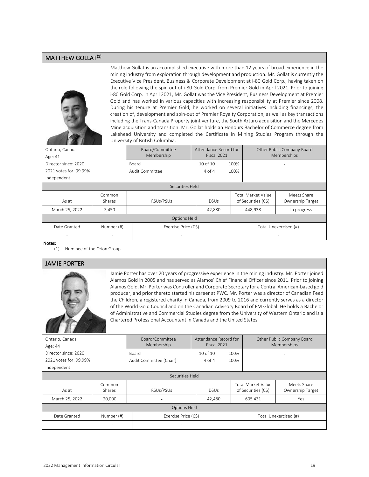#### MATTHEW GOLLAT<sup>(1)</sup>



Matthew Gollat is an accomplished executive with more than 12 years of broad experience in the mining industry from exploration through development and production. Mr. Gollat is currently the Executive Vice President, Business & Corporate Development at i-80 Gold Corp., having taken on the role following the spin out of i-80 Gold Corp. from Premier Gold in April 2021. Prior to joining i-80 Gold Corp. in April 2021, Mr. Gollat was the Vice President, Business Development at Premier Gold and has worked in various capacities with increasing responsibility at Premier since 2008. During his tenure at Premier Gold, he worked on several initiatives including financings, the creation of, development and spin-out of Premier Royalty Corporation, as well as key transactions including the Trans-Canada Property joint venture, the South Arturo acquisition and the Mercedes Mine acquisition and transition. Mr. Gollat holds an Honours Bachelor of Commerce degree from Lakehead University and completed the Certificate in Mining Studies Program through the University of British Columbia.

| Ontario, Canada<br>Age: 41 |                  | Board/Committee<br>Membership | Attendance Record for<br>Fiscal 2021 |      |                                                  | Other Public Company Board<br>Memberships |  |
|----------------------------|------------------|-------------------------------|--------------------------------------|------|--------------------------------------------------|-------------------------------------------|--|
| Director since: 2020       |                  | Board                         | 10 of 10                             | 100% |                                                  |                                           |  |
| 2021 votes for: 99.99%     |                  | Audit Committee               | $4$ of $4$                           | 100% |                                                  |                                           |  |
| Independent                |                  |                               |                                      |      |                                                  |                                           |  |
|                            | Securities Held  |                               |                                      |      |                                                  |                                           |  |
| As at                      | Common<br>Shares | RSUs/PSUs                     | <b>DSUs</b>                          |      | <b>Total Market Value</b><br>of Securities (C\$) | Meets Share<br>Ownership Target           |  |
| March 25, 2022             | 3,450            |                               | 42,880                               |      | 448,938                                          | In progress                               |  |
| Options Held               |                  |                               |                                      |      |                                                  |                                           |  |
| Date Granted               | Number (#)       | Exercise Price (C\$)          |                                      |      | Total Unexercised (#)                            |                                           |  |
| ٠                          |                  |                               |                                      |      |                                                  |                                           |  |
| $A1 = A = 1$               |                  |                               |                                      |      |                                                  |                                           |  |

Notes:

(1) Nominee of the Orion Group.

#### JAMIE PORTER

Jamie Porter has over 20 years of progressive experience in the mining industry. Mr. Porter joined Alamos Gold in 2005 and has served as Alamos' Chief Financial Officer since 2011. Prior to joining Alamos Gold, Mr. Porter was Controller and Corporate Secretary for a Central American-based gold producer, and prior thereto started his career at PWC. Mr. Porter was a director of Canadian Feed the Children, a registered charity in Canada, from 2009 to 2016 and currently serves as a director of the World Gold Council and on the Canadian Advisory Board of FM Global. He holds a Bachelor of Administrative and Commercial Studies degree from the University of Western Ontario and is a Chartered Professional Accountant in Canada and the United States.

| Ontario, Canada          |                          | Board/Committee          | Attendance Record for |      | Other Public Company Board |                       |
|--------------------------|--------------------------|--------------------------|-----------------------|------|----------------------------|-----------------------|
| Age: 44                  |                          | Membership               | Fiscal 2021           |      |                            | Memberships           |
| Director since: 2020     |                          | Board                    | $10$ of $10$          | 100% |                            |                       |
| 2021 votes for: 99.99%   |                          | Audit Committee (Chair)  | 4 of 4                | 100% |                            |                       |
| Independent              |                          |                          |                       |      |                            |                       |
| Securities Held          |                          |                          |                       |      |                            |                       |
|                          | Common                   |                          |                       |      | <b>Total Market Value</b>  | Meets Share           |
| As at                    | <b>Shares</b>            | RSUs/PSUs                | <b>DSUs</b>           |      | of Securities (C\$)        | Ownership Target      |
| March 25, 2022           | 20,000                   |                          | 42,480                |      | 605,431                    | Yes                   |
| <b>Options Held</b>      |                          |                          |                       |      |                            |                       |
| Date Granted             | Number (#)               | Exercise Price (C\$)     |                       |      |                            | Total Unexercised (#) |
| $\overline{\phantom{a}}$ | $\overline{\phantom{a}}$ | $\overline{\phantom{a}}$ |                       |      |                            | -                     |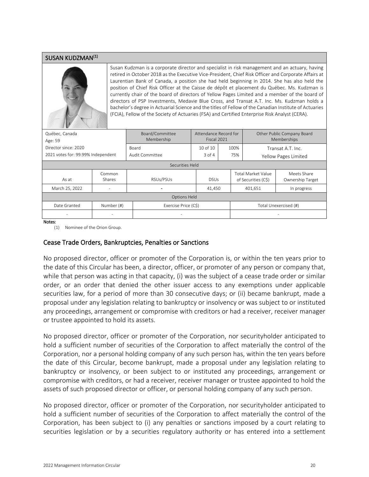#### SUSAN KUDZMAN(1)



Susan Kudzman is a corporate director and specialist in risk management and an actuary, having retired in October 2018 as the Executive Vice-President, Chief Risk Officer and Corporate Affairs at Laurentian Bank of Canada, a position she had held beginning in 2014. She has also held the position of Chief Risk Officer at the Caisse de dépôt et placement du Québec. Ms. Kudzman is currently chair of the board of directors of Yellow Pages Limited and a member of the board of directors of PSP Investments, Medavie Blue Cross, and Transat A.T. Inc. Ms. Kudzman holds a bachelor's degree in Actuarial Science and the titles of Fellow of the Canadian Institute of Actuaries (FCIA), Fellow of the Society of Actuaries (FSA) and Certified Enterprise Risk Analyst (CERA).

| Québec, Canada<br>Age: 59          |                         | Board/Committee<br>Membership | Attendance Record for<br>Fiscal 2021 |      |                                                  | Other Public Company Board<br><b>Memberships</b> |  |
|------------------------------------|-------------------------|-------------------------------|--------------------------------------|------|--------------------------------------------------|--------------------------------------------------|--|
| Director since: 2020               |                         | Board                         | $10$ of $10$                         | 100% |                                                  | Transat A.T. Inc.                                |  |
| 2021 votes for: 99.99% Independent |                         | Audit Committee               | $3$ of $4$                           | 75%  |                                                  | Yellow Pages Limited                             |  |
|                                    | Securities Held         |                               |                                      |      |                                                  |                                                  |  |
| As at                              | Common<br><b>Shares</b> | RSUs/PSUs                     | <b>DSUs</b>                          |      | <b>Total Market Value</b><br>of Securities (C\$) | Meets Share<br>Ownership Target                  |  |
| March 25, 2022                     | -                       |                               | 41,450                               |      | 401,651                                          | In progress                                      |  |
| <b>Options Held</b>                |                         |                               |                                      |      |                                                  |                                                  |  |
| Date Granted                       | Number (#)              | Exercise Price (C\$)          |                                      |      | Total Unexercised (#)                            |                                                  |  |
| $\overline{\phantom{a}}$           | ٠                       | $\overline{\phantom{a}}$      |                                      |      |                                                  | -                                                |  |
| Notes:                             |                         |                               |                                      |      |                                                  |                                                  |  |

Notes:

(1) Nominee of the Orion Group.

#### Cease Trade Orders, Bankruptcies, Penalties or Sanctions

No proposed director, officer or promoter of the Corporation is, or within the ten years prior to the date of this Circular has been, a director, officer, or promoter of any person or company that, while that person was acting in that capacity, (i) was the subject of a cease trade order or similar order, or an order that denied the other issuer access to any exemptions under applicable securities law, for a period of more than 30 consecutive days; or (ii) became bankrupt, made a proposal under any legislation relating to bankruptcy or insolvency or was subject to or instituted any proceedings, arrangement or compromise with creditors or had a receiver, receiver manager or trustee appointed to hold its assets.

No proposed director, officer or promoter of the Corporation, nor securityholder anticipated to hold a sufficient number of securities of the Corporation to affect materially the control of the Corporation, nor a personal holding company of any such person has, within the ten years before the date of this Circular, become bankrupt, made a proposal under any legislation relating to bankruptcy or insolvency, or been subject to or instituted any proceedings, arrangement or compromise with creditors, or had a receiver, receiver manager or trustee appointed to hold the assets of such proposed director or officer, or personal holding company of any such person.

No proposed director, officer or promoter of the Corporation, nor securityholder anticipated to hold a sufficient number of securities of the Corporation to affect materially the control of the Corporation, has been subject to (i) any penalties or sanctions imposed by a court relating to securities legislation or by a securities regulatory authority or has entered into a settlement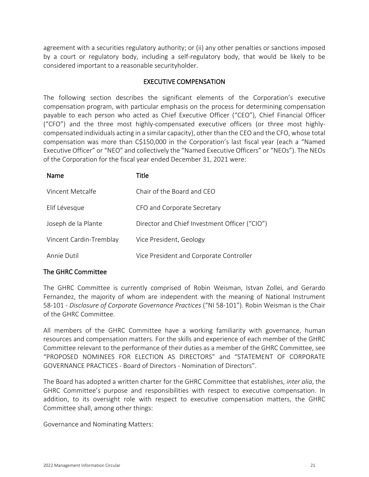agreement with a securities regulatory authority; or (ii) any other penalties or sanctions imposed by a court or regulatory body, including a self-regulatory body, that would be likely to be considered important to a reasonable securityholder.

# EXECUTIVE COMPENSATION

<span id="page-22-0"></span>The following section describes the significant elements of the Corporation's executive compensation program, with particular emphasis on the process for determining compensation payable to each person who acted as Chief Executive Officer ("CEO"), Chief Financial Officer ("CFO") and the three most highly-compensated executive officers (or three most highlycompensated individuals acting in a similar capacity), other than the CEO and the CFO, whose total compensation was more than C\$150,000 in the Corporation's last fiscal year (each a "Named Executive Officer" or "NEO" and collectively the "Named Executive Officers" or "NEOs"). The NEOs of the Corporation for the fiscal year ended December 31, 2021 were:

| Name                    | Title                                         |
|-------------------------|-----------------------------------------------|
| Vincent Metcalfe        | Chair of the Board and CEO                    |
| Elif Lévesque           | CFO and Corporate Secretary                   |
| Joseph de la Plante     | Director and Chief Investment Officer ("CIO") |
| Vincent Cardin-Tremblay | Vice President, Geology                       |
| Annie Dutil             | Vice President and Corporate Controller       |

# The GHRC Committee

The GHRC Committee is currently comprised of Robin Weisman, Istvan Zollei, and Gerardo Fernandez, the majority of whom are independent with the meaning of National Instrument 58-101 - *Disclosure of Corporate Governance Practices* ("NI 58-101"). Robin Weisman is the Chair of the GHRC Committee.

All members of the GHRC Committee have a working familiarity with governance, human resources and compensation matters. For the skills and experience of each member of the GHRC Committee relevant to the performance of their duties as a member of the GHRC Committee, see ["PROPOSED NOMINEES FOR ELECTION AS DIRECTORS"](#page-15-0) and ["STATEMENT OF](#page-55-1) CORPORATE [GOVERNANCE PRACTICES](#page-55-1) - [Board of Directors](#page-56-0) - [Nomination of Directors"](#page-56-1).

The Board has adopted a written charter for the GHRC Committee that establishes, *inter alia*, the GHRC Committee's purpose and responsibilities with respect to executive compensation. In addition, to its oversight role with respect to executive compensation matters, the GHRC Committee shall, among other things:

Governance and Nominating Matters: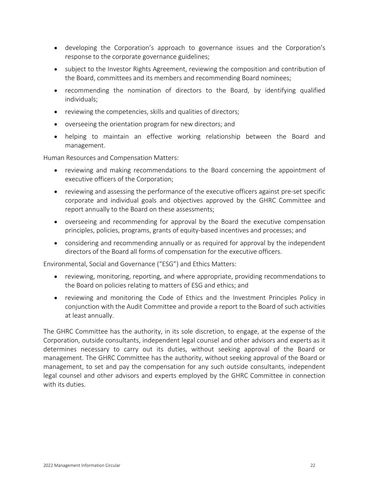- developing the Corporation's approach to governance issues and the Corporation's response to the corporate governance guidelines;
- subject to the Investor Rights Agreement, reviewing the composition and contribution of the Board, committees and its members and recommending Board nominees;
- recommending the nomination of directors to the Board, by identifying qualified individuals;
- reviewing the competencies, skills and qualities of directors;
- overseeing the orientation program for new directors; and
- helping to maintain an effective working relationship between the Board and management.

Human Resources and Compensation Matters:

- reviewing and making recommendations to the Board concerning the appointment of executive officers of the Corporation;
- reviewing and assessing the performance of the executive officers against pre-set specific corporate and individual goals and objectives approved by the GHRC Committee and report annually to the Board on these assessments;
- overseeing and recommending for approval by the Board the executive compensation principles, policies, programs, grants of equity-based incentives and processes; and
- considering and recommending annually or as required for approval by the independent directors of the Board all forms of compensation for the executive officers.

Environmental, Social and Governance ("ESG") and Ethics Matters:

- reviewing, monitoring, reporting, and where appropriate, providing recommendations to the Board on policies relating to matters of ESG and ethics; and
- reviewing and monitoring the Code of Ethics and the Investment Principles Policy in conjunction with the Audit Committee and provide a report to the Board of such activities at least annually.

The GHRC Committee has the authority, in its sole discretion, to engage, at the expense of the Corporation, outside consultants, independent legal counsel and other advisors and experts as it determines necessary to carry out its duties, without seeking approval of the Board or management. The GHRC Committee has the authority, without seeking approval of the Board or management, to set and pay the compensation for any such outside consultants, independent legal counsel and other advisors and experts employed by the GHRC Committee in connection with its duties.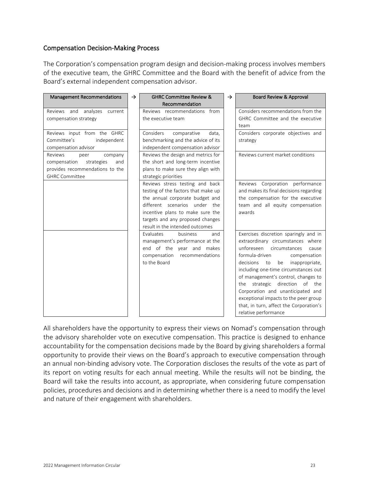# Compensation Decision-Making Process

The Corporation's compensation program design and decision-making process involves members of the executive team, the GHRC Committee and the Board with the benefit of advice from the Board's external independent compensation advisor.

| <b>Management Recommendations</b>                                                                                           | $\rightarrow$ | <b>GHRC Committee Review &amp;</b>                                                                                                                                                                                                                       | $\rightarrow$ | Board Review & Approval                                                                                                                                                                                                                                                                                                                                                                                                                                        |
|-----------------------------------------------------------------------------------------------------------------------------|---------------|----------------------------------------------------------------------------------------------------------------------------------------------------------------------------------------------------------------------------------------------------------|---------------|----------------------------------------------------------------------------------------------------------------------------------------------------------------------------------------------------------------------------------------------------------------------------------------------------------------------------------------------------------------------------------------------------------------------------------------------------------------|
|                                                                                                                             |               | Recommendation                                                                                                                                                                                                                                           |               |                                                                                                                                                                                                                                                                                                                                                                                                                                                                |
| analyzes<br>Reviews and<br>current                                                                                          |               | Reviews recommendations from<br>the executive team                                                                                                                                                                                                       |               | Considers recommendations from the<br>GHRC Committee and the executive                                                                                                                                                                                                                                                                                                                                                                                         |
| compensation strategy                                                                                                       |               |                                                                                                                                                                                                                                                          |               | team                                                                                                                                                                                                                                                                                                                                                                                                                                                           |
| Reviews input from the GHRC<br>independent<br>Committee's<br>compensation advisor                                           |               | Considers<br>comparative<br>data.<br>benchmarking and the advice of its<br>independent compensation advisor                                                                                                                                              |               | Considers corporate objectives and<br>strategy                                                                                                                                                                                                                                                                                                                                                                                                                 |
| Reviews<br>peer<br>company<br>compensation<br>strategies<br>and<br>provides recommendations to the<br><b>GHRC Committee</b> |               | Reviews the design and metrics for<br>the short and long-term incentive<br>plans to make sure they align with<br>strategic priorities                                                                                                                    |               | Reviews current market conditions                                                                                                                                                                                                                                                                                                                                                                                                                              |
|                                                                                                                             |               | Reviews stress testing and back<br>testing of the factors that make up<br>the annual corporate budget and<br>different scenarios under<br>the<br>incentive plans to make sure the<br>targets and any proposed changes<br>result in the intended outcomes |               | Reviews Corporation performance<br>and makes its final decisions regarding<br>the compensation for the executive<br>team and all equity compensation<br>awards                                                                                                                                                                                                                                                                                                 |
|                                                                                                                             |               | Evaluates<br>business<br>and<br>management's performance at the<br>end of the year and makes<br>compensation<br>recommendations<br>to the Board                                                                                                          |               | Exercises discretion sparingly and in<br>extraordinary circumstances where<br>unforeseen circumstances<br>cause<br>formula-driven<br>compensation<br>decisions<br>be<br>inappropriate,<br>to<br>including one-time circumstances out<br>of management's control, changes to<br>the strategic direction of the<br>Corporation and unanticipated and<br>exceptional impacts to the peer group<br>that, in turn, affect the Corporation's<br>relative performance |

All shareholders have the opportunity to express their views on Nomad's compensation through the advisory shareholder vote on executive compensation. This practice is designed to enhance accountability for the compensation decisions made by the Board by giving shareholders a formal opportunity to provide their views on the Board's approach to executive compensation through an annual non-binding advisory vote. The Corporation discloses the results of the vote as part of its report on voting results for each annual meeting. While the results will not be binding, the Board will take the results into account, as appropriate, when considering future compensation policies, procedures and decisions and in determining whether there is a need to modify the level and nature of their engagement with shareholders.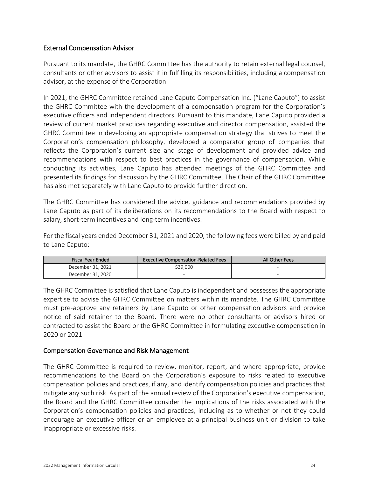# External Compensation Advisor

Pursuant to its mandate, the GHRC Committee has the authority to retain external legal counsel, consultants or other advisors to assist it in fulfilling its responsibilities, including a compensation advisor, at the expense of the Corporation.

In 2021, the GHRC Committee retained Lane Caputo Compensation Inc. ("Lane Caputo") to assist the GHRC Committee with the development of a compensation program for the Corporation's executive officers and independent directors. Pursuant to this mandate, Lane Caputo provided a review of current market practices regarding executive and director compensation, assisted the GHRC Committee in developing an appropriate compensation strategy that strives to meet the Corporation's compensation philosophy, developed a comparator group of companies that reflects the Corporation's current size and stage of development and provided advice and recommendations with respect to best practices in the governance of compensation. While conducting its activities, Lane Caputo has attended meetings of the GHRC Committee and presented its findings for discussion by the GHRC Committee. The Chair of the GHRC Committee has also met separately with Lane Caputo to provide further direction.

The GHRC Committee has considered the advice, guidance and recommendations provided by Lane Caputo as part of its deliberations on its recommendations to the Board with respect to salary, short-term incentives and long-term incentives.

For the fiscal years ended December 31, 2021 and 2020, the following fees were billed by and paid to Lane Caputo:

| <b>Fiscal Year Ended</b> | <b>Executive Compensation-Related Fees</b> | All Other Fees |
|--------------------------|--------------------------------------------|----------------|
| December 31, 2021        | \$39.000                                   |                |
| December 31, 2020        |                                            |                |

The GHRC Committee is satisfied that Lane Caputo is independent and possesses the appropriate expertise to advise the GHRC Committee on matters within its mandate. The GHRC Committee must pre-approve any retainers by Lane Caputo or other compensation advisors and provide notice of said retainer to the Board. There were no other consultants or advisors hired or contracted to assist the Board or the GHRC Committee in formulating executive compensation in 2020 or 2021.

# Compensation Governance and Risk Management

The GHRC Committee is required to review, monitor, report, and where appropriate, provide recommendations to the Board on the Corporation's exposure to risks related to executive compensation policies and practices, if any, and identify compensation policies and practices that mitigate any such risk. As part of the annual review of the Corporation's executive compensation, the Board and the GHRC Committee consider the implications of the risks associated with the Corporation's compensation policies and practices, including as to whether or not they could encourage an executive officer or an employee at a principal business unit or division to take inappropriate or excessive risks.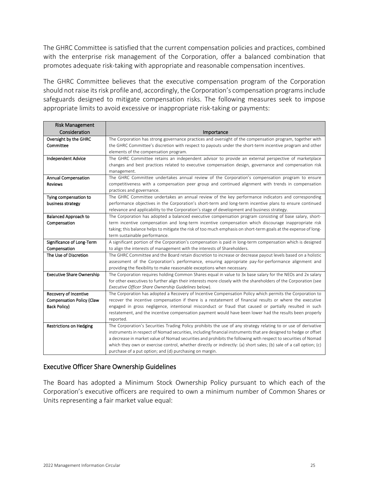The GHRC Committee is satisfied that the current compensation policies and practices, combined with the enterprise risk management of the Corporation, offer a balanced combination that promotes adequate risk-taking with appropriate and reasonable compensation incentives.

The GHRC Committee believes that the executive compensation program of the Corporation should not raise its risk profile and, accordingly, the Corporation's compensation programs include safeguards designed to mitigate compensation risks. The following measures seek to impose appropriate limits to avoid excessive or inappropriate risk-taking or payments:

| <b>Risk Management</b>           |                                                                                                                     |
|----------------------------------|---------------------------------------------------------------------------------------------------------------------|
| Consideration                    | Importance                                                                                                          |
| Oversight by the GHRC            | The Corporation has strong governance practices and oversight of the compensation program, together with            |
| Committee                        | the GHRC Committee's discretion with respect to payouts under the short-term incentive program and other            |
|                                  | elements of the compensation program.                                                                               |
| <b>Independent Advice</b>        | The GHRC Committee retains an independent advisor to provide an external perspective of marketplace                 |
|                                  | changes and best practices related to executive compensation design, governance and compensation risk               |
|                                  | management.                                                                                                         |
| <b>Annual Compensation</b>       | The GHRC Committee undertakes annual review of the Corporation's compensation program to ensure                     |
| <b>Reviews</b>                   | competitiveness with a compensation peer group and continued alignment with trends in compensation                  |
|                                  | practices and governance.                                                                                           |
| Tying compensation to            | The GHRC Committee undertakes an annual review of the key performance indicators and corresponding                  |
| business strategy                | performance objectives in the Corporation's short-term and long-term incentive plans to ensure continued            |
|                                  | relevance and applicability to the Corporation's stage of development and business strategy.                        |
| <b>Balanced Approach to</b>      | The Corporation has adopted a balanced executive compensation program consisting of base salary, short-             |
| Compensation                     | term incentive compensation and long-term incentive compensation which discourage inappropriate risk                |
|                                  | taking; this balance helps to mitigate the risk of too much emphasis on short-term goals at the expense of long-    |
|                                  | term sustainable performance.                                                                                       |
| Significance of Long-Term        | A significant portion of the Corporation's compensation is paid in long-term compensation which is designed         |
| Compensation                     | to align the interests of management with the interests of Shareholders.                                            |
| The Use of Discretion            | The GHRC Committee and the Board retain discretion to increase or decrease payout levels based on a holistic        |
|                                  | assessment of the Corporation's performance, ensuring appropriate pay-for-performance alignment and                 |
|                                  | providing the flexibility to make reasonable exceptions when necessary.                                             |
| <b>Executive Share Ownership</b> | The Corporation requires holding Common Shares equal in value to 3x base salary for the NEOs and 2x salary          |
|                                  | for other executives to further align their interests more closely with the shareholders of the Corporation (see    |
|                                  | Executive Officer Share Ownership Guidelines below).                                                                |
| Recovery of Incentive            | The Corporation has adopted a Recovery of Incentive Compensation Policy which permits the Corporation to            |
| <b>Compensation Policy (Claw</b> | recover the incentive compensation if there is a restatement of financial results or where the executive            |
| Back Policy)                     | engaged in gross negligence, intentional misconduct or fraud that caused or partially resulted in such              |
|                                  | restatement, and the incentive compensation payment would have been lower had the results been properly             |
|                                  | reported.                                                                                                           |
| <b>Restrictions on Hedging</b>   | The Corporation's Securities Trading Policy prohibits the use of any strategy relating to or use of derivative      |
|                                  | instruments in respect of Nomad securities, including financial instruments that are designed to hedge or offset    |
|                                  | a decrease in market value of Nomad securities and prohibits the following with respect to securities of Nomad      |
|                                  | which they own or exercise control, whether directly or indirectly: (a) short sales; (b) sale of a call option; (c) |
|                                  | purchase of a put option; and (d) purchasing on margin.                                                             |

# Executive Officer Share Ownership Guidelines

The Board has adopted a Minimum Stock Ownership Policy pursuant to which each of the Corporation's executive officers are required to own a minimum number of Common Shares or Units representing a fair market value equal: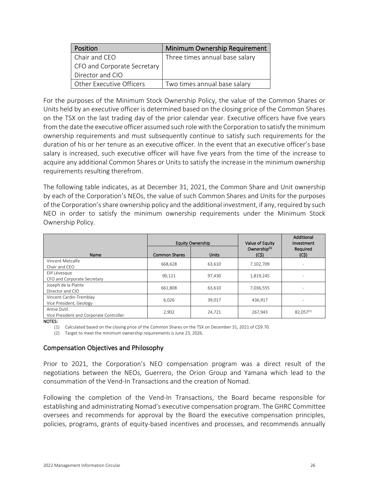| Position                    | Minimum Ownership Requirement  |
|-----------------------------|--------------------------------|
| Chair and CEO               | Three times annual base salary |
| CFO and Corporate Secretary |                                |
| Director and CIO            |                                |
| Other Executive Officers    | Two times annual base salary   |

For the purposes of the Minimum Stock Ownership Policy, the value of the Common Shares or Units held by an executive officer is determined based on the closing price of the Common Shares on the TSX on the last trading day of the prior calendar year. Executive officers have five years from the date the executive officer assumed such role with the Corporation to satisfy the minimum ownership requirements and must subsequently continue to satisfy such requirements for the duration of his or her tenure as an executive officer. In the event that an executive officer's base salary is increased, such executive officer will have five years from the time of the increase to acquire any additional Common Shares or Units to satisfy the increase in the minimum ownership requirements resulting therefrom.

The following table indicates, as at December 31, 2021, the Common Share and Unit ownership by each of the Corporation's NEOs, the value of such Common Shares and Units for the purposes of the Corporation's share ownership policy and the additional investment, if any, required by such NEO in order to satisfy the minimum ownership requirements under the Minimum Stock Ownership Policy.

|                                                        |                      | <b>Equity Ownership</b> | Value of Equity                  | Additional<br>Investment |
|--------------------------------------------------------|----------------------|-------------------------|----------------------------------|--------------------------|
| Name                                                   | <b>Common Shares</b> | <b>Units</b>            | Ownership <sup>(1)</sup><br>(C5) | Required<br>(C5)         |
| Vincent Metcalfe<br>Chair and CEO                      | 668,628              | 63,610                  | 7,102,709                        | $\overline{\phantom{a}}$ |
| Elif Lévesque<br>CFO and Corporate Secretary           | 90,121               | 97,430                  | 1,819,245                        |                          |
| Joseph de la Plante<br>Director and CIO                | 661.808              | 63,610                  | 7,036,555                        | $\overline{\phantom{a}}$ |
| Vincent Cardin-Tremblay<br>Vice President, Geology     | 6,026                | 39.017                  | 436.917                          |                          |
| Annie Dutil<br>Vice President and Corporate Controller | 2,902                | 24,721                  | 267,943                          | $82,057^{(2)}$           |

NOTES:

(1) Calculated based on the closing price of the Common Shares on the TSX on December 31, 2021 of C\$9.70.

(2) Target to meet the minimum ownership requirements is June 23, 2026.

# Compensation Objectives and Philosophy

Prior to 2021, the Corporation's NEO compensation program was a direct result of the negotiations between the NEOs, Guerrero, the Orion Group and Yamana which lead to the consummation of the Vend-In Transactions and the creation of Nomad.

Following the completion of the Vend-In Transactions, the Board became responsible for establishing and administrating Nomad's executive compensation program. The GHRC Committee oversees and recommends for approval by the Board the executive compensation principles, policies, programs, grants of equity-based incentives and processes, and recommends annually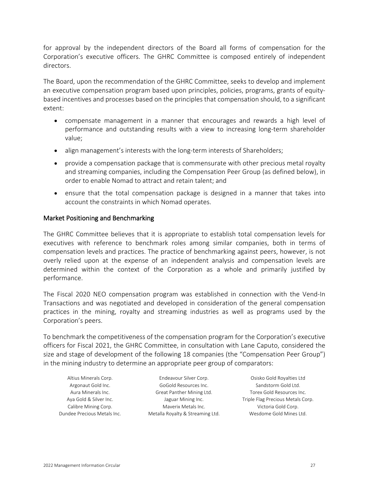for approval by the independent directors of the Board all forms of compensation for the Corporation's executive officers. The GHRC Committee is composed entirely of independent directors.

The Board, upon the recommendation of the GHRC Committee, seeks to develop and implement an executive compensation program based upon principles, policies, programs, grants of equitybased incentives and processes based on the principles that compensation should, to a significant extent:

- compensate management in a manner that encourages and rewards a high level of performance and outstanding results with a view to increasing long-term shareholder value;
- align management's interests with the long-term interests of Shareholders;
- provide a compensation package that is commensurate with other precious metal royalty and streaming companies, including the Compensation Peer Group (as defined below), in order to enable Nomad to attract and retain talent; and
- ensure that the total compensation package is designed in a manner that takes into account the constraints in which Nomad operates.

# Market Positioning and Benchmarking

The GHRC Committee believes that it is appropriate to establish total compensation levels for executives with reference to benchmark roles among similar companies, both in terms of compensation levels and practices. The practice of benchmarking against peers, however, is not overly relied upon at the expense of an independent analysis and compensation levels are determined within the context of the Corporation as a whole and primarily justified by performance.

The Fiscal 2020 NEO compensation program was established in connection with the Vend-In Transactions and was negotiated and developed in consideration of the general compensation practices in the mining, royalty and streaming industries as well as programs used by the Corporation's peers.

To benchmark the competitiveness of the compensation program for the Corporation's executive officers for Fiscal 2021, the GHRC Committee, in consultation with Lane Caputo, considered the size and stage of development of the following 18 companies (the "Compensation Peer Group") in the mining industry to determine an appropriate peer group of comparators:

| Altius Minerals Corp.       |
|-----------------------------|
| Argonaut Gold Inc.          |
| Aura Minerals Inc.          |
| Aya Gold & Silver Inc.      |
| Calibre Mining Corp.        |
| Dundee Precious Metals Inc. |

GoGold Resources Inc. Sandstorm Gold Ltd. Great Panther Mining Ltd. Torex Gold Resources Inc. Maverix Metals Inc. The Minimipsi Corp. Corp. Maverix Metals Inc. Metalla Royalty & Streaming Ltd. Wesdome Gold Mines Ltd.

Endeavour Silver Corp. **Endeavour Silver Corp.** Osisko Gold Royalties Ltd Jaguar Mining Inc. Triple Flag Precious Metals Corp.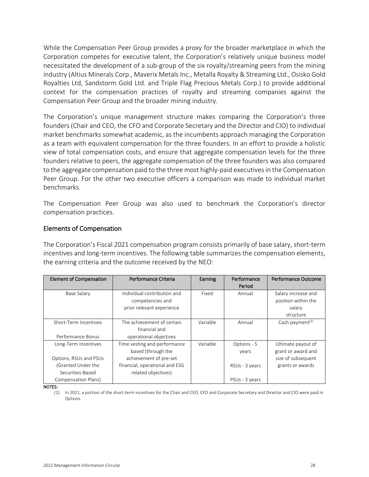While the Compensation Peer Group provides a proxy for the broader marketplace in which the Corporation competes for executive talent, the Corporation's relatively unique business model necessitated the development of a sub-group of the six royalty/streaming peers from the mining industry (Altius Minerals Corp., Maverix Metals Inc., Metalla Royalty & Streaming Ltd., Osisko Gold Royalties Ltd, Sandstorm Gold Ltd. and Triple Flag Precious Metals Corp.) to provide additional context for the compensation practices of royalty and streaming companies against the Compensation Peer Group and the broader mining industry.

The Corporation's unique management structure makes comparing the Corporation's three founders (Chair and CEO, the CFO and Corporate Secretary and the Director and CIO) to individual market benchmarks somewhat academic, as the incumbents approach managing the Corporation as a team with equivalent compensation for the three founders. In an effort to provide a holistic view of total compensation costs, and ensure that aggregate compensation levels for the three founders relative to peers, the aggregate compensation of the three founders was also compared to the aggregate compensation paid to the three most highly-paid executives in the Compensation Peer Group. For the other two executive officers a comparison was made to individual market benchmarks.

The Compensation Peer Group was also used to benchmark the Corporation's director compensation practices.

# Elements of Compensation

The Corporation's Fiscal 2021 compensation program consists primarily of base salary, short-term incentives and long-term incentives. The following table summarizes the compensation elements, the earning criteria and the outcome received by the NEO:

| <b>Element of Compensation</b> | Performance Criteria           | Earning  | Performance<br>Period | Performance Outcome         |
|--------------------------------|--------------------------------|----------|-----------------------|-----------------------------|
| Base Salary                    | Individual contribution and    | Fixed    | Annual                | Salary increase and         |
|                                | competencies and               |          |                       | position within the         |
|                                | prior relevant experience      |          |                       | salary                      |
|                                |                                |          |                       | structure                   |
| Short-Term Incentives          | The achievement of certain     | Variable | Annual                | Cash payment <sup>(1)</sup> |
|                                | financial and                  |          |                       |                             |
| Performance Bonus              | operational objectives         |          |                       |                             |
| Long-Term Incentives           | Time vesting and performance   | Variable | Options - 5           | Ultimate payout of          |
|                                | based (through the             |          | years                 | grant or award and          |
| Options, RSUs and PSUs         | achievement of pre-set         |          |                       | size of subsequent          |
| (Granted Under the             | financial, operational and ESG |          | RSUs - 3 years        | grants or awards            |
| Securities-Based               | related objectives)            |          |                       |                             |
| Compensation Plans)            |                                |          | PSUs - 3 years        |                             |

NOTES:

(1) In 2021, a portion of the short-term incentives for the Chair and CEO, CFO and Corporate Secretary and Director and CIO were paid in Options.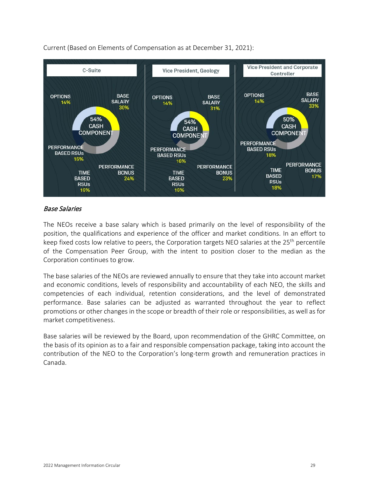

Current (Based on Elements of Compensation as at December 31, 2021):

# Base Salaries

The NEOs receive a base salary which is based primarily on the level of responsibility of the position, the qualifications and experience of the officer and market conditions. In an effort to keep fixed costs low relative to peers, the Corporation targets NEO salaries at the 25<sup>th</sup> percentile of the Compensation Peer Group, with the intent to position closer to the median as the Corporation continues to grow.

The base salaries of the NEOs are reviewed annually to ensure that they take into account market and economic conditions, levels of responsibility and accountability of each NEO, the skills and competencies of each individual, retention considerations, and the level of demonstrated performance. Base salaries can be adjusted as warranted throughout the year to reflect promotions or other changes in the scope or breadth of their role or responsibilities, as well as for market competitiveness.

Base salaries will be reviewed by the Board, upon recommendation of the GHRC Committee, on the basis of its opinion as to a fair and responsible compensation package, taking into account the contribution of the NEO to the Corporation's long-term growth and remuneration practices in Canada.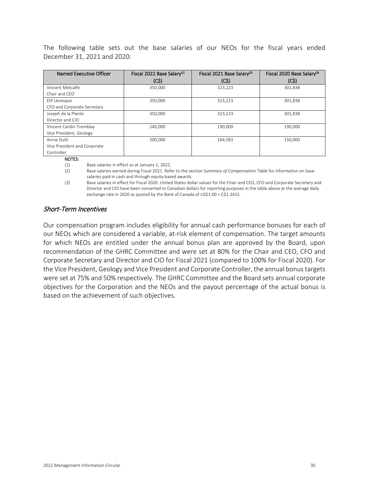The following table sets out the base salaries of our NEOs for the fiscal years ended December 31, 2021 and 2020:

| Named Executive Officer      | Fiscal 2022 Base Salary <sup>(1)</sup> | Fiscal 2021 Base Salary <sup>(2)</sup> | Fiscal 2020 Base Salary <sup>(3)</sup> |  |
|------------------------------|----------------------------------------|----------------------------------------|----------------------------------------|--|
|                              | (CS)                                   | (C5)                                   | (CS)                                   |  |
| Vincent Metcalfe             | 350,000                                | 323,223                                | 301,838                                |  |
| Chair and CFO                |                                        |                                        |                                        |  |
| Elif Lévesque                | 350,000                                | 323.223                                | 301,838                                |  |
| CFO and Corporate Secretary  |                                        |                                        |                                        |  |
| Joseph de la Plante          | 350,000                                | 323,223                                | 301,838                                |  |
| Director and CIO             |                                        |                                        |                                        |  |
| Vincent Cardin-Tremblay      | 240,000                                | 190,000                                | 190,000                                |  |
| Vice President, Geology      |                                        |                                        |                                        |  |
| Annie Dutil                  | 200,000                                | 164,583                                | 150,000                                |  |
| Vice President and Corporate |                                        |                                        |                                        |  |
| Controller                   |                                        |                                        |                                        |  |

NOTES:

(1) Base salaries in effect as at January 1, 2022.

(2) Base salaries earned during Fiscal 2021. Refer to the section *Summary of Compensation Table* for information on base salaries paid in cash and through equity-based awards.

(3) Base salaries in effect for Fiscal 2020. United States dollar values for the Chair and CEO, CFO and Corporate Secretary and Director and CIO have been converted to Canadian dollars for reporting purposes in the table above at the average daily exchange rate in 2020 as quoted by the Bank of Canada of US\$1.00 = C\$1.3415.

# Short-Term Incentives

Our compensation program includes eligibility for annual cash performance bonuses for each of our NEOs which are considered a variable, at-risk element of compensation. The target amounts for which NEOs are entitled under the annual bonus plan are approved by the Board, upon recommendation of the GHRC Committee and were set at 80% for the Chair and CEO, CFO and Corporate Secretary and Director and CIO for Fiscal 2021 (compared to 100% for Fiscal 2020). For the Vice President, Geology and Vice President and Corporate Controller, the annual bonus targets were set at 75% and 50% respectively. The GHRC Committee and the Board sets annual corporate objectives for the Corporation and the NEOs and the payout percentage of the actual bonus is based on the achievement of such objectives.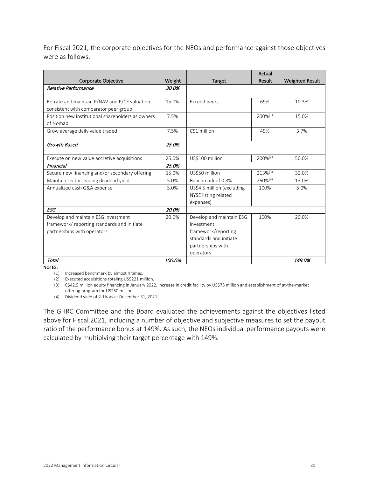For Fiscal 2021, the corporate objectives for the NEOs and performance against those objectives were as follows:

|                                                   |        |                            | Actual        |                        |
|---------------------------------------------------|--------|----------------------------|---------------|------------------------|
| Corporate Objective                               | Weight | Target                     | Result        | <b>Weighted Result</b> |
| Relative Performance                              | 30.0%  |                            |               |                        |
|                                                   |        |                            |               |                        |
| Re-rate and maintain P/NAV and P/CF valuation     | 15.0%  | Exceed peers               | 69%           | 10.3%                  |
| consistent with comparator peer group             |        |                            |               |                        |
| Position new institutional shareholders as owners | 7.5%   |                            | 200%(1)       | 15.0%                  |
| of Nomad                                          |        |                            |               |                        |
| Grow average daily value traded                   | 7.5%   | C\$1 million               | 49%           | 3.7%                   |
|                                                   |        |                            |               |                        |
| Growth Based                                      | 25.0%  |                            |               |                        |
| Execute on new value accretive acquisitions       | 25.0%  | US\$100 million            | 200%(2)       | 50.0%                  |
| Financial                                         | 25.0%  |                            |               |                        |
| Secure new financing and/or secondary offering    | 15.0%  | US\$50 million             | $213\%^{(3)}$ | 32.0%                  |
| Maintain sector leading dividend yield            | 5.0%   | Benchmark of 0.8%          | $260\%^{(4)}$ | 13.0%                  |
| Annualized cash G&A expense                       | 5.0%   | US\$4.5 million (excluding | 100%          | 5.0%                   |
|                                                   |        | NYSE listing related       |               |                        |
|                                                   |        | expenses)                  |               |                        |
| <b>ESG</b>                                        | 20.0%  |                            |               |                        |
| Develop and maintain ESG investment               | 20.0%  | Develop and maintain ESG   | 100%          | 20.0%                  |
| framework/reporting standards and initiate        |        | investment                 |               |                        |
| partnerships with operators                       |        | framework/reporting        |               |                        |
|                                                   |        | standards and initiate     |               |                        |
|                                                   |        | partnerships with          |               |                        |
|                                                   |        | operators                  |               |                        |
| Total                                             | 100.0% |                            |               | 149.0%                 |

NOTES:

(1) Increased benchmark by almost 4 times.

(2) Executed acquisitions totaling US\$221 million.

(3) C\$42.5 million equity financing in January 2022, increase in credit facility by US\$75 million and establishment of at-the-market offering program for US\$50 million.

(4) Dividend yield of 2.1% as at December 31, 2021.

The GHRC Committee and the Board evaluated the achievements against the objectives listed above for Fiscal 2021, including a number of objective and subjective measures to set the payout ratio of the performance bonus at 149%. As such, the NEOs individual performance payouts were calculated by multiplying their target percentage with 149%.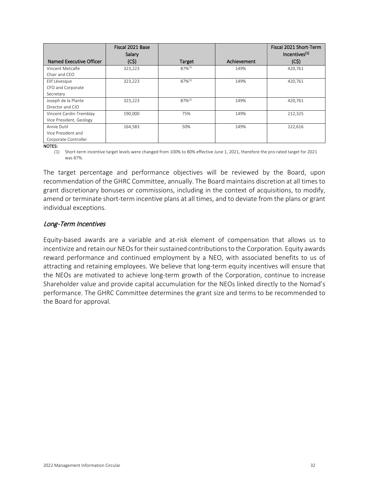|                                   | Fiscal 2021 Base<br>Salary |             |             | Fiscal 2021 Short-Term<br>Incentives <sup>(1)</sup> |
|-----------------------------------|----------------------------|-------------|-------------|-----------------------------------------------------|
| Named Executive Officer           | (C5)                       | Target      | Achievement | (C5)                                                |
| Vincent Metcalfe<br>Chair and CFO | 323,223                    | $87%^{(1)}$ | 149%        | 420.761                                             |
| Elif Lévesque                     | 323,223                    | $87%^{(1)}$ | 149%        | 420,761                                             |
| CFO and Corporate                 |                            |             |             |                                                     |
| Secretary                         |                            |             |             |                                                     |
| Joseph de la Plante               | 323,223                    | $87%^{(1)}$ | 149%        | 420,761                                             |
| Director and CIO                  |                            |             |             |                                                     |
| Vincent Cardin-Tremblay           | 190,000                    | 75%         | 149%        | 212,325                                             |
| Vice President, Geology           |                            |             |             |                                                     |
| Annie Dutil                       | 164,583                    | 50%         | 149%        | 122,616                                             |
| Vice President and                |                            |             |             |                                                     |
| Corporate Controller              |                            |             |             |                                                     |

NOTES:

(1) Short-term incentive target levels were changed from 100% to 80% effective June 1, 2021, therefore the pro-rated target for 2021 was 87%.

The target percentage and performance objectives will be reviewed by the Board, upon recommendation of the GHRC Committee, annually. The Board maintains discretion at all times to grant discretionary bonuses or commissions, including in the context of acquisitions, to modify, amend or terminate short-term incentive plans at all times, and to deviate from the plans or grant individual exceptions.

# Long-Term Incentives

Equity-based awards are a variable and at-risk element of compensation that allows us to incentivize and retain our NEOs for their sustained contributions to the Corporation. Equity awards reward performance and continued employment by a NEO, with associated benefits to us of attracting and retaining employees. We believe that long-term equity incentives will ensure that the NEOs are motivated to achieve long-term growth of the Corporation, continue to increase Shareholder value and provide capital accumulation for the NEOs linked directly to the Nomad's performance. The GHRC Committee determines the grant size and terms to be recommended to the Board for approval.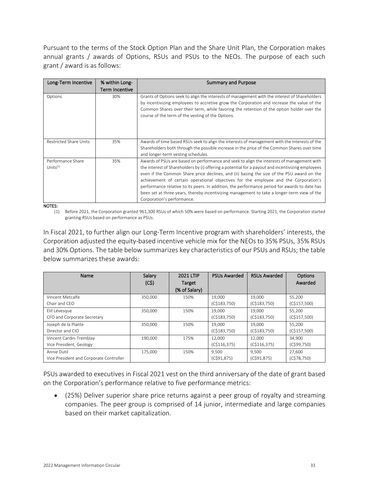Pursuant to the terms of the Stock Option Plan and the Share Unit Plan, the Corporation makes annual grants / awards of Options, RSUs and PSUs to the NEOs. The purpose of each such grant / award is as follows:

| Long-Term Incentive              | % within Long-        | <b>Summary and Purpose</b>                                                                                                                                                                                                                                                                                                                                                                                                                                                                                                                                                                                         |
|----------------------------------|-----------------------|--------------------------------------------------------------------------------------------------------------------------------------------------------------------------------------------------------------------------------------------------------------------------------------------------------------------------------------------------------------------------------------------------------------------------------------------------------------------------------------------------------------------------------------------------------------------------------------------------------------------|
|                                  | <b>Term Incentive</b> |                                                                                                                                                                                                                                                                                                                                                                                                                                                                                                                                                                                                                    |
| Options                          | 30%                   | Grants of Options seek to align the interests of management with the interest of Shareholders<br>by incentivizing employees to accretive grow the Corporation and increase the value of the<br>Common Shares over their term, while favoring the retention of the option holder over the<br>course of the term of the vesting of the Options.                                                                                                                                                                                                                                                                      |
| <b>Restricted Share Units</b>    | 35%                   | Awards of time based RSUs seek to align the interests of management with the interests of the<br>Shareholders both through the possible increase in the price of the Common Shares over time<br>and longer-term vesting schedules.                                                                                                                                                                                                                                                                                                                                                                                 |
| Performance Share<br>Units $(1)$ | 35%                   | Awards of PSUs are based on performance and seek to align the interests of management with<br>the interest of Shareholders by (i) offering a potential for a payout and incentivizing employees<br>even if the Common Share price declines, and (ii) basing the size of the PSU award on the<br>achievement of certain operational objectives for the employee and the Corporation's<br>performance relative to its peers. In addition, the performance period for awards to date has<br>been set at three years, thereby incentivizing management to take a longer-term view of the<br>Corporation's performance. |

#### NOTES:

(1) Before 2021, the Corporation granted 961,300 RSUs of which 50% were based on performance. Starting 2021, the Corporation started granting RSUs based on performance as PSUs.

In Fiscal 2021, to further align our Long-Term Incentive program with shareholders' interests, the Corporation adjusted the equity-based incentive vehicle mix for the NEOs to 35% PSUs, 35% RSUs and 30% Options. The table below summarizes key characteristics of our PSUs and RSUs; the table below summarizes these awards:

| Name                                    | Salary  | <b>2021 LTIP</b> | <b>PSUs Awarded</b> | <b>RSUs Awarded</b> | <b>Options</b> |
|-----------------------------------------|---------|------------------|---------------------|---------------------|----------------|
|                                         | (C5)    | Target           |                     |                     | Awarded        |
|                                         |         | (% of Salary)    |                     |                     |                |
| Vincent Metcalfe                        | 350,000 | 150%             | 19,000              | 19,000              | 55.200         |
| Chair and CEO                           |         |                  | (C\$183,750)        | (C\$183,750)        | (C\$157,500)   |
| Elif Lévesque                           | 350,000 | 150%             | 19,000              | 19,000              | 55,200         |
| CFO and Corporate Secretary             |         |                  | (C\$183,750)        | (C\$183,750)        | (C\$157,500)   |
| Joseph de la Plante                     | 350,000 | 150%             | 19,000              | 19,000              | 55.200         |
| Director and CIO                        |         |                  | (C\$183,750)        | (C\$183,750)        | (C\$157,500)   |
| Vincent Cardin-Tremblay                 | 190.000 | 175%             | 12.000              | 12.000              | 34.900         |
| Vice President, Geology                 |         |                  | (C\$116,375)        | (C\$116,375)        | (C\$99,750)    |
| Annie Dutil                             | 175,000 | 150%             | 9,500               | 9,500               | 27,600         |
| Vice President and Corporate Controller |         |                  | (C\$91,875)         | (C\$91,875)         | (C\$78,750)    |

PSUs awarded to executives in Fiscal 2021 vest on the third anniversary of the date of grant based on the Corporation's performance relative to five performance metrics:

• (25%) Deliver superior share price returns against a peer group of royalty and streaming companies. The peer group is comprised of 14 junior, intermediate and large companies based on their market capitalization.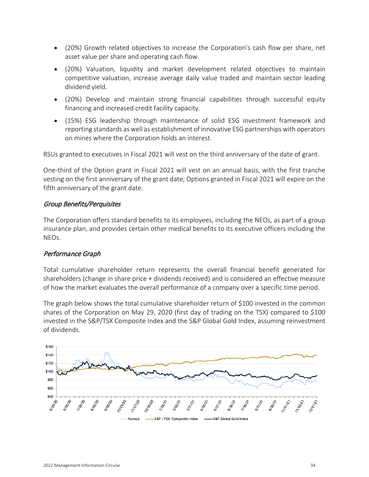- (20%) Growth related objectives to increase the Corporation's cash flow per share, net asset value per share and operating cash flow.
- (20%) Valuation, liquidity and market development related objectives to maintain competitive valuation, increase average daily value traded and maintain sector leading dividend yield.
- (20%) Develop and maintain strong financial capabilities through successful equity financing and increased credit facility capacity.
- (15%) ESG leadership through maintenance of solid ESG investment framework and reporting standards as well as establishment of innovative ESG partnerships with operators on mines where the Corporation holds an interest.

RSUs granted to executives in Fiscal 2021 will vest on the third anniversary of the date of grant.

One-third of the Option grant in Fiscal 2021 will vest on an annual basis, with the first tranche vesting on the first anniversary of the grant date; Options granted in Fiscal 2021 will expire on the fifth anniversary of the grant date.

# Group Benefits/Perquisites

The Corporation offers standard benefits to its employees, including the NEOs, as part of a group insurance plan, and provides certain other medical benefits to its executive officers including the NEOs.

# Performance Graph

Total cumulative shareholder return represents the overall financial benefit generated for shareholders (change in share price + dividends received) and is considered an effective measure of how the market evaluates the overall performance of a company over a specific time period.

The graph below shows the total cumulative shareholder return of \$100 invested in the common shares of the Corporation on May 29, 2020 (first day of trading on the TSX) compared to \$100 invested in the S&P/TSX Composite Index and the S&P Global Gold Index, assuming reinvestment of dividends.

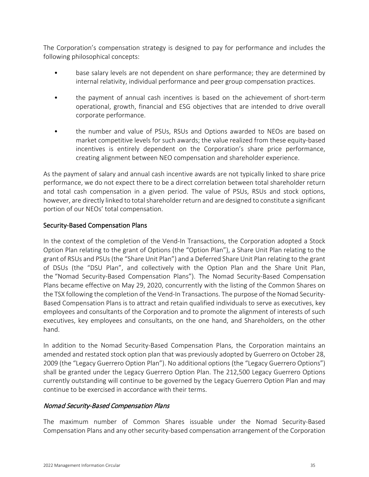The Corporation's compensation strategy is designed to pay for performance and includes the following philosophical concepts:

- base salary levels are not dependent on share performance; they are determined by internal relativity, individual performance and peer group compensation practices.
- the payment of annual cash incentives is based on the achievement of short-term operational, growth, financial and ESG objectives that are intended to drive overall corporate performance.
- the number and value of PSUs, RSUs and Options awarded to NEOs are based on market competitive levels for such awards; the value realized from these equity-based incentives is entirely dependent on the Corporation's share price performance, creating alignment between NEO compensation and shareholder experience.

As the payment of salary and annual cash incentive awards are not typically linked to share price performance, we do not expect there to be a direct correlation between total shareholder return and total cash compensation in a given period. The value of PSUs, RSUs and stock options, however, are directly linked to total shareholder return and are designed to constitute a significant portion of our NEOs' total compensation.

## <span id="page-36-0"></span>Security-Based Compensation Plans

In the context of the completion of the Vend-In Transactions, the Corporation adopted a Stock Option Plan relating to the grant of Options (the "Option Plan"), a Share Unit Plan relating to the grant of RSUs and PSUs (the "Share Unit Plan") and a Deferred Share Unit Plan relating to the grant of DSUs (the "DSU Plan", and collectively with the Option Plan and the Share Unit Plan, the "Nomad Security-Based Compensation Plans"). The Nomad Security-Based Compensation Plans became effective on May 29, 2020, concurrently with the listing of the Common Shares on the TSX following the completion of the Vend-In Transactions. The purpose of the Nomad Security-Based Compensation Plans is to attract and retain qualified individuals to serve as executives, key employees and consultants of the Corporation and to promote the alignment of interests of such executives, key employees and consultants, on the one hand, and Shareholders, on the other hand.

In addition to the Nomad Security-Based Compensation Plans, the Corporation maintains an amended and restated stock option plan that was previously adopted by Guerrero on October 28, 2009 (the "Legacy Guerrero Option Plan"). No additional options (the "Legacy Guerrero Options") shall be granted under the Legacy Guerrero Option Plan. The 212,500 Legacy Guerrero Options currently outstanding will continue to be governed by the Legacy Guerrero Option Plan and may continue to be exercised in accordance with their terms.

## Nomad Security-Based Compensation Plans

The maximum number of Common Shares issuable under the Nomad Security-Based Compensation Plans and any other security-based compensation arrangement of the Corporation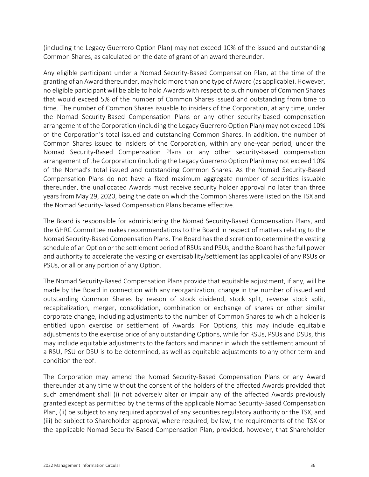(including the Legacy Guerrero Option Plan) may not exceed 10% of the issued and outstanding Common Shares, as calculated on the date of grant of an award thereunder.

Any eligible participant under a Nomad Security-Based Compensation Plan, at the time of the granting of an Award thereunder, may hold more than one type of Award (as applicable). However, no eligible participant will be able to hold Awards with respect to such number of Common Shares that would exceed 5% of the number of Common Shares issued and outstanding from time to time. The number of Common Shares issuable to insiders of the Corporation, at any time, under the Nomad Security-Based Compensation Plans or any other security-based compensation arrangement of the Corporation (including the Legacy Guerrero Option Plan) may not exceed 10% of the Corporation's total issued and outstanding Common Shares. In addition, the number of Common Shares issued to insiders of the Corporation, within any one-year period, under the Nomad Security-Based Compensation Plans or any other security-based compensation arrangement of the Corporation (including the Legacy Guerrero Option Plan) may not exceed 10% of the Nomad's total issued and outstanding Common Shares. As the Nomad Security-Based Compensation Plans do not have a fixed maximum aggregate number of securities issuable thereunder, the unallocated Awards must receive security holder approval no later than three years from May 29, 2020, being the date on which the Common Shares were listed on the TSX and the Nomad Security-Based Compensation Plans became effective.

The Board is responsible for administering the Nomad Security-Based Compensation Plans, and the GHRC Committee makes recommendations to the Board in respect of matters relating to the Nomad Security-Based Compensation Plans. The Board has the discretion to determine the vesting schedule of an Option or the settlement period of RSUs and PSUs, and the Board has the full power and authority to accelerate the vesting or exercisability/settlement (as applicable) of any RSUs or PSUs, or all or any portion of any Option.

The Nomad Security-Based Compensation Plans provide that equitable adjustment, if any, will be made by the Board in connection with any reorganization, change in the number of issued and outstanding Common Shares by reason of stock dividend, stock split, reverse stock split, recapitalization, merger, consolidation, combination or exchange of shares or other similar corporate change, including adjustments to the number of Common Shares to which a holder is entitled upon exercise or settlement of Awards. For Options, this may include equitable adjustments to the exercise price of any outstanding Options, while for RSUs, PSUs and DSUs, this may include equitable adjustments to the factors and manner in which the settlement amount of a RSU, PSU or DSU is to be determined, as well as equitable adjustments to any other term and condition thereof.

The Corporation may amend the Nomad Security-Based Compensation Plans or any Award thereunder at any time without the consent of the holders of the affected Awards provided that such amendment shall (i) not adversely alter or impair any of the affected Awards previously granted except as permitted by the terms of the applicable Nomad Security-Based Compensation Plan, (ii) be subject to any required approval of any securities regulatory authority or the TSX, and (iii) be subject to Shareholder approval, where required, by law, the requirements of the TSX or the applicable Nomad Security-Based Compensation Plan; provided, however, that Shareholder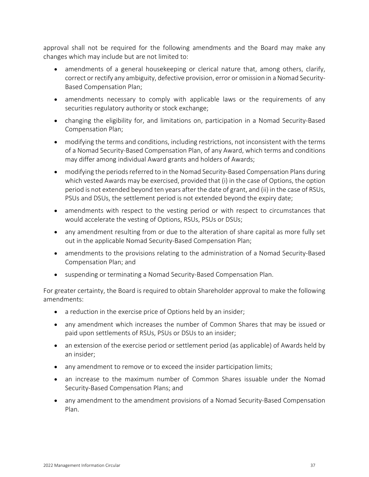approval shall not be required for the following amendments and the Board may make any changes which may include but are not limited to:

- amendments of a general housekeeping or clerical nature that, among others, clarify, correct or rectify any ambiguity, defective provision, error or omission in a Nomad Security-Based Compensation Plan;
- amendments necessary to comply with applicable laws or the requirements of any securities regulatory authority or stock exchange;
- changing the eligibility for, and limitations on, participation in a Nomad Security-Based Compensation Plan;
- modifying the terms and conditions, including restrictions, not inconsistent with the terms of a Nomad Security-Based Compensation Plan, of any Award, which terms and conditions may differ among individual Award grants and holders of Awards;
- modifying the periods referred to in the Nomad Security-Based Compensation Plans during which vested Awards may be exercised, provided that (i) in the case of Options, the option period is not extended beyond ten years after the date of grant, and (ii) in the case of RSUs, PSUs and DSUs, the settlement period is not extended beyond the expiry date;
- amendments with respect to the vesting period or with respect to circumstances that would accelerate the vesting of Options, RSUs, PSUs or DSUs;
- any amendment resulting from or due to the alteration of share capital as more fully set out in the applicable Nomad Security-Based Compensation Plan;
- amendments to the provisions relating to the administration of a Nomad Security-Based Compensation Plan; and
- suspending or terminating a Nomad Security-Based Compensation Plan.

For greater certainty, the Board is required to obtain Shareholder approval to make the following amendments:

- a reduction in the exercise price of Options held by an insider;
- any amendment which increases the number of Common Shares that may be issued or paid upon settlements of RSUs, PSUs or DSUs to an insider;
- an extension of the exercise period or settlement period (as applicable) of Awards held by an insider;
- any amendment to remove or to exceed the insider participation limits;
- an increase to the maximum number of Common Shares issuable under the Nomad Security-Based Compensation Plans; and
- any amendment to the amendment provisions of a Nomad Security-Based Compensation Plan.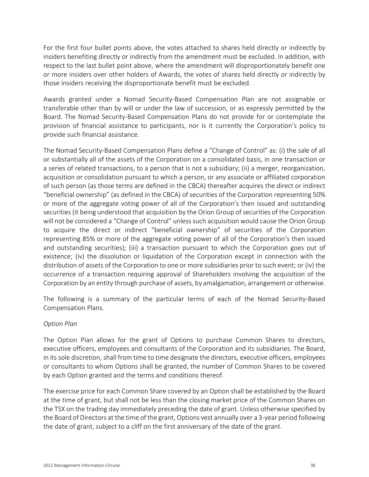For the first four bullet points above, the votes attached to shares held directly or indirectly by insiders benefiting directly or indirectly from the amendment must be excluded. In addition, with respect to the last bullet point above, where the amendment will disproportionately benefit one or more insiders over other holders of Awards, the votes of shares held directly or indirectly by those insiders receiving the disproportionate benefit must be excluded.

Awards granted under a Nomad Security-Based Compensation Plan are not assignable or transferable other than by will or under the law of succession, or as expressly permitted by the Board. The Nomad Security-Based Compensation Plans do not provide for or contemplate the provision of financial assistance to participants, nor is it currently the Corporation's policy to provide such financial assistance.

The Nomad Security-Based Compensation Plans define a "Change of Control" as: (i) the sale of all or substantially all of the assets of the Corporation on a consolidated basis, in one transaction or a series of related transactions, to a person that is not a subsidiary; (ii) a merger, reorganization, acquisition or consolidation pursuant to which a person, or any associate or affiliated corporation of such person (as those terms are defined in the CBCA) thereafter acquires the direct or indirect "beneficial ownership" (as defined in the CBCA) of securities of the Corporation representing 50% or more of the aggregate voting power of all of the Corporation's then issued and outstanding securities (it being understood that acquisition by the Orion Group of securities of the Corporation will not be considered a "Change of Control" unless such acquisition would cause the Orion Group to acquire the direct or indirect "beneficial ownership" of securities of the Corporation representing 85% or more of the aggregate voting power of all of the Corporation's then issued and outstanding securities); (iii) a transaction pursuant to which the Corporation goes out of existence; (iv) the dissolution or liquidation of the Corporation except in connection with the distribution of assets of the Corporation to one or more subsidiaries prior to such event; or (iv) the occurrence of a transaction requiring approval of Shareholders involving the acquisition of the Corporation by an entity through purchase of assets, by amalgamation, arrangement or otherwise.

The following is a summary of the particular terms of each of the Nomad Security-Based Compensation Plans.

#### *Option Plan*

The Option Plan allows for the grant of Options to purchase Common Shares to directors, executive officers, employees and consultants of the Corporation and its subsidiaries. The Board, in its sole discretion, shall from time to time designate the directors, executive officers, employees or consultants to whom Options shall be granted, the number of Common Shares to be covered by each Option granted and the terms and conditions thereof.

The exercise price for each Common Share covered by an Option shall be established by the Board at the time of grant, but shall not be less than the closing market price of the Common Shares on the TSX on the trading day immediately preceding the date of grant. Unless otherwise specified by the Board of Directors at the time of the grant, Options vest annually over a 3-year period following the date of grant, subject to a cliff on the first anniversary of the date of the grant.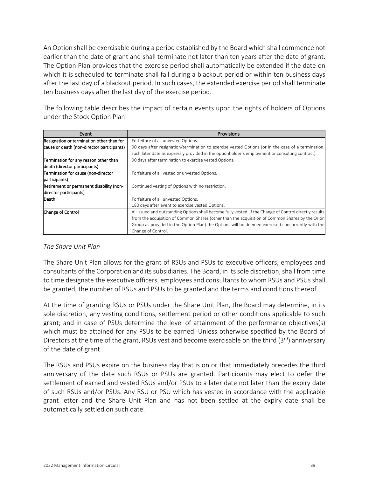An Option shall be exercisable during a period established by the Board which shall commence not earlier than the date of grant and shall terminate not later than ten years after the date of grant. The Option Plan provides that the exercise period shall automatically be extended if the date on which it is scheduled to terminate shall fall during a blackout period or within ten business days after the last day of a blackout period. In such cases, the extended exercise period shall terminate ten business days after the last day of the exercise period.

The following table describes the impact of certain events upon the rights of holders of Options under the Stock Option Plan:

| Event                                      | Provisions                                                                                              |
|--------------------------------------------|---------------------------------------------------------------------------------------------------------|
| Resignation or termination other than for  | Forfeiture of all unvested Options.                                                                     |
| cause or death (non-director participants) | 90 days after resignation/termination to exercise vested Options (or in the case of a termination,      |
|                                            | such later date as expressly provided in the optionholder's employment or consulting contract).         |
| Termination for any reason other than      | 90 days after termination to exercise vested Options.                                                   |
| death (director participants)              |                                                                                                         |
| Termination for cause (non-director        | Forfeiture of all vested or unvested Options.                                                           |
| participants)                              |                                                                                                         |
| Retirement or permanent disability (non-   | Continued vesting of Options with no restriction.                                                       |
| director participants)                     |                                                                                                         |
| Death                                      | Forfeiture of all unvested Options.                                                                     |
|                                            | 180 days after event to exercise vested Options.                                                        |
| Change of Control                          | All issued and outstanding Options shall become fully vested. If the Change of Control directly results |
|                                            | from the acquisition of Common Shares (other than the acquisition of Common Shares by the Orion         |
|                                            | Group as provided in the Option Plan) the Options will be deemed exercised concurrently with the        |
|                                            | Change of Control.                                                                                      |

#### *The Share Unit Plan*

The Share Unit Plan allows for the grant of RSUs and PSUs to executive officers, employees and consultants of the Corporation and its subsidiaries. The Board, in its sole discretion, shall from time to time designate the executive officers, employees and consultants to whom RSUs and PSUs shall be granted, the number of RSUs and PSUs to be granted and the terms and conditions thereof.

At the time of granting RSUs or PSUs under the Share Unit Plan, the Board may determine, in its sole discretion, any vesting conditions, settlement period or other conditions applicable to such grant; and in case of PSUs determine the level of attainment of the performance objectives(s) which must be attained for any PSUs to be earned. Unless otherwise specified by the Board of Directors at the time of the grant, RSUs vest and become exercisable on the third (3rd) anniversary of the date of grant.

The RSUs and PSUs expire on the business day that is on or that immediately precedes the third anniversary of the date such RSUs or PSUs are granted. Participants may elect to defer the settlement of earned and vested RSUs and/or PSUs to a later date not later than the expiry date of such RSUs and/or PSUs. Any RSU or PSU which has vested in accordance with the applicable grant letter and the Share Unit Plan and has not been settled at the expiry date shall be automatically settled on such date.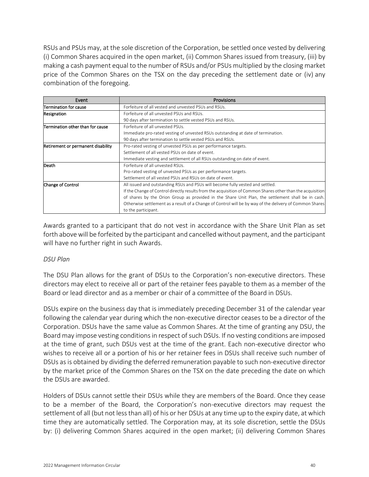RSUs and PSUs may, at the sole discretion of the Corporation, be settled once vested by delivering (i) Common Shares acquired in the open market, (ii) Common Shares issued from treasury, (iii) by making a cash payment equal to the number of RSUs and/or PSUs multiplied by the closing market price of the Common Shares on the TSX on the day preceding the settlement date or (iv) any combination of the foregoing.

| Event                              | <b>Provisions</b>                                                                                          |
|------------------------------------|------------------------------------------------------------------------------------------------------------|
| Termination for cause              | Forfeiture of all vested and unvested PSUs and RSUs.                                                       |
| Resignation                        | Forfeiture of all unvested PSUs and RSUs.                                                                  |
|                                    | 90 days after termination to settle vested PSUs and RSUs.                                                  |
| Termination other than for cause   | Forfeiture of all unvested PSUs.                                                                           |
|                                    | Immediate pro-rated vesting of unvested RSUs outstanding at date of termination.                           |
|                                    | 90 days after termination to settle vested PSUs and RSUs.                                                  |
| Retirement or permanent disability | Pro-rated vesting of unvested PSUs as per performance targets.                                             |
|                                    | Settlement of all vested PSUs on date of event.                                                            |
|                                    | Immediate vesting and settlement of all RSUs outstanding on date of event.                                 |
| Death                              | Forfeiture of all unvested RSUs.                                                                           |
|                                    | Pro-rated vesting of unvested PSUs as per performance targets.                                             |
|                                    | Settlement of all vested PSUs and RSUs on date of event.                                                   |
| Change of Control                  | All issued and outstanding RSUs and PSUs will become fully vested and settled.                             |
|                                    | If the Change of Control directly results from the acquisition of Common Shares other than the acquisition |
|                                    | of shares by the Orion Group as provided in the Share Unit Plan, the settlement shall be in cash.          |
|                                    | Otherwise settlement as a result of a Change of Control will be by way of the delivery of Common Shares    |
|                                    | to the participant.                                                                                        |

Awards granted to a participant that do not vest in accordance with the Share Unit Plan as set forth above will be forfeited by the participant and cancelled without payment, and the participant will have no further right in such Awards.

#### *DSU Plan*

The DSU Plan allows for the grant of DSUs to the Corporation's non-executive directors. These directors may elect to receive all or part of the retainer fees payable to them as a member of the Board or lead director and as a member or chair of a committee of the Board in DSUs.

DSUs expire on the business day that is immediately preceding December 31 of the calendar year following the calendar year during which the non-executive director ceases to be a director of the Corporation. DSUs have the same value as Common Shares. At the time of granting any DSU, the Board may impose vesting conditions in respect of such DSUs. If no vesting conditions are imposed at the time of grant, such DSUs vest at the time of the grant. Each non-executive director who wishes to receive all or a portion of his or her retainer fees in DSUs shall receive such number of DSUs as is obtained by dividing the deferred remuneration payable to such non-executive director by the market price of the Common Shares on the TSX on the date preceding the date on which the DSUs are awarded.

Holders of DSUs cannot settle their DSUs while they are members of the Board. Once they cease to be a member of the Board, the Corporation's non-executive directors may request the settlement of all (but not less than all) of his or her DSUs at any time up to the expiry date, at which time they are automatically settled. The Corporation may, at its sole discretion, settle the DSUs by: (i) delivering Common Shares acquired in the open market; (ii) delivering Common Shares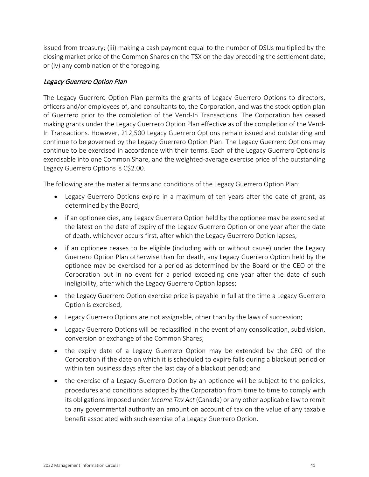issued from treasury; (iii) making a cash payment equal to the number of DSUs multiplied by the closing market price of the Common Shares on the TSX on the day preceding the settlement date; or (iv) any combination of the foregoing.

## Legacy Guerrero Option Plan

The Legacy Guerrero Option Plan permits the grants of Legacy Guerrero Options to directors, officers and/or employees of, and consultants to, the Corporation, and was the stock option plan of Guerrero prior to the completion of the Vend-In Transactions. The Corporation has ceased making grants under the Legacy Guerrero Option Plan effective as of the completion of the Vend-In Transactions. However, 212,500 Legacy Guerrero Options remain issued and outstanding and continue to be governed by the Legacy Guerrero Option Plan. The Legacy Guerrero Options may continue to be exercised in accordance with their terms. Each of the Legacy Guerrero Options is exercisable into one Common Share, and the weighted-average exercise price of the outstanding Legacy Guerrero Options is C\$2.00.

The following are the material terms and conditions of the Legacy Guerrero Option Plan:

- Legacy Guerrero Options expire in a maximum of ten years after the date of grant, as determined by the Board;
- if an optionee dies, any Legacy Guerrero Option held by the optionee may be exercised at the latest on the date of expiry of the Legacy Guerrero Option or one year after the date of death, whichever occurs first, after which the Legacy Guerrero Option lapses;
- if an optionee ceases to be eligible (including with or without cause) under the Legacy Guerrero Option Plan otherwise than for death, any Legacy Guerrero Option held by the optionee may be exercised for a period as determined by the Board or the CEO of the Corporation but in no event for a period exceeding one year after the date of such ineligibility, after which the Legacy Guerrero Option lapses;
- the Legacy Guerrero Option exercise price is payable in full at the time a Legacy Guerrero Option is exercised;
- Legacy Guerrero Options are not assignable, other than by the laws of succession;
- Legacy Guerrero Options will be reclassified in the event of any consolidation, subdivision, conversion or exchange of the Common Shares;
- the expiry date of a Legacy Guerrero Option may be extended by the CEO of the Corporation if the date on which it is scheduled to expire falls during a blackout period or within ten business days after the last day of a blackout period; and
- the exercise of a Legacy Guerrero Option by an optionee will be subject to the policies, procedures and conditions adopted by the Corporation from time to time to comply with its obligations imposed under *Income Tax Act* (Canada) or any other applicable law to remit to any governmental authority an amount on account of tax on the value of any taxable benefit associated with such exercise of a Legacy Guerrero Option.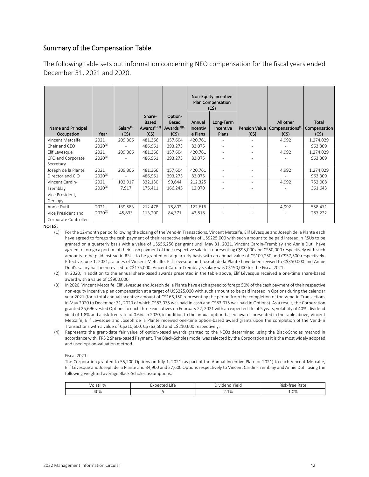#### Summary of the Compensation Table

The following table sets out information concerning NEO compensation for the fiscal years ended December 31, 2021 and 2020.

|                                                           |                      |                                |                                                     |                                                       | <b>Non-Equity Incentive</b><br>Plan Compensation<br>(C\$) |                                 |                               |                                                   |                                |
|-----------------------------------------------------------|----------------------|--------------------------------|-----------------------------------------------------|-------------------------------------------------------|-----------------------------------------------------------|---------------------------------|-------------------------------|---------------------------------------------------|--------------------------------|
| Name and Principal<br>Occupation                          | Year                 | Salary <sup>(1)</sup><br>(C\$) | Share-<br>Based<br>Awards <sup>(1)(2)</sup><br>(C5) | Option-<br>Based<br>Awards <sup>(3)(4)</sup><br>(C\$) | Annual<br>Incentiv<br>e Plans                             | Long-Term<br>Incentive<br>Plans | <b>Pension Value</b><br>(C\$) | All other<br>Compensations <sup>(5)</sup><br>(C5) | Total<br>Compensation<br>(C\$) |
| Vincent Metcalfe<br>Chair and CEO                         | 2021<br>$2020^{(6)}$ | 209,306                        | 481,366<br>486,961                                  | 157,604<br>393,273                                    | 420,761<br>83,075                                         | $\overline{\phantom{a}}$        |                               | 4,992                                             | 1,274,029<br>963,309           |
| Elif Lévesque<br>CFO and Corporate<br>Secretary           | 2021<br>$2020^{(6)}$ | 209,306                        | 481,366<br>486,961                                  | 157,604<br>393,273                                    | 420,761<br>83,075                                         | ٠                               |                               | 4,992                                             | 1,274,029<br>963,309           |
| Joseph de la Plante<br>Director and CIO                   | 2021<br>$2020^{(6)}$ | 209,306                        | 481,366<br>486,961                                  | 157,604<br>393,273                                    | 420,761<br>83,075                                         | ٠<br>$\overline{\phantom{a}}$   |                               | 4,992                                             | 1,274,029<br>963,309           |
| Vincent Cardin-<br>Tremblay<br>Vice President,<br>Geology | 2021<br>$2020^{(6)}$ | 102,917<br>7,917               | 332,130<br>175,411                                  | 99,644<br>166,245                                     | 212,325<br>12,070                                         | $\sim$                          |                               | 4,992                                             | 752,008<br>361,643             |
| Annie Dutil<br>Vice President and<br>Corporate Controller | 2021<br>$2020^{(6)}$ | 139,583<br>45,833              | 212.478<br>113,200                                  | 78,802<br>84,371                                      | 122,616<br>43,818                                         | ٠                               |                               | 4,992                                             | 558,471<br>287,222             |

NOTES:

- (1) For the 12-month period following the closing of the Vend-In Transactions, Vincent Metcalfe, Elif Lévesque and Joseph de la Plante each have agreed to forego the cash payment of their respective salaries of US\$225,000 with such amount to be paid instead in RSUs to be granted on a quarterly basis with a value of US\$56,250 per grant until May 31, 2021. Vincent Cardin-Tremblay and Annie Dutil have agreed to forego a portion of their cash payment of their respective salaries representing C\$95,000 and C\$50,000 respectively with such amounts to be paid instead in RSUs to be granted on a quarterly basis with an annual value of C\$109,250 and C\$57,500 respectively. Effective June 1, 2021, salaries of Vincent Metcalfe, Elif Lévesque and Joseph de la Plante have been revised to C\$350,000 and Annie Dutil's salary has been revised to C\$175,000. Vincent Cardin-Tremblay's salary was C\$190,000 for the Fiscal 2021.
- (2) In 2020, in addition to the annual share-based awards presented in the table above, Elif Lévesque received a one-time share-based award with a value of C\$900,000.
- (3) In 2020, Vincent Metcalfe, Elif Lévesque and Joseph de la Plante have each agreed to forego 50% of the cash payment of their respective non-equity incentive plan compensation at a target of US\$225,000 with such amount to be paid instead in Options during the calendar year 2021 (for a total annual incentive amount of C\$166,150 representing the period from the completion of the Vend-in Transactions in May 2020 to December 31, 2020 of which C\$83,075 was paid in cash and C\$83,075 was paid in Options). As a result, the Corporation granted 25,696 vested Options to each three executives on February 22, 2021 with an expected life of 5 years, volatility of 40%, dividend yield of 1.8% and a risk-free rate of 0.6%. In 2020, in addition to the annual option-based awards presented in the table above, Vincent Metcalfe, Elif Lévesque and Joseph de la Plante received one-time option-based award grants upon the completion of the Vend-In Transactions with a value of C\$210,600, C\$763,500 and C\$210,600 respectively.
- (4) Represents the grant-date fair value of option-based awards granted to the NEOs determined using the Black-Scholes method in accordance with IFRS 2 Share-based Payment. The Black-Scholes model was selected by the Corporation as it is the most widely adopted and used option-valuation method.

#### Fiscal 2021:

The Corporation granted to 55,200 Options on July 1, 2021 (as part of the Annual Incentive Plan for 2021) to each Vincent Metcalfe, Elif Lévesque and Joseph de la Plante and 34,900 and 27,600 Options respectively to Vincent Cardin-Tremblay and Annie Dutil using the following weighted average Black-Scholes assumptions:

| <br>тшт       | . .<br>$\overline{y}$<br>$\sim$<br><br>.<br>$\sim$<br>$-1$ | - - -<br>.<br>Yield<br>Dividenc | - -<br>مرون<br>$rac{r}{2}$<br>AISK<br>1a cu |
|---------------|------------------------------------------------------------|---------------------------------|---------------------------------------------|
| $\sim$<br>40% |                                                            | 10/<br>$\angle$ . $\perp$ /0    | $1.0\%$<br>- - -                            |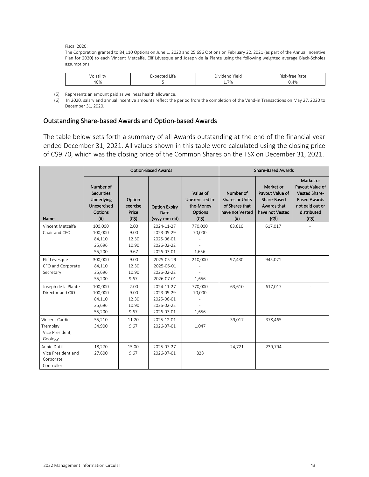Fiscal 2020:

The Corporation granted to 84,110 Options on June 1, 2020 and 25,696 Options on February 22, 2021 (as part of the Annual Incentive Plan for 2020) to each Vincent Metcalfe, Elif Lévesque and Joseph de la Plante using the following weighted average Black-Scholes assumptions:

| .<br>---<br>3 L I I I L<br>Üld | $+e$<br>1.0 <sub>m</sub><br>. د<br>1 E<br><b>LIIE</b><br>— ∧⊾ ''<br>$\sim$ 1.4. | $-1$<br>$\sim$ $\sim$<br>Yiela<br>Dividend     | $3.7 -$<br>$1 - + -$<br>$\sim$ $\sim$<br>' Rate<br>712k<br>U |
|--------------------------------|---------------------------------------------------------------------------------|------------------------------------------------|--------------------------------------------------------------|
| 40%<br>4 U Z                   |                                                                                 | $\neg \theta$<br>$\overline{\phantom{a}}$<br>. | 4%                                                           |

- (5) Represents an amount paid as wellness health allowance.
- (6) In 2020, salary and annual incentive amounts reflect the period from the completion of the Vend-in Transactions on May 27, 2020 to December 31, 2020.

#### Outstanding Share-based Awards and Option-based Awards

The table below sets forth a summary of all Awards outstanding at the end of the financial year ended December 31, 2021. All values shown in this table were calculated using the closing price of C\$9.70, which was the closing price of the Common Shares on the TSX on December 31, 2021.

|                     |                                                                                     |                                     | <b>Option-Based Awards</b>                   |                                                                    | <b>Share-Based Awards</b>                                                             |                                                                                       |                                                                                                                |
|---------------------|-------------------------------------------------------------------------------------|-------------------------------------|----------------------------------------------|--------------------------------------------------------------------|---------------------------------------------------------------------------------------|---------------------------------------------------------------------------------------|----------------------------------------------------------------------------------------------------------------|
| Name                | Number of<br><b>Securities</b><br>Underlying<br>Unexercised<br>Options<br>$($ # $)$ | Option<br>exercise<br>Price<br>(C5) | <b>Option Expiry</b><br>Date<br>(yyyy-mm-dd) | Value of<br>Unexercised In-<br>the-Money<br><b>Options</b><br>(C5) | Number of<br><b>Shares or Units</b><br>of Shares that<br>have not Vested<br>$($ # $)$ | Market or<br>Payout Value of<br>Share-Based<br>Awards that<br>have not Vested<br>(C5) | Market or<br>Payout Value of<br>Vested Share-<br><b>Based Awards</b><br>not paid out or<br>distributed<br>(C5) |
| Vincent Metcalfe    | 100,000                                                                             | 2.00                                | 2024-11-27                                   | 770,000                                                            | 63,610                                                                                | 617,017                                                                               |                                                                                                                |
| Chair and CEO       | 100,000                                                                             | 9.00                                | 2023-05-29                                   | 70,000                                                             |                                                                                       |                                                                                       |                                                                                                                |
|                     | 84,110                                                                              | 12.30                               | 2025-06-01                                   |                                                                    |                                                                                       |                                                                                       |                                                                                                                |
|                     | 25,696                                                                              | 10.90                               | 2026-02-22                                   |                                                                    |                                                                                       |                                                                                       |                                                                                                                |
|                     | 55,200                                                                              | 9.67                                | 2026-07-01                                   | 1,656                                                              |                                                                                       |                                                                                       |                                                                                                                |
| Elif Lévesque       | 300,000                                                                             | 9.00                                | 2025-05-29                                   | 210,000                                                            | 97,430                                                                                | 945,071                                                                               |                                                                                                                |
| CFO and Corporate   | 84,110                                                                              | 12.30                               | 2025-06-01                                   |                                                                    |                                                                                       |                                                                                       |                                                                                                                |
| Secretary           | 25,696                                                                              | 10.90                               | 2026-02-22                                   |                                                                    |                                                                                       |                                                                                       |                                                                                                                |
|                     | 55,200                                                                              | 9.67                                | 2026-07-01                                   | 1,656                                                              |                                                                                       |                                                                                       |                                                                                                                |
| Joseph de la Plante | 100,000                                                                             | 2.00                                | 2024-11-27                                   | 770,000                                                            | 63,610                                                                                | 617,017                                                                               |                                                                                                                |
| Director and CIO    | 100,000                                                                             | 9.00                                | 2023-05-29                                   | 70,000                                                             |                                                                                       |                                                                                       |                                                                                                                |
|                     | 84,110                                                                              | 12.30                               | 2025-06-01                                   |                                                                    |                                                                                       |                                                                                       |                                                                                                                |
|                     | 25,696                                                                              | 10.90                               | 2026-02-22                                   |                                                                    |                                                                                       |                                                                                       |                                                                                                                |
|                     | 55,200                                                                              | 9.67                                | 2026-07-01                                   | 1,656                                                              |                                                                                       |                                                                                       |                                                                                                                |
| Vincent Cardin-     | 55,210                                                                              | 11.20                               | 2025-12-01                                   |                                                                    | 39,017                                                                                | 378,465                                                                               |                                                                                                                |
| Tremblay            | 34,900                                                                              | 9.67                                | 2026-07-01                                   | 1,047                                                              |                                                                                       |                                                                                       |                                                                                                                |
| Vice President,     |                                                                                     |                                     |                                              |                                                                    |                                                                                       |                                                                                       |                                                                                                                |
| Geology             |                                                                                     |                                     |                                              |                                                                    |                                                                                       |                                                                                       |                                                                                                                |
| Annie Dutil         | 18,270                                                                              | 15.00                               | 2025-07-27                                   |                                                                    | 24,721                                                                                | 239,794                                                                               |                                                                                                                |
| Vice President and  | 27,600                                                                              | 9.67                                | 2026-07-01                                   | 828                                                                |                                                                                       |                                                                                       |                                                                                                                |
| Corporate           |                                                                                     |                                     |                                              |                                                                    |                                                                                       |                                                                                       |                                                                                                                |
| Controller          |                                                                                     |                                     |                                              |                                                                    |                                                                                       |                                                                                       |                                                                                                                |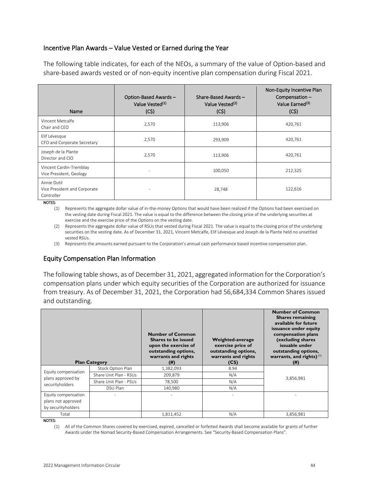## Incentive Plan Awards – Value Vested or Earned during the Year

The following table indicates, for each of the NEOs, a summary of the value of Option-based and share-based awards vested or of non-equity incentive plan compensation during Fiscal 2021.

| Name                                                      | Option-Based Awards-<br>Value Vested <sup>(1)</sup><br>(C5) | Share-Based Awards -<br>Value Vested <sup>(2)</sup><br>(C5) | Non-Equity Incentive Plan<br>Compensation-<br>Value Earned <sup>(3)</sup><br>(C5) |
|-----------------------------------------------------------|-------------------------------------------------------------|-------------------------------------------------------------|-----------------------------------------------------------------------------------|
| Vincent Metcalfe<br>Chair and CEO                         | 2,570                                                       | 113,906                                                     | 420,761                                                                           |
| Elif Lévesque<br>CFO and Corporate Secretary              | 2,570                                                       | 293,909                                                     | 420,761                                                                           |
| Joseph de la Plante<br>Director and CIO                   | 2,570                                                       | 113,906                                                     | 420,761                                                                           |
| Vincent Cardin-Tremblay<br>Vice President, Geology        | $\overline{\phantom{a}}$                                    | 100,050                                                     | 212,325                                                                           |
| Annie Dutil<br>Vice President and Corporate<br>Controller | $\overline{\phantom{a}}$                                    | 28,748                                                      | 122,616                                                                           |

NOTES:

(1) Represents the aggregate dollar value of in-the-money Options that would have been realized if the Options had been exercised on the vesting date during Fiscal 2021. The value is equal to the difference between the closing price of the underlying securities at exercise and the exercise price of the Options on the vesting date.

(2) Represents the aggregate dollar value of RSUs that vested during Fiscal 2021. The value is equal to the closing price of the underlying securities on the vesting date. As of December 31, 2021, Vincent Metcalfe, Elif Lévesque and Joseph de la Plante held no unsettled vested RSUs.

(3) Represents the amounts earned pursuant to the Corporation's annual cash performance based incentive compensation plan.

## Equity Compensation Plan Information

The following table shows, as of December 31, 2021, aggregated information for the Corporation's compensation plans under which equity securities of the Corporation are authorized for issuance from treasury. As of December 31, 2021, the Corporation had 56,684,334 Common Shares issued and outstanding.

|                                                                 | <b>Plan Category</b>   | <b>Number of Common</b><br>Shares to be issued<br>upon the exercise of<br>outstanding options,<br>warrants and rights<br>(# ) | Weighted-average<br>exercise price of<br>outstanding options,<br>warrants and rights<br>(C\$) | <b>Number of Common</b><br><b>Shares remaining</b><br>available for future<br>issuance under equity<br>compensation plans<br>(excluding shares<br>issuable under<br>outstanding options,<br>warrants, and rights) $(1)$<br>(# ) |
|-----------------------------------------------------------------|------------------------|-------------------------------------------------------------------------------------------------------------------------------|-----------------------------------------------------------------------------------------------|---------------------------------------------------------------------------------------------------------------------------------------------------------------------------------------------------------------------------------|
|                                                                 | Stock Option Plan      | 1,382,093                                                                                                                     | 8.94                                                                                          |                                                                                                                                                                                                                                 |
| Equity compensation<br>plans approved by                        | Share Unit Plan - RSUs | 209,879                                                                                                                       | N/A                                                                                           | 3,856,981                                                                                                                                                                                                                       |
| securityholders                                                 | Share Unit Plan - PSUs | 78,500                                                                                                                        | N/A                                                                                           |                                                                                                                                                                                                                                 |
|                                                                 | DSU Plan               | 140,980                                                                                                                       | N/A                                                                                           |                                                                                                                                                                                                                                 |
| Equity compensation<br>plans not approved<br>by securityholders |                        |                                                                                                                               |                                                                                               |                                                                                                                                                                                                                                 |
| Total                                                           |                        | 1,811,452                                                                                                                     | N/A                                                                                           | 3,856,981                                                                                                                                                                                                                       |

NOTES:

(1) All of the Common Shares covered by exercised, expired, cancelled or forfeited Awards shall become available for grants of further Awards under the Nomad Security-Based Compensation Arrangements. See ["Security-Based Compensation Plans"](#page-36-0).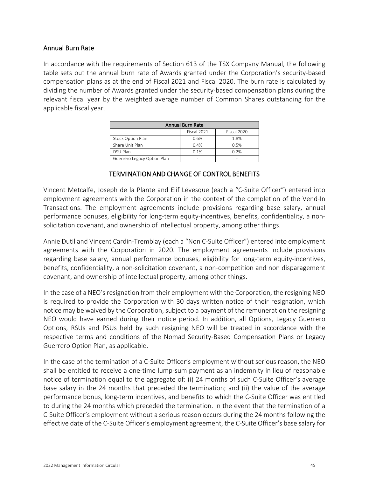## Annual Burn Rate

In accordance with the requirements of Section 613 of the TSX Company Manual, the following table sets out the annual burn rate of Awards granted under the Corporation's security-based compensation plans as at the end of Fiscal 2021 and Fiscal 2020. The burn rate is calculated by dividing the number of Awards granted under the security-based compensation plans during the relevant fiscal year by the weighted average number of Common Shares outstanding for the applicable fiscal year.

| <b>Annual Burn Rate</b>     |      |      |  |  |  |  |
|-----------------------------|------|------|--|--|--|--|
| Fiscal 2021<br>Fiscal 2020  |      |      |  |  |  |  |
| Stock Option Plan           | 0.6% | 1.8% |  |  |  |  |
| Share Unit Plan             | 0.4% | 0.5% |  |  |  |  |
| DSU Plan                    | 0.1% | 0.2% |  |  |  |  |
| Guerrero Legacy Option Plan |      |      |  |  |  |  |

## TERMINATION AND CHANGE OF CONTROL BENEFITS

Vincent Metcalfe, Joseph de la Plante and Elif Lévesque (each a "C-Suite Officer") entered into employment agreements with the Corporation in the context of the completion of the Vend-In Transactions. The employment agreements include provisions regarding base salary, annual performance bonuses, eligibility for long-term equity-incentives, benefits, confidentiality, a nonsolicitation covenant, and ownership of intellectual property, among other things.

Annie Dutil and Vincent Cardin-Tremblay (each a "Non C-Suite Officer") entered into employment agreements with the Corporation in 2020. The employment agreements include provisions regarding base salary, annual performance bonuses, eligibility for long-term equity-incentives, benefits, confidentiality, a non-solicitation covenant, a non-competition and non disparagement covenant, and ownership of intellectual property, among other things.

In the case of a NEO's resignation from their employment with the Corporation, the resigning NEO is required to provide the Corporation with 30 days written notice of their resignation, which notice may be waived by the Corporation, subject to a payment of the remuneration the resigning NEO would have earned during their notice period. In addition, all Options, Legacy Guerrero Options, RSUs and PSUs held by such resigning NEO will be treated in accordance with the respective terms and conditions of the Nomad Security-Based Compensation Plans or Legacy Guerrero Option Plan, as applicable.

In the case of the termination of a C-Suite Officer's employment without serious reason, the NEO shall be entitled to receive a one-time lump-sum payment as an indemnity in lieu of reasonable notice of termination equal to the aggregate of: (i) 24 months of such C-Suite Officer's average base salary in the 24 months that preceded the termination; and (ii) the value of the average performance bonus, long-term incentives, and benefits to which the C-Suite Officer was entitled to during the 24 months which preceded the termination. In the event that the termination of a C-Suite Officer's employment without a serious reason occurs during the 24 months following the effective date of the C-Suite Officer's employment agreement, the C-Suite Officer's base salary for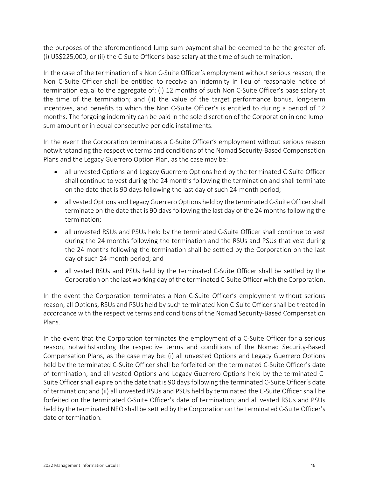the purposes of the aforementioned lump-sum payment shall be deemed to be the greater of: (i) US\$225,000; or (ii) the C-Suite Officer's base salary at the time of such termination.

In the case of the termination of a Non C-Suite Officer's employment without serious reason, the Non C-Suite Officer shall be entitled to receive an indemnity in lieu of reasonable notice of termination equal to the aggregate of: (i) 12 months of such Non C-Suite Officer's base salary at the time of the termination; and (ii) the value of the target performance bonus, long-term incentives, and benefits to which the Non C-Suite Officer's is entitled to during a period of 12 months. The forgoing indemnity can be paid in the sole discretion of the Corporation in one lumpsum amount or in equal consecutive periodic installments.

In the event the Corporation terminates a C-Suite Officer's employment without serious reason notwithstanding the respective terms and conditions of the Nomad Security-Based Compensation Plans and the Legacy Guerrero Option Plan, as the case may be:

- all unvested Options and Legacy Guerrero Options held by the terminated C-Suite Officer shall continue to vest during the 24 months following the termination and shall terminate on the date that is 90 days following the last day of such 24-month period;
- all vested Options and Legacy Guerrero Options held by the terminated C-Suite Officer shall terminate on the date that is 90 days following the last day of the 24 months following the termination;
- all unvested RSUs and PSUs held by the terminated C-Suite Officer shall continue to vest during the 24 months following the termination and the RSUs and PSUs that vest during the 24 months following the termination shall be settled by the Corporation on the last day of such 24-month period; and
- all vested RSUs and PSUs held by the terminated C-Suite Officer shall be settled by the Corporation on the last working day of the terminated C-Suite Officer with the Corporation.

In the event the Corporation terminates a Non C-Suite Officer's employment without serious reason, all Options, RSUs and PSUs held by such terminated Non C-Suite Officer shall be treated in accordance with the respective terms and conditions of the Nomad Security-Based Compensation Plans.

In the event that the Corporation terminates the employment of a C-Suite Officer for a serious reason, notwithstanding the respective terms and conditions of the Nomad Security-Based Compensation Plans, as the case may be: (i) all unvested Options and Legacy Guerrero Options held by the terminated C-Suite Officer shall be forfeited on the terminated C-Suite Officer's date of termination; and all vested Options and Legacy Guerrero Options held by the terminated C-Suite Officer shall expire on the date that is 90 days following the terminated C-Suite Officer's date of termination; and (ii) all unvested RSUs and PSUs held by terminated the C-Suite Officer shall be forfeited on the terminated C-Suite Officer's date of termination; and all vested RSUs and PSUs held by the terminated NEO shall be settled by the Corporation on the terminated C-Suite Officer's date of termination.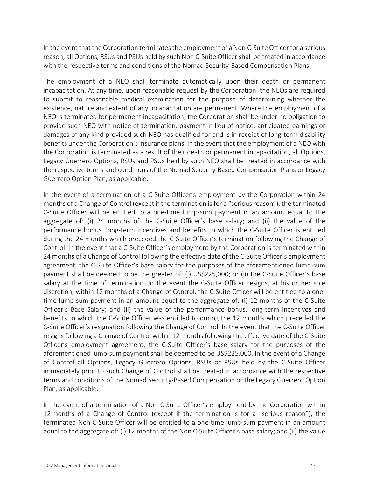In the event that the Corporation terminates the employment of a Non C-Suite Officer for a serious reason, all Options, RSUs and PSUs held by such Non C-Suite Officer shall be treated in accordance with the respective terms and conditions of the Nomad Security-Based Compensation Plans.

The employment of a NEO shall terminate automatically upon their death or permanent incapacitation. At any time, upon reasonable request by the Corporation, the NEOs are required to submit to reasonable medical examination for the purpose of determining whether the existence, nature and extent of any incapacitation are permanent. Where the employment of a NEO is terminated for permanent incapacitation, the Corporation shall be under no obligation to provide such NEO with notice of termination, payment in lieu of notice, anticipated earnings or damages of any kind provided such NEO has qualified for and is in receipt of long-term disability benefits under the Corporation's insurance plans. In the event that the employment of a NEO with the Corporation is terminated as a result of their death or permanent incapacitation, all Options, Legacy Guerrero Options, RSUs and PSUs held by such NEO shall be treated in accordance with the respective terms and conditions of the Nomad Security-Based Compensation Plans or Legacy Guerrero Option Plan, as applicable.

In the event of a termination of a C-Suite Officer's employment by the Corporation within 24 months of a Change of Control (except if the termination is for a "serious reason"), the terminated C-Suite Officer will be entitled to a one-time lump-sum payment in an amount equal to the aggregate of: (i) 24 months of the C-Suite Officer's base salary; and (ii) the value of the performance bonus, long-term incentives and benefits to which the C-Suite Officer is entitled during the 24 months which preceded the C-Suite Officer's termination following the Change of Control. In the event that a C-Suite Officer's employment by the Corporation is terminated within 24 months of a Change of Control following the effective date of the C-Suite Officer's employment agreement, the C-Suite Officer's base salary for the purposes of the aforementioned lump-sum payment shall be deemed to be the greater of: (i) US\$225,000; or (ii) the C-Suite Officer's base salary at the time of termination. In the event the C-Suite Officer resigns, at his or her sole discretion, within 12 months of a Change of Control, the C-Suite Officer will be entitled to a onetime lump-sum payment in an amount equal to the aggregate of: (i) 12 months of the C-Suite Officer's Base Salary; and (ii) the value of the performance bonus, long-term incentives and benefits to which the C-Suite Officer was entitled to during the 12 months which preceded the C-Suite Officer's resignation following the Change of Control. In the event that the C-Suite Officer resigns following a Change of Control within 12 months following the effective date of the C-Suite Officer's employment agreement, the C-Suite Officer's base salary for the purposes of the aforementioned lump-sum payment shall be deemed to be US\$225,000. In the event of a Change of Control all Options, Legacy Guerrero Options, RSUs or PSUs held by the C-Suite Officer immediately prior to such Change of Control shall be treated in accordance with the respective terms and conditions of the Nomad Security-Based Compensation or the Legacy Guerrero Option Plan, as applicable.

In the event of a termination of a Non C-Suite Officer's employment by the Corporation within 12 months of a Change of Control (except if the termination is for a "serious reason"), the terminated Non C-Suite Officer will be entitled to a one-time lump-sum payment in an amount equal to the aggregate of: (i) 12 months of the Non C-Suite Officer's base salary; and (ii) the value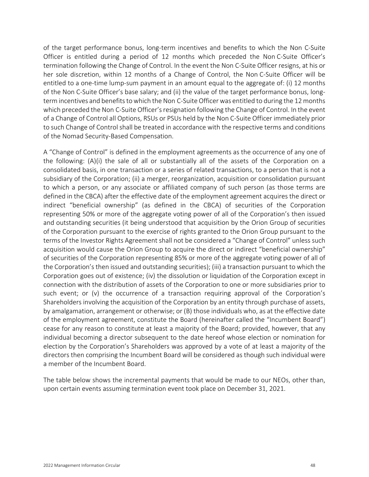of the target performance bonus, long-term incentives and benefits to which the Non C-Suite Officer is entitled during a period of 12 months which preceded the Non C-Suite Officer's termination following the Change of Control. In the event the Non C-Suite Officer resigns, at his or her sole discretion, within 12 months of a Change of Control, the Non C-Suite Officer will be entitled to a one-time lump-sum payment in an amount equal to the aggregate of: (i) 12 months of the Non C-Suite Officer's base salary; and (ii) the value of the target performance bonus, longterm incentives and benefits to which the Non C-Suite Officer was entitled to during the 12 months which preceded the Non C-Suite Officer's resignation following the Change of Control. In the event of a Change of Control all Options, RSUs or PSUs held by the Non C-Suite Officer immediately prior to such Change of Control shall be treated in accordance with the respective terms and conditions of the Nomad Security-Based Compensation.

A "Change of Control" is defined in the employment agreements as the occurrence of any one of the following: (A)(i) the sale of all or substantially all of the assets of the Corporation on a consolidated basis, in one transaction or a series of related transactions, to a person that is not a subsidiary of the Corporation; (ii) a merger, reorganization, acquisition or consolidation pursuant to which a person, or any associate or affiliated company of such person (as those terms are defined in the CBCA) after the effective date of the employment agreement acquires the direct or indirect "beneficial ownership" (as defined in the CBCA) of securities of the Corporation representing 50% or more of the aggregate voting power of all of the Corporation's then issued and outstanding securities (it being understood that acquisition by the Orion Group of securities of the Corporation pursuant to the exercise of rights granted to the Orion Group pursuant to the terms of the Investor Rights Agreement shall not be considered a "Change of Control" unless such acquisition would cause the Orion Group to acquire the direct or indirect "beneficial ownership" of securities of the Corporation representing 85% or more of the aggregate voting power of all of the Corporation's then issued and outstanding securities); (iii) a transaction pursuant to which the Corporation goes out of existence; (iv) the dissolution or liquidation of the Corporation except in connection with the distribution of assets of the Corporation to one or more subsidiaries prior to such event; or (v) the occurrence of a transaction requiring approval of the Corporation's Shareholders involving the acquisition of the Corporation by an entity through purchase of assets, by amalgamation, arrangement or otherwise; or (B) those individuals who, as at the effective date of the employment agreement, constitute the Board (hereinafter called the "Incumbent Board") cease for any reason to constitute at least a majority of the Board; provided, however, that any individual becoming a director subsequent to the date hereof whose election or nomination for election by the Corporation's Shareholders was approved by a vote of at least a majority of the directors then comprising the Incumbent Board will be considered as though such individual were a member of the Incumbent Board.

The table below shows the incremental payments that would be made to our NEOs, other than, upon certain events assuming termination event took place on December 31, 2021.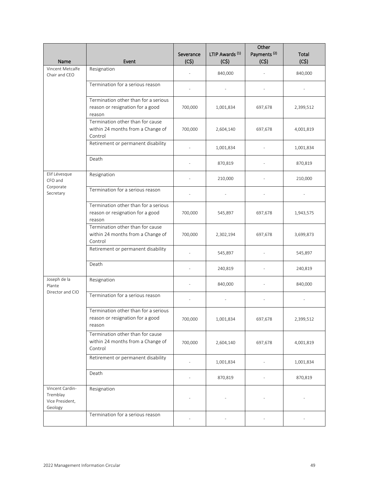| Name                                                      | Event                                                                              | Severance<br>(C5) | LTIP Awards <sup>(1)</sup><br>(C5) | Other<br>Payments <sup>(2)</sup><br>(C5) | Total<br>(C5) |
|-----------------------------------------------------------|------------------------------------------------------------------------------------|-------------------|------------------------------------|------------------------------------------|---------------|
| Vincent Metcalfe<br>Chair and CEO                         | Resignation                                                                        |                   | 840,000                            |                                          | 840,000       |
|                                                           | Termination for a serious reason                                                   |                   |                                    |                                          |               |
|                                                           | Termination other than for a serious<br>reason or resignation for a good<br>reason | 700,000           | 1,001,834                          | 697,678                                  | 2,399,512     |
|                                                           | Termination other than for cause<br>within 24 months from a Change of<br>Control   | 700,000           | 2,604,140                          | 697,678                                  | 4,001,819     |
|                                                           | Retirement or permanent disability                                                 |                   | 1,001,834                          |                                          | 1,001,834     |
|                                                           | Death                                                                              |                   | 870,819                            |                                          | 870,819       |
| Elif Lévesque<br>CFO and                                  | Resignation                                                                        |                   | 210,000                            |                                          | 210,000       |
| Corporate<br>Secretary                                    | Termination for a serious reason                                                   |                   |                                    |                                          |               |
|                                                           | Termination other than for a serious<br>reason or resignation for a good<br>reason | 700,000           | 545,897                            | 697,678                                  | 1,943,575     |
|                                                           | Termination other than for cause<br>within 24 months from a Change of<br>Control   | 700,000           | 2,302,194                          | 697,678                                  | 3,699,873     |
|                                                           | Retirement or permanent disability                                                 |                   | 545,897                            |                                          | 545,897       |
|                                                           | Death                                                                              |                   | 240,819                            |                                          | 240,819       |
| Joseph de la<br>Plante                                    | Resignation                                                                        |                   | 840,000                            |                                          | 840,000       |
| Director and CIO                                          | Termination for a serious reason                                                   |                   |                                    |                                          |               |
|                                                           | Termination other than for a serious<br>reason or resignation for a good<br>reason | 700,000           | 1,001,834                          | 697,678                                  | 2,399,512     |
|                                                           | Termination other than for cause<br>within 24 months from a Change of<br>Control   | 700,000           | 2,604,140                          | 697,678                                  | 4,001,819     |
|                                                           | Retirement or permanent disability                                                 | ÷,                | 1,001,834                          |                                          | 1,001,834     |
|                                                           | Death                                                                              |                   | 870,819                            |                                          | 870,819       |
| Vincent Cardin-<br>Tremblay<br>Vice President,<br>Geology | Resignation                                                                        |                   |                                    |                                          |               |
|                                                           | Termination for a serious reason                                                   |                   |                                    |                                          |               |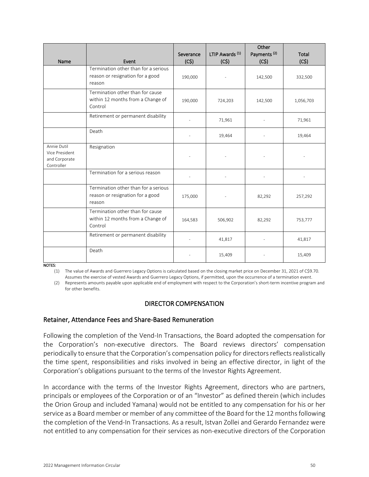| Name                                                         | Event                                                                              | Severance<br>(C5) | LTIP Awards <sup>(1)</sup><br>(C5) | Other<br>Payments <sup>(2)</sup><br>(C5) | Total<br>(C5) |
|--------------------------------------------------------------|------------------------------------------------------------------------------------|-------------------|------------------------------------|------------------------------------------|---------------|
|                                                              | Termination other than for a serious<br>reason or resignation for a good<br>reason | 190,000           |                                    | 142,500                                  | 332,500       |
|                                                              | Termination other than for cause<br>within 12 months from a Change of<br>Control   | 190,000           | 724,203                            | 142,500                                  | 1,056,703     |
|                                                              | Retirement or permanent disability                                                 |                   | 71,961                             |                                          | 71,961        |
|                                                              | Death                                                                              |                   | 19,464                             |                                          | 19,464        |
| Annie Dutil<br>Vice President<br>and Corporate<br>Controller | Resignation                                                                        |                   |                                    |                                          |               |
|                                                              | Termination for a serious reason                                                   |                   |                                    |                                          |               |
|                                                              | Termination other than for a serious<br>reason or resignation for a good<br>reason | 175,000           |                                    | 82,292                                   | 257,292       |
|                                                              | Termination other than for cause<br>within 12 months from a Change of<br>Control   | 164,583           | 506,902                            | 82,292                                   | 753,777       |
|                                                              | Retirement or permanent disability                                                 |                   | 41,817                             |                                          | 41,817        |
|                                                              | Death                                                                              |                   | 15,409                             |                                          | 15,409        |

NOTES:

(1) The value of Awards and Guerrero Legacy Options is calculated based on the closing market price on December 31, 2021 of C\$9.70. Assumes the exercise of vested Awards and Guerrero Legacy Options, if permitted, upon the occurrence of a termination event.

(2) Represents amounts payable upon applicable end of employment with respect to the Corporation's short-term incentive program and for other benefits.

#### DIRECTOR COMPENSATION

#### Retainer, Attendance Fees and Share-Based Remuneration

Following the completion of the Vend-In Transactions, the Board adopted the compensation for the Corporation's non-executive directors. The Board reviews directors' compensation periodically to ensure that the Corporation's compensation policy for directors reflects realistically the time spent, responsibilities and risks involved in being an effective director, in light of the Corporation's obligations pursuant to the terms of the Investor Rights Agreement.

In accordance with the terms of the Investor Rights Agreement, directors who are partners, principals or employees of the Corporation or of an "Investor" as defined therein (which includes the Orion Group and included Yamana) would not be entitled to any compensation for his or her service as a Board member or member of any committee of the Board for the 12 months following the completion of the Vend-In Transactions. As a result, Istvan Zollei and Gerardo Fernandez were not entitled to any compensation for their services as non-executive directors of the Corporation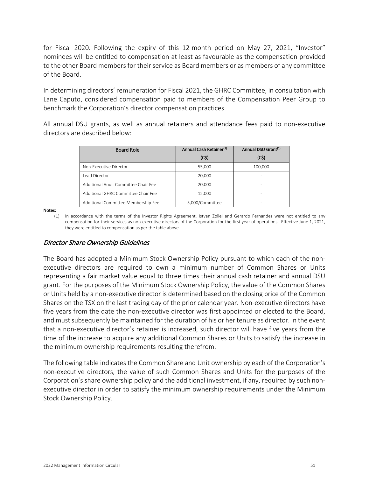for Fiscal 2020. Following the expiry of this 12-month period on May 27, 2021, "Investor" nominees will be entitled to compensation at least as favourable as the compensation provided to the other Board members for their service as Board members or as members of any committee of the Board.

In determining directors' remuneration for Fiscal 2021, the GHRC Committee, in consultation with Lane Caputo, considered compensation paid to members of the Compensation Peer Group to benchmark the Corporation's director compensation practices.

All annual DSU grants, as well as annual retainers and attendance fees paid to non-executive directors are described below:

| <b>Board Role</b>                    | Annual Cash Retainer <sup>(1)</sup> | Annual DSU Grant <sup>(1)</sup> |
|--------------------------------------|-------------------------------------|---------------------------------|
|                                      | (C5)                                | (C5)                            |
| Non-Executive Director               | 55,000                              | 100,000                         |
| Lead Director                        | 20,000                              |                                 |
| Additional Audit Committee Chair Fee | 20,000                              |                                 |
| Additional GHRC Committee Chair Fee  | 15,000                              |                                 |
| Additional Committee Membership Fee  | 5.000/Committee                     |                                 |

Notes:

(1) In accordance with the terms of the Investor Rights Agreement, Istvan Zollei and Gerardo Fernandez were not entitled to any compensation for their services as non-executive directors of the Corporation for the first year of operations. Effective June 1, 2021, they were entitled to compensation as per the table above.

## Director Share Ownership Guidelines

The Board has adopted a Minimum Stock Ownership Policy pursuant to which each of the nonexecutive directors are required to own a minimum number of Common Shares or Units representing a fair market value equal to three times their annual cash retainer and annual DSU grant. For the purposes of the Minimum Stock Ownership Policy, the value of the Common Shares or Units held by a non-executive director is determined based on the closing price of the Common Shares on the TSX on the last trading day of the prior calendar year. Non-executive directors have five years from the date the non-executive director was first appointed or elected to the Board, and must subsequently be maintained for the duration of his or her tenure as director. In the event that a non-executive director's retainer is increased, such director will have five years from the time of the increase to acquire any additional Common Shares or Units to satisfy the increase in the minimum ownership requirements resulting therefrom.

The following table indicates the Common Share and Unit ownership by each of the Corporation's non-executive directors, the value of such Common Shares and Units for the purposes of the Corporation's share ownership policy and the additional investment, if any, required by such nonexecutive director in order to satisfy the minimum ownership requirements under the Minimum Stock Ownership Policy.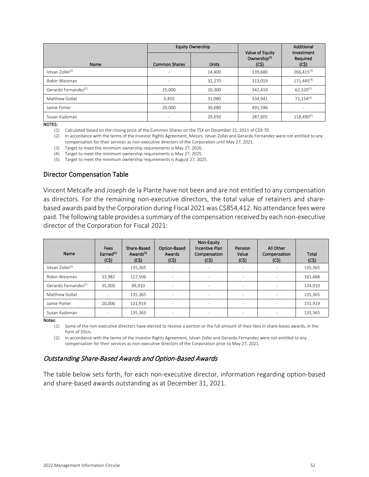|                                  |                          | <b>Equity Ownership</b> |                                                     | Additional<br>Investment<br>Required<br>(C5) |  |
|----------------------------------|--------------------------|-------------------------|-----------------------------------------------------|----------------------------------------------|--|
| Name                             | <b>Common Shares</b>     | <b>Units</b>            | Value of Equity<br>Ownership <sup>(1)</sup><br>(C5) |                                              |  |
| Istvan Zollei <sup>(2)</sup>     | $\overline{\phantom{a}}$ | 14,400                  | 139,680                                             | $266,415^{(3)}$                              |  |
| Robin Weisman                    |                          | 32,270                  | 313,019                                             | 171,445 <sup>(4)</sup>                       |  |
| Gerardo Fernandez <sup>(2)</sup> | 25,000                   | 10,300                  | 342,410                                             | $62.320^{(3)}$                               |  |
| Matthew Gollat                   | 3,450                    | 31,080                  | 334,941                                             | $71.154^{(4)}$                               |  |
| Jamie Porter                     | 20.000                   | 30.680                  | 491,596                                             |                                              |  |
| Susan Kudzman                    |                          | 29,650                  | 287,605                                             | 118,490(5)                                   |  |

NOTES:

(1) Calculated based on the closing price of the Common Shares on the TSX on December 31, 2021 of C\$9.70.

(2) In accordance with the terms of the Investor Rights Agreement, Messrs. Istvan Zollei and Gerardo Fernandez were not entitled to any compensation for their services as non-executive directors of the Corporation until May 27, 2021.

(3) Target to meet the minimum ownership requirements is May 27, 2026.

(4) Target to meet the minimum ownership requirements is May 27, 2025.

(5) Target to meet the minimum ownership requirements is August 27, 2025.

#### Director Compensation Table

Vincent Metcalfe and Joseph de la Plante have not been and are not entitled to any compensation as directors. For the remaining non-executive directors, the total value of retainers and sharebased awards paid by the Corporation during Fiscal 2021 was C\$854,412. No attendance fees were paid. The following table provides a summary of the compensation received by each non-executive director of the Corporation for Fiscal 2021:

| Name                             | Fees<br>Earned <sup>(1)</sup><br>(C5) | Share-Based<br>Awards <sup>(2)</sup><br>(C5) | Option-Based<br>Awards<br>(C\$) | Non-Equity<br><b>Incentive Plan</b><br>Compensation<br>(C5) | Pension<br>Value<br>(C\$) | All Other<br>Compensation<br>(C5) | <b>Total</b><br>(C5) |
|----------------------------------|---------------------------------------|----------------------------------------------|---------------------------------|-------------------------------------------------------------|---------------------------|-----------------------------------|----------------------|
| Istvan Zollei <sup>(2)</sup>     | ۰                                     | 135,365                                      | ٠                               | ٠                                                           | $\overline{\phantom{a}}$  | ٠                                 | 135,365              |
| Robin Weisman                    | 33,982                                | 127,506                                      | ٠                               | ٠                                                           | $\overline{\phantom{a}}$  | $\overline{\phantom{a}}$          | 161,488              |
| Gerardo Fernandez <sup>(2)</sup> | 35,000                                | 99,910                                       |                                 |                                                             | $\overline{\phantom{a}}$  |                                   | 134,910              |
| Matthew Gollat                   |                                       | 135,365                                      |                                 |                                                             | $\overline{\phantom{a}}$  |                                   | 135,365              |
| Jamie Porter                     | 20,000                                | 131,919                                      | ٠                               | ٠                                                           | $\overline{\phantom{a}}$  | ٠                                 | 151,919              |
| Susan Kudzman                    | ۰                                     | 135,365                                      | ٠                               | $\overline{\phantom{a}}$                                    | $\overline{\phantom{a}}$  | $\overline{\phantom{a}}$          | 135,365              |

Notes:

(1) Some of the non-executive directors have elected to receive a portion or the full amount of their fees in share-bases awards, in the form of DSUs.

(2) In accordance with the terms of the Investor Rights Agreement, Istvan Zollei and Gerardo Fernandez were not entitled to any compensation for their services as non-executive directors of the Corporation prior to May 27, 2021.

#### Outstanding Share-Based Awards and Option-Based Awards

The table below sets forth, for each non-executive director, information regarding option-based and share-based awards outstanding as at December 31, 2021.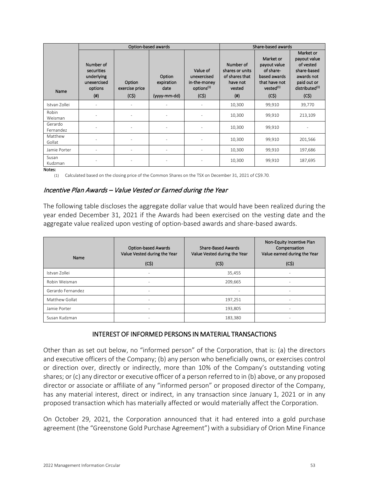|                      |                                                                         |                                  | Option-based awards                          |                                                                           |                                                                             | Share-based awards                                                                                       |                                                                                                                          |
|----------------------|-------------------------------------------------------------------------|----------------------------------|----------------------------------------------|---------------------------------------------------------------------------|-----------------------------------------------------------------------------|----------------------------------------------------------------------------------------------------------|--------------------------------------------------------------------------------------------------------------------------|
| Name                 | Number of<br>securities<br>underlying<br>unexercised<br>options<br>(ii) | Option<br>exercise price<br>(C5) | Option<br>expiration<br>date<br>(yyyy-mm-dd) | Value of<br>unexercised<br>in-the-money<br>options <sup>(1)</sup><br>(C5) | Number of<br>shares or units<br>of shares that<br>have not<br>vested<br>(#) | Market or<br>payout value<br>of share-<br>based awards<br>that have not<br>vested <sup>(1)</sup><br>(C5) | Market or<br>payout value<br>of vested<br>share-based<br>awards not<br>paid out or<br>distributed <sup>(1)</sup><br>(C5) |
| Istvan Zollei        |                                                                         |                                  |                                              |                                                                           | 10,300                                                                      | 99,910                                                                                                   | 39,770                                                                                                                   |
| Robin<br>Weisman     |                                                                         |                                  |                                              |                                                                           | 10,300                                                                      | 99,910                                                                                                   | 213,109                                                                                                                  |
| Gerardo<br>Fernandez |                                                                         | ٠                                |                                              |                                                                           | 10,300                                                                      | 99,910                                                                                                   |                                                                                                                          |
| Matthew<br>Gollat    |                                                                         |                                  |                                              |                                                                           | 10,300                                                                      | 99,910                                                                                                   | 201,566                                                                                                                  |
| Jamie Porter         |                                                                         | ٠                                |                                              |                                                                           | 10,300                                                                      | 99,910                                                                                                   | 197,686                                                                                                                  |
| Susan<br>Kudzman     |                                                                         |                                  |                                              |                                                                           | 10,300                                                                      | 99,910                                                                                                   | 187,695                                                                                                                  |

#### Notes:

(1) Calculated based on the closing price of the Common Shares on the TSX on December 31, 2021 of C\$9.70.

#### Incentive Plan Awards – Value Vested or Earned during the Year

The following table discloses the aggregate dollar value that would have been realized during the year ended December 31, 2021 if the Awards had been exercised on the vesting date and the aggregate value realized upon vesting of option-based awards and share-based awards.

| Name              | <b>Option-based Awards</b><br>Value Vested during the Year | <b>Share-Based Awards</b><br>Value Vested during the Year | Non-Equity Incentive Plan<br>Compensation<br>Value earned during the Year |  |
|-------------------|------------------------------------------------------------|-----------------------------------------------------------|---------------------------------------------------------------------------|--|
|                   | (C\$)                                                      | (C5)                                                      | (C5)                                                                      |  |
| Istvan Zollei     | ٠                                                          | 35,455                                                    | ۰                                                                         |  |
| Robin Weisman     | $\overline{\phantom{a}}$                                   | 209,665                                                   | ۰                                                                         |  |
| Gerardo Fernandez | $\overline{\phantom{a}}$                                   |                                                           | -                                                                         |  |
| Matthew Gollat    | $\overline{\phantom{a}}$                                   | 197,251                                                   | -                                                                         |  |
| Jamie Porter      | $\overline{\phantom{a}}$                                   | 193,805                                                   | ۰                                                                         |  |
| Susan Kudzman     | ٠                                                          | 183,380                                                   |                                                                           |  |

#### INTEREST OF INFORMED PERSONS IN MATERIAL TRANSACTIONS

Other than as set out below, no "informed person" of the Corporation, that is: (a) the directors and executive officers of the Company; (b) any person who beneficially owns, or exercises control or direction over, directly or indirectly, more than 10% of the Company's outstanding voting shares; or (c) any director or executive officer of a person referred to in (b) above, or any proposed director or associate or affiliate of any "informed person" or proposed director of the Company, has any material interest, direct or indirect, in any transaction since January 1, 2021 or in any proposed transaction which has materially affected or would materially affect the Corporation.

On October 29, 2021, the Corporation announced that it had entered into a gold purchase agreement (the "Greenstone Gold Purchase Agreement") with a subsidiary of Orion Mine Finance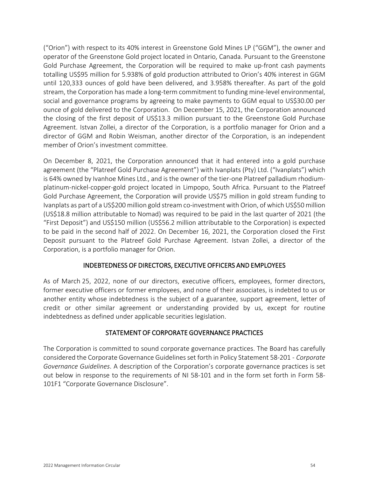("Orion") with respect to its 40% interest in Greenstone Gold Mines LP ("GGM"), the owner and operator of the Greenstone Gold project located in Ontario, Canada. Pursuant to the Greenstone Gold Purchase Agreement, the Corporation will be required to make up-front cash payments totalling US\$95 million for 5.938% of gold production attributed to Orion's 40% interest in GGM until 120,333 ounces of gold have been delivered, and 3.958% thereafter. As part of the gold stream, the Corporation has made a long-term commitment to funding mine-level environmental, social and governance programs by agreeing to make payments to GGM equal to US\$30.00 per ounce of gold delivered to the Corporation. On December 15, 2021, the Corporation announced the closing of the first deposit of US\$13.3 million pursuant to the Greenstone Gold Purchase Agreement. Istvan Zollei, a director of the Corporation, is a portfolio manager for Orion and a director of GGM and Robin Weisman, another director of the Corporation, is an independent member of Orion's investment committee.

On December 8, 2021, the Corporation announced that it had entered into a gold purchase agreement (the "Platreef Gold Purchase Agreement") with Ivanplats (Pty) Ltd. ("Ivanplats") which is 64% owned by Ivanhoe Mines Ltd., and is the owner of the tier-one Platreef palladium rhodiumplatinum-nickel-copper-gold project located in Limpopo, South Africa. Pursuant to the Platreef Gold Purchase Agreement, the Corporation will provide US\$75 million in gold stream funding to Ivanplats as part of a US\$200 million gold stream co-investment with Orion, of which US\$50 million (US\$18.8 million attributable to Nomad) was required to be paid in the last quarter of 2021 (the "First Deposit") and US\$150 million (US\$56.2 million attributable to the Corporation) is expected to be paid in the second half of 2022. On December 16, 2021, the Corporation closed the First Deposit pursuant to the Platreef Gold Purchase Agreement. Istvan Zollei, a director of the Corporation, is a portfolio manager for Orion.

## INDEBTEDNESS OF DIRECTORS, EXECUTIVE OFFICERS AND EMPLOYEES

As of March 25, 2022, none of our directors, executive officers, employees, former directors, former executive officers or former employees, and none of their associates, is indebted to us or another entity whose indebtedness is the subject of a guarantee, support agreement, letter of credit or other similar agreement or understanding provided by us, except for routine indebtedness as defined under applicable securities legislation.

## STATEMENT OF CORPORATE GOVERNANCE PRACTICES

The Corporation is committed to sound corporate governance practices. The Board has carefully considered the Corporate Governance Guidelines set forth in Policy Statement 58-201 - *Corporate Governance Guidelines*. A description of the Corporation's corporate governance practices is set out below in response to the requirements of NI 58-101 and in the form set forth in Form 58- 101F1 "Corporate Governance Disclosure".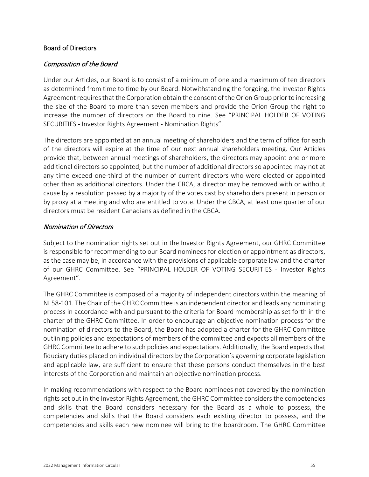#### Board of Directors

## Composition of the Board

Under our Articles, our Board is to consist of a minimum of one and a maximum of ten directors as determined from time to time by our Board. Notwithstanding the forgoing, the Investor Rights Agreement requires that the Corporation obtain the consent of the Orion Group prior to increasing the size of the Board to more than seven members and provide the Orion Group the right to increase the number of directors on the Board to nine. See ["PRINCIPAL HOLDER OF VOTING](#page-11-0)  [SECURITIES](#page-11-0) - [Investor Rights Agreement](#page-12-0) - [Nomination Rights"](#page-12-1).

The directors are appointed at an annual meeting of shareholders and the term of office for each of the directors will expire at the time of our next annual shareholders meeting. Our Articles provide that, between annual meetings of shareholders, the directors may appoint one or more additional directors so appointed, but the number of additional directors so appointed may not at any time exceed one-third of the number of current directors who were elected or appointed other than as additional directors. Under the CBCA, a director may be removed with or without cause by a resolution passed by a majority of the votes cast by shareholders present in person or by proxy at a meeting and who are entitled to vote. Under the CBCA, at least one quarter of our directors must be resident Canadians as defined in the CBCA.

#### Nomination of Directors

Subject to the nomination rights set out in the Investor Rights Agreement, our GHRC Committee is responsible for recommending to our Board nominees for election or appointment as directors, as the case may be, in accordance with the provisions of applicable corporate law and the charter of our GHRC Committee. See ["PRINCIPAL HOLDER OF VOTING SECURITIES](#page-11-0) - [Investor Rights](#page-12-0)  [Agreement"](#page-12-0).

The GHRC Committee is composed of a majority of independent directors within the meaning of NI 58-101. The Chair of the GHRC Committee is an independent director and leads any nominating process in accordance with and pursuant to the criteria for Board membership as set forth in the charter of the GHRC Committee. In order to encourage an objective nomination process for the nomination of directors to the Board, the Board has adopted a charter for the GHRC Committee outlining policies and expectations of members of the committee and expects all members of the GHRC Committee to adhere to such policies and expectations. Additionally, the Board expects that fiduciary duties placed on individual directors by the Corporation's governing corporate legislation and applicable law, are sufficient to ensure that these persons conduct themselves in the best interests of the Corporation and maintain an objective nomination process.

In making recommendations with respect to the Board nominees not covered by the nomination rights set out in the Investor Rights Agreement, the GHRC Committee considers the competencies and skills that the Board considers necessary for the Board as a whole to possess, the competencies and skills that the Board considers each existing director to possess, and the competencies and skills each new nominee will bring to the boardroom. The GHRC Committee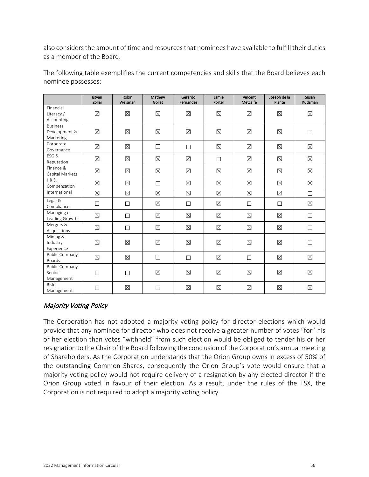also considers the amount of time and resources that nominees have available to fulfill their duties as a member of the Board.

|                                               | Istvan<br>Zollei | <b>Robin</b><br>Weisman | Mathew<br>Gollat | Gerardo<br>Fernandez | Jamie<br>Porter | Vincent<br>Metcalfe | Joseph de la<br>Plante | Susan<br>Kudzman |
|-----------------------------------------------|------------------|-------------------------|------------------|----------------------|-----------------|---------------------|------------------------|------------------|
| Financial<br>Literacy /<br>Accounting         | $\boxtimes$      | ⊠                       | $\boxtimes$      | $\boxtimes$          | $\boxtimes$     | $\boxtimes$         | $\boxtimes$            | $\boxtimes$      |
| <b>Business</b><br>Development &<br>Marketing | $\boxtimes$      | $\boxtimes$             | $\boxtimes$      | $\boxtimes$          | $\boxtimes$     | $\boxtimes$         | $\boxtimes$            | □                |
| Corporate<br>Governance                       | $\boxtimes$      | $\boxtimes$             | $\Box$           | $\Box$               | $\boxtimes$     | $\boxtimes$         | $\boxtimes$            | $\boxtimes$      |
| ESG&<br>Reputation                            | $\boxtimes$      | $\boxtimes$             | $\boxtimes$      | $\boxtimes$          | $\Box$          | $\boxtimes$         | $\boxtimes$            | $\boxtimes$      |
| Finance &<br>Capital Markets                  | $\boxtimes$      | $\boxtimes$             | $\boxtimes$      | $\boxtimes$          | $\boxtimes$     | $\boxtimes$         | $\boxtimes$            | $\boxtimes$      |
| HR&<br>Compensation                           | ⊠                | ⊠                       | $\Box$           | $\boxtimes$          | $\boxtimes$     | $\boxtimes$         | $\boxtimes$            | $\boxtimes$      |
| International                                 | $\boxtimes$      | $\boxtimes$             | $\boxtimes$      | $\boxtimes$          | $\boxtimes$     | $\boxtimes$         | $\boxtimes$            | П                |
| Legal &<br>Compliance                         | □                | $\Box$                  | $\boxtimes$      | $\Box$               | $\boxtimes$     | $\Box$              | $\Box$                 | $\boxtimes$      |
| Managing or<br>Leading Growth                 | ⊠                | $\Box$                  | $\boxtimes$      | $\boxtimes$          | $\boxtimes$     | $\boxtimes$         | $\boxtimes$            | $\Box$           |
| Mergers &<br>Acquisitions                     | $\boxtimes$      | $\Box$                  | $\boxtimes$      | $\boxtimes$          | $\boxtimes$     | $\boxtimes$         | $\boxtimes$            | $\Box$           |
| Mining &<br>Industry<br>Experience            | $\boxtimes$      | $\boxtimes$             | $\boxtimes$      | $\boxtimes$          | $\boxtimes$     | $\boxtimes$         | $\boxtimes$            | □                |
| Public Company<br>Boards                      | $\boxtimes$      | $\boxtimes$             | $\Box$           | $\Box$               | $\boxtimes$     | $\Box$              | $\boxtimes$            | $\boxtimes$      |
| Public Company<br>Senior<br>Management        | □                | $\Box$                  | $\boxtimes$      | $\boxtimes$          | $\boxtimes$     | $\boxtimes$         | $\boxtimes$            | $\boxtimes$      |
| Risk<br>Management                            | П                | $\boxtimes$             | □                | $\boxtimes$          | $\boxtimes$     | $\boxtimes$         | $\boxtimes$            | $\boxtimes$      |

The following table exemplifies the current competencies and skills that the Board believes each nominee possesses:

## Majority Voting Policy

The Corporation has not adopted a majority voting policy for director elections which would provide that any nominee for director who does not receive a greater number of votes "for" his or her election than votes "withheld" from such election would be obliged to tender his or her resignation to the Chair of the Board following the conclusion of the Corporation's annual meeting of Shareholders. As the Corporation understands that the Orion Group owns in excess of 50% of the outstanding Common Shares, consequently the Orion Group's vote would ensure that a majority voting policy would not require delivery of a resignation by any elected director if the Orion Group voted in favour of their election. As a result, under the rules of the TSX, the Corporation is not required to adopt a majority voting policy.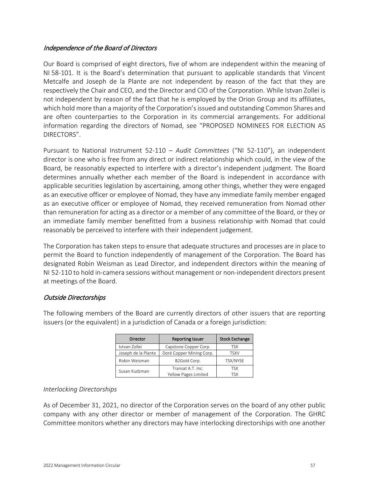## Independence of the Board of Directors

Our Board is comprised of eight directors, five of whom are independent within the meaning of NI 58-101. It is the Board's determination that pursuant to applicable standards that Vincent Metcalfe and Joseph de la Plante are not independent by reason of the fact that they are respectively the Chair and CEO, and the Director and CIO of the Corporation. While Istvan Zollei is not independent by reason of the fact that he is employed by the Orion Group and its affiliates, which hold more than a majority of the Corporation's issued and outstanding Common Shares and are often counterparties to the Corporation in its commercial arrangements. For additional information regarding the directors of Nomad, see ["PROPOSED NOMINEES FOR ELECTION AS](#page-15-0)  [DIRECTORS"](#page-15-0).

Pursuant to National Instrument 52-110 – *Audit Committees* ("NI 52-110"), an independent director is one who is free from any direct or indirect relationship which could, in the view of the Board, be reasonably expected to interfere with a director's independent judgment. The Board determines annually whether each member of the Board is independent in accordance with applicable securities legislation by ascertaining, among other things, whether they were engaged as an executive officer or employee of Nomad, they have any immediate family member engaged as an executive officer or employee of Nomad, they received remuneration from Nomad other than remuneration for acting as a director or a member of any committee of the Board, or they or an immediate family member benefitted from a business relationship with Nomad that could reasonably be perceived to interfere with their independent judgement.

The Corporation has taken steps to ensure that adequate structures and processes are in place to permit the Board to function independently of management of the Corporation. The Board has designated Robin Weisman as Lead Director, and independent directors within the meaning of NI 52-110 to hold in-camera sessions without management or non-independent directors present at meetings of the Board.

## Outside Directorships

The following members of the Board are currently directors of other issuers that are reporting issuers (or the equivalent) in a jurisdiction of Canada or a foreign jurisdiction:

| Director            | <b>Reporting Issuer</b>  | <b>Stock Exchange</b> |
|---------------------|--------------------------|-----------------------|
| Istvan Zollei       | Capstone Copper Corp.    | TSX                   |
| Joseph de la Plante | Doré Copper Mining Corp. | <b>TSXV</b>           |
| Robin Weisman       | B2Gold Corp.             | TSX/NYSE              |
| Susan Kudzman       | Transat A.T. Inc.        | <b>TSX</b>            |
|                     | Yellow Pages Limited     | <b>TSX</b>            |

## *Interlocking Directorships*

As of December 31, 2021, no director of the Corporation serves on the board of any other public company with any other director or member of management of the Corporation. The GHRC Committee monitors whether any directors may have interlocking directorships with one another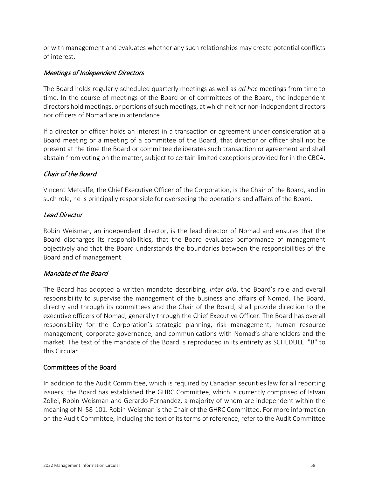or with management and evaluates whether any such relationships may create potential conflicts of interest.

## Meetings of Independent Directors

The Board holds regularly-scheduled quarterly meetings as well as *ad hoc* meetings from time to time. In the course of meetings of the Board or of committees of the Board, the independent directors hold meetings, or portions of such meetings, at which neither non-independent directors nor officers of Nomad are in attendance.

If a director or officer holds an interest in a transaction or agreement under consideration at a Board meeting or a meeting of a committee of the Board, that director or officer shall not be present at the time the Board or committee deliberates such transaction or agreement and shall abstain from voting on the matter, subject to certain limited exceptions provided for in the CBCA.

## Chair of the Board

Vincent Metcalfe, the Chief Executive Officer of the Corporation, is the Chair of the Board, and in such role, he is principally responsible for overseeing the operations and affairs of the Board.

## Lead Director

Robin Weisman, an independent director, is the lead director of Nomad and ensures that the Board discharges its responsibilities, that the Board evaluates performance of management objectively and that the Board understands the boundaries between the responsibilities of the Board and of management.

## Mandate of the Board

The Board has adopted a written mandate describing, *inter alia*, the Board's role and overall responsibility to supervise the management of the business and affairs of Nomad. The Board, directly and through its committees and the Chair of the Board, shall provide direction to the executive officers of Nomad, generally through the Chief Executive Officer. The Board has overall responsibility for the Corporation's strategic planning, risk management, human resource management, corporate governance, and communications with Nomad's shareholders and the market. The text of the mandate of the Board is reproduced in its entirety as [SCHEDULE "B"](#page-68-0) to this Circular.

#### Committees of the Board

In addition to the Audit Committee, which is required by Canadian securities law for all reporting issuers, the Board has established the GHRC Committee, which is currently comprised of Istvan Zollei, Robin Weisman and Gerardo Fernandez, a majority of whom are independent within the meaning of NI 58-101. Robin Weisman is the Chair of the GHRC Committee. For more information on the Audit Committee, including the text of its terms of reference, refer to the Audit Committee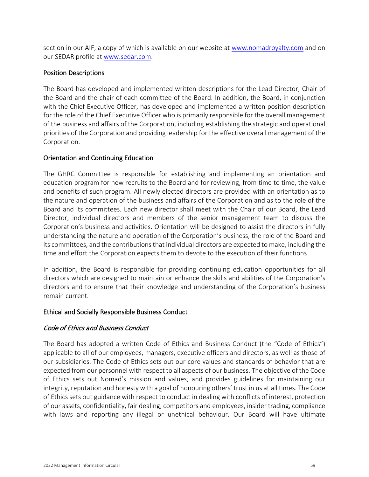section in our AIF, a copy of which is available on our website at www.nomadroyalty.com and on our SEDAR profile at www.sedar.com.

## Position Descriptions

The Board has developed and implemented written descriptions for the Lead Director, Chair of the Board and the chair of each committee of the Board. In addition, the Board, in conjunction with the Chief Executive Officer, has developed and implemented a written position description for the role of the Chief Executive Officer who is primarily responsible for the overall management of the business and affairs of the Corporation, including establishing the strategic and operational priorities of the Corporation and providing leadership for the effective overall management of the Corporation.

## Orientation and Continuing Education

The GHRC Committee is responsible for establishing and implementing an orientation and education program for new recruits to the Board and for reviewing, from time to time, the value and benefits of such program. All newly elected directors are provided with an orientation as to the nature and operation of the business and affairs of the Corporation and as to the role of the Board and its committees. Each new director shall meet with the Chair of our Board, the Lead Director, individual directors and members of the senior management team to discuss the Corporation's business and activities. Orientation will be designed to assist the directors in fully understanding the nature and operation of the Corporation's business, the role of the Board and its committees, and the contributions that individual directors are expected to make, including the time and effort the Corporation expects them to devote to the execution of their functions.

In addition, the Board is responsible for providing continuing education opportunities for all directors which are designed to maintain or enhance the skills and abilities of the Corporation's directors and to ensure that their knowledge and understanding of the Corporation's business remain current.

#### Ethical and Socially Responsible Business Conduct

## Code of Ethics and Business Conduct

The Board has adopted a written Code of Ethics and Business Conduct (the "Code of Ethics") applicable to all of our employees, managers, executive officers and directors, as well as those of our subsidiaries. The Code of Ethics sets out our core values and standards of behavior that are expected from our personnel with respect to all aspects of our business. The objective of the Code of Ethics sets out Nomad's mission and values, and provides guidelines for maintaining our integrity, reputation and honesty with a goal of honouring others' trust in us at all times. The Code of Ethics sets out guidance with respect to conduct in dealing with conflicts of interest, protection of our assets, confidentiality, fair dealing, competitors and employees, insider trading, compliance with laws and reporting any illegal or unethical behaviour. Our Board will have ultimate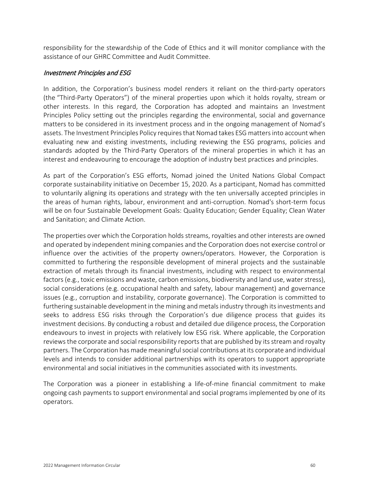responsibility for the stewardship of the Code of Ethics and it will monitor compliance with the assistance of our GHRC Committee and Audit Committee.

#### Investment Principles and ESG

In addition, the Corporation's business model renders it reliant on the third-party operators (the "Third-Party Operators") of the mineral properties upon which it holds royalty, stream or other interests. In this regard, the Corporation has adopted and maintains an Investment Principles Policy setting out the principles regarding the environmental, social and governance matters to be considered in its investment process and in the ongoing management of Nomad's assets. The Investment Principles Policy requires that Nomad takes ESG matters into account when evaluating new and existing investments, including reviewing the ESG programs, policies and standards adopted by the Third-Party Operators of the mineral properties in which it has an interest and endeavouring to encourage the adoption of industry best practices and principles.

As part of the Corporation's ESG efforts, Nomad joined the United Nations Global Compact corporate sustainability initiative on December 15, 2020. As a participant, Nomad has committed to voluntarily aligning its operations and strategy with the ten universally accepted principles in the areas of human rights, labour, environment and anti-corruption. Nomad's short-term focus will be on four Sustainable Development Goals: Quality Education; Gender Equality; Clean Water and Sanitation; and Climate Action.

The properties over which the Corporation holds streams, royalties and other interests are owned and operated by independent mining companies and the Corporation does not exercise control or influence over the activities of the property owners/operators. However, the Corporation is committed to furthering the responsible development of mineral projects and the sustainable extraction of metals through its financial investments, including with respect to environmental factors (e.g., toxic emissions and waste, carbon emissions, biodiversity and land use, water stress), social considerations (e.g. occupational health and safety, labour management) and governance issues (e.g., corruption and instability, corporate governance). The Corporation is committed to furthering sustainable development in the mining and metals industry through its investments and seeks to address ESG risks through the Corporation's due diligence process that guides its investment decisions. By conducting a robust and detailed due diligence process, the Corporation endeavours to invest in projects with relatively low ESG risk. Where applicable, the Corporation reviews the corporate and social responsibility reports that are published by its stream and royalty partners. The Corporation has made meaningful social contributions at its corporate and individual levels and intends to consider additional partnerships with its operators to support appropriate environmental and social initiatives in the communities associated with its investments.

The Corporation was a pioneer in establishing a life-of-mine financial commitment to make ongoing cash payments to support environmental and social programs implemented by one of its operators.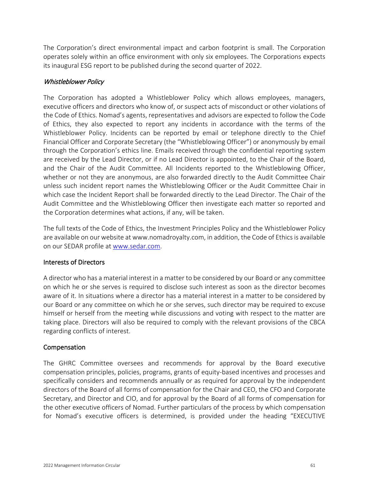The Corporation's direct environmental impact and carbon footprint is small. The Corporation operates solely within an office environment with only six employees. The Corporations expects its inaugural ESG report to be published during the second quarter of 2022.

## Whistleblower Policy

The Corporation has adopted a Whistleblower Policy which allows employees, managers, executive officers and directors who know of, or suspect acts of misconduct or other violations of the Code of Ethics. Nomad's agents, representatives and advisors are expected to follow the Code of Ethics, they also expected to report any incidents in accordance with the terms of the Whistleblower Policy. Incidents can be reported by email or telephone directly to the Chief Financial Officer and Corporate Secretary (the "Whistleblowing Officer") or anonymously by email through the Corporation's ethics line. Emails received through the confidential reporting system are received by the Lead Director, or if no Lead Director is appointed, to the Chair of the Board, and the Chair of the Audit Committee. All Incidents reported to the Whistleblowing Officer, whether or not they are anonymous, are also forwarded directly to the Audit Committee Chair unless such incident report names the Whistleblowing Officer or the Audit Committee Chair in which case the Incident Report shall be forwarded directly to the Lead Director. The Chair of the Audit Committee and the Whistleblowing Officer then investigate each matter so reported and the Corporation determines what actions, if any, will be taken.

The full texts of the Code of Ethics, the Investment Principles Policy and the Whistleblower Policy are available on our website at www.nomadroyalty.com, in addition, the Code of Ethics is available on our SEDAR profile at [www.sedar.com.](http://www.sedar.com/)

## Interests of Directors

A director who has a material interest in a matter to be considered by our Board or any committee on which he or she serves is required to disclose such interest as soon as the director becomes aware of it. In situations where a director has a material interest in a matter to be considered by our Board or any committee on which he or she serves, such director may be required to excuse himself or herself from the meeting while discussions and voting with respect to the matter are taking place. Directors will also be required to comply with the relevant provisions of the CBCA regarding conflicts of interest.

## Compensation

The GHRC Committee oversees and recommends for approval by the Board executive compensation principles, policies, programs, grants of equity-based incentives and processes and specifically considers and recommends annually or as required for approval by the independent directors of the Board of all forms of compensation for the Chair and CEO, the CFO and Corporate Secretary, and Director and CIO, and for approval by the Board of all forms of compensation for the other executive officers of Nomad. Further particulars of the process by which compensation for Nomad's executive officers is determined, is provided under the heading ["EXECUTIVE](#page-22-0)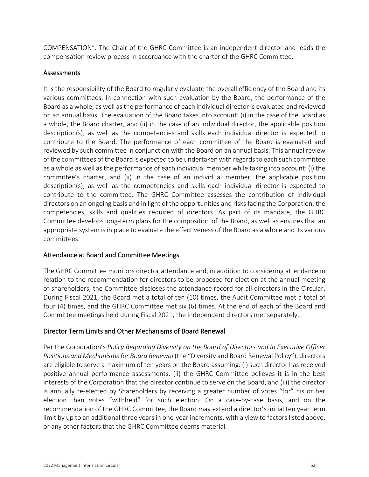[COMPENSATION"](#page-22-0). The Chair of the GHRC Committee is an independent director and leads the compensation review process in accordance with the charter of the GHRC Committee.

## <span id="page-63-0"></span>Assessments

It is the responsibility of the Board to regularly evaluate the overall efficiency of the Board and its various committees. In connection with such evaluation by the Board, the performance of the Board as a whole, as well as the performance of each individual director is evaluated and reviewed on an annual basis. The evaluation of the Board takes into account: (i) in the case of the Board as a whole, the Board charter, and (ii) in the case of an individual director, the applicable position description(s), as well as the competencies and skills each individual director is expected to contribute to the Board. The performance of each committee of the Board is evaluated and reviewed by such committee in conjunction with the Board on an annual basis. This annual review of the committees of the Board is expected to be undertaken with regards to each such committee as a whole as well as the performance of each individual member while taking into account: (i) the committee's charter, and (ii) in the case of an individual member, the applicable position description(s), as well as the competencies and skills each individual director is expected to contribute to the committee. The GHRC Committee assesses the contribution of individual directors on an ongoing basis and in light of the opportunities and risks facing the Corporation, the competencies, skills and qualities required of directors. As part of its mandate, the GHRC Committee develops long-term plans for the composition of the Board, as well as ensures that an appropriate system is in place to evaluate the effectiveness of the Board as a whole and its various committees.

## Attendance at Board and Committee Meetings

The GHRC Committee monitors director attendance and, in addition to considering attendance in relation to the recommendation for directors to be proposed for election at the annual meeting of shareholders, the Committee discloses the attendance record for all directors in the Circular. During Fiscal 2021, the Board met a total of ten (10) times, the Audit Committee met a total of four (4) times, and the GHRC Committee met six (6) times. At the end of each of the Board and Committee meetings held during Fiscal 2021, the independent directors met separately.

## Director Term Limits and Other Mechanisms of Board Renewal

Per the Corporation's *Policy Regarding Diversity on the Board of Directors and In Executive Officer Positions and Mechanisms for Board Renewal* (the "Diversity and Board Renewal Policy"), directors are eligible to serve a maximum of ten years on the Board assuming: (i) such director has received positive annual performance assessments, (ii) the GHRC Committee believes it is in the best interests of the Corporation that the director continue to serve on the Board, and (iii) the director is annually re-elected by Shareholders by receiving a greater number of votes "for" his or her election than votes "withheld" for such election. On a case-by-case basis, and on the recommendation of the GHRC Committee, the Board may extend a director's initial ten year term limit by up to an additional three years in one-year increments, with a view to factors listed above, or any other factors that the GHRC Committee deems material.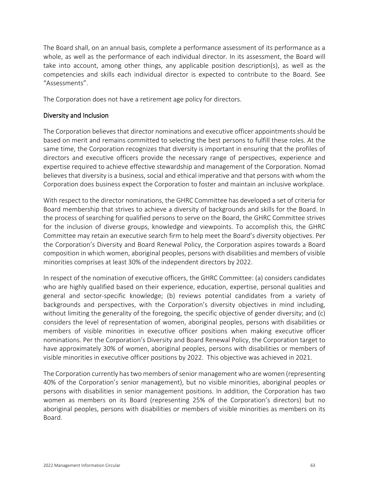The Board shall, on an annual basis, complete a performance assessment of its performance as a whole, as well as the performance of each individual director. In its assessment, the Board will take into account, among other things, any applicable position description(s), as well as the competencies and skills each individual director is expected to contribute to the Board. See ["Assessments"](#page-63-0).

The Corporation does not have a retirement age policy for directors.

## Diversity and Inclusion

The Corporation believes that director nominations and executive officer appointments should be based on merit and remains committed to selecting the best persons to fulfill these roles. At the same time, the Corporation recognizes that diversity is important in ensuring that the profiles of directors and executive officers provide the necessary range of perspectives, experience and expertise required to achieve effective stewardship and management of the Corporation. Nomad believes that diversity is a business, social and ethical imperative and that persons with whom the Corporation does business expect the Corporation to foster and maintain an inclusive workplace.

With respect to the director nominations, the GHRC Committee has developed a set of criteria for Board membership that strives to achieve a diversity of backgrounds and skills for the Board. In the process of searching for qualified persons to serve on the Board, the GHRC Committee strives for the inclusion of diverse groups, knowledge and viewpoints. To accomplish this, the GHRC Committee may retain an executive search firm to help meet the Board's diversity objectives. Per the Corporation's Diversity and Board Renewal Policy, the Corporation aspires towards a Board composition in which women, aboriginal peoples, persons with disabilities and members of visible minorities comprises at least 30% of the independent directors by 2022.

In respect of the nomination of executive officers, the GHRC Committee: (a) considers candidates who are highly qualified based on their experience, education, expertise, personal qualities and general and sector-specific knowledge; (b) reviews potential candidates from a variety of backgrounds and perspectives, with the Corporation's diversity objectives in mind including, without limiting the generality of the foregoing, the specific objective of gender diversity; and (c) considers the level of representation of women, aboriginal peoples, persons with disabilities or members of visible minorities in executive officer positions when making executive officer nominations. Per the Corporation's Diversity and Board Renewal Policy, the Corporation target to have approximately 30% of women, aboriginal peoples, persons with disabilities or members of visible minorities in executive officer positions by 2022. This objective was achieved in 2021.

The Corporation currently has two members of senior management who are women (representing 40% of the Corporation's senior management), but no visible minorities, aboriginal peoples or persons with disabilities in senior management positions. In addition, the Corporation has two women as members on its Board (representing 25% of the Corporation's directors) but no aboriginal peoples, persons with disabilities or members of visible minorities as members on its Board.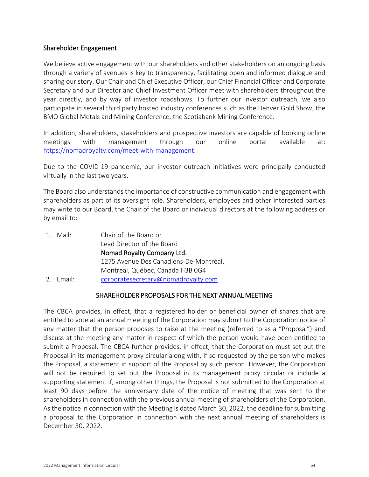#### Shareholder Engagement

We believe active engagement with our shareholders and other stakeholders on an ongoing basis through a variety of avenues is key to transparency, facilitating open and informed dialogue and sharing our story. Our Chair and Chief Executive Officer, our Chief Financial Officer and Corporate Secretary and our Director and Chief Investment Officer meet with shareholders throughout the year directly, and by way of investor roadshows. To further our investor outreach, we also participate in several third party hosted industry conferences such as the Denver Gold Show, the BMO Global Metals and Mining Conference, the Scotiabank Mining Conference.

In addition, shareholders, stakeholders and prospective investors are capable of booking online meetings with management through our online portal available at: [https://nomadroyalty.com/meet-with-management.](https://nomadroyalty.com/meet-with-management)

Due to the COVID-19 pandemic, our investor outreach initiatives were principally conducted virtually in the last two years.

The Board also understands the importance of constructive communication and engagement with shareholders as part of its oversight role. Shareholders, employees and other interested parties may write to our Board, the Chair of the Board or individual directors at the following address or by email to:

1. Mail: Chair of the Board or Lead Director of the Board Nomad Royalty Company Ltd. 1275 Avenue Des Canadiens-De-Montréal, Montreal, Québec, Canada H3B 0G4 2. Email: [corporatesecretary@nomadroyalty.com](mailto:corporatesecretary@nomadroyalty.com)

## SHAREHOLDER PROPOSALS FOR THE NEXT ANNUAL MEETING

The CBCA provides, in effect, that a registered holder or beneficial owner of shares that are entitled to vote at an annual meeting of the Corporation may submit to the Corporation notice of any matter that the person proposes to raise at the meeting (referred to as a "Proposal") and discuss at the meeting any matter in respect of which the person would have been entitled to submit a Proposal. The CBCA further provides, in effect, that the Corporation must set out the Proposal in its management proxy circular along with, if so requested by the person who makes the Proposal, a statement in support of the Proposal by such person. However, the Corporation will not be required to set out the Proposal in its management proxy circular or include a supporting statement if, among other things, the Proposal is not submitted to the Corporation at least 90 days before the anniversary date of the notice of meeting that was sent to the shareholders in connection with the previous annual meeting of shareholders of the Corporation. As the notice in connection with the Meeting is dated March 30, 2022, the deadline for submitting a proposal to the Corporation in connection with the next annual meeting of shareholders is December 30, 2022.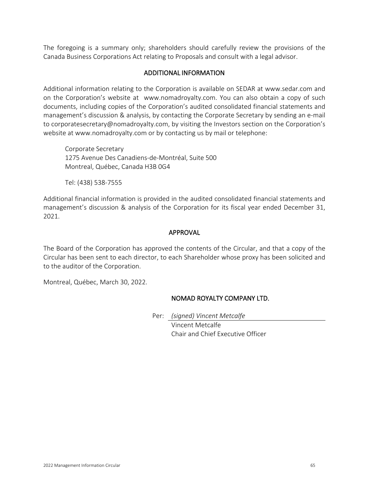The foregoing is a summary only; shareholders should carefully review the provisions of the Canada Business Corporations Act relating to Proposals and consult with a legal advisor.

## ADDITIONAL INFORMATION

Additional information relating to the Corporation is available on SEDAR at www.sedar.com and on the Corporation's website at www.nomadroyalty.com. You can also obtain a copy of such documents, including copies of the Corporation's audited consolidated financial statements and management's discussion & analysis, by contacting the Corporate Secretary by sending an e-mail to corporatesecretary@nomadroyalty.com, by visiting the Investors section on the Corporation's website at www.nomadroyalty.com or by contacting us by mail or telephone:

Corporate Secretary 1275 Avenue Des Canadiens-de-Montréal, Suite 500 Montreal, Québec, Canada H3B 0G4

Tel: (438) 538-7555

Additional financial information is provided in the audited consolidated financial statements and management's discussion & analysis of the Corporation for its fiscal year ended December 31, 2021.

## APPROVAL

The Board of the Corporation has approved the contents of the Circular, and that a copy of the Circular has been sent to each director, to each Shareholder whose proxy has been solicited and to the auditor of the Corporation.

Montreal, Québec, March 30, 2022.

## NOMAD ROYALTY COMPANY LTD.

Per: *(signed) Vincent Metcalfe*

Vincent Metcalfe Chair and Chief Executive Officer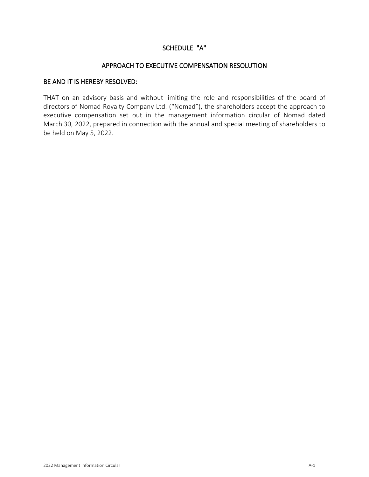## SCHEDULE "A"

#### APPROACH TO EXECUTIVE COMPENSATION RESOLUTION

## BE AND IT IS HEREBY RESOLVED:

THAT on an advisory basis and without limiting the role and responsibilities of the board of directors of Nomad Royalty Company Ltd. ("Nomad"), the shareholders accept the approach to executive compensation set out in the management information circular of Nomad dated March 30, 2022, prepared in connection with the annual and special meeting of shareholders to be held on May 5, 2022.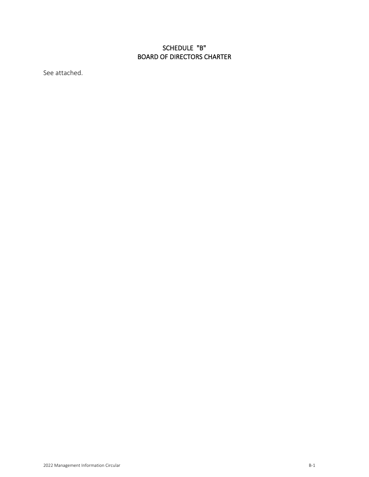# SCHEDULE "B" BOARD OF DIRECTORS CHARTER

<span id="page-68-0"></span>See attached.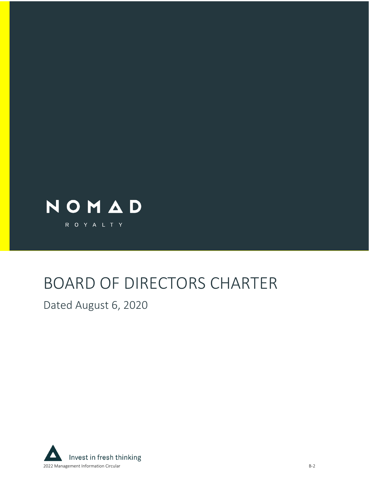

# BOARD OF DIRECTORS CHARTER

Dated August 6, 2020

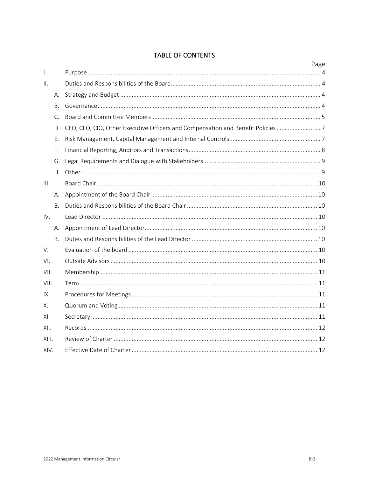# **TABLE OF CONTENTS**

|              |           |                                                                               | Page |
|--------------|-----------|-------------------------------------------------------------------------------|------|
| $\mathsf{L}$ |           |                                                                               |      |
| ΙΙ.          |           |                                                                               |      |
|              | А.        |                                                                               |      |
|              | <b>B.</b> |                                                                               |      |
|              | C.        |                                                                               |      |
|              | D.        | CEO, CFO, CIO, Other Executive Officers and Compensation and Benefit Policies |      |
|              | Ε.        |                                                                               |      |
|              | F.        |                                                                               |      |
|              | G.        |                                                                               |      |
|              | Η.        |                                                                               |      |
| III.         |           |                                                                               |      |
|              | А.        |                                                                               |      |
|              | B.        |                                                                               |      |
| IV.          |           |                                                                               |      |
|              | А.        |                                                                               |      |
|              | B.        |                                                                               |      |
| V.           |           |                                                                               |      |
| VI.          |           |                                                                               |      |
| VII.         |           |                                                                               |      |
| VIII.        |           |                                                                               |      |
| IX.          |           |                                                                               |      |
| Х.           |           |                                                                               |      |
| XI.          |           |                                                                               |      |
| XII.         |           |                                                                               |      |
| XIII.        |           |                                                                               |      |
| XIV.         |           |                                                                               |      |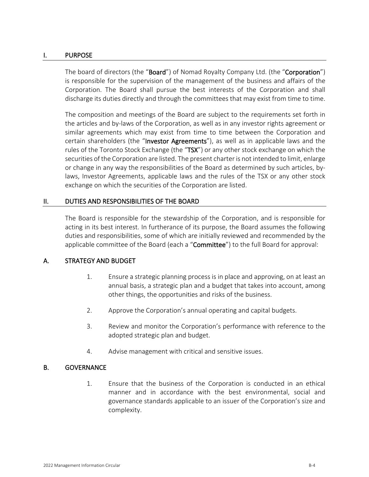#### <span id="page-71-0"></span>I. PURPOSE

The board of directors (the "Board") of Nomad Royalty Company Ltd. (the "Corporation") is responsible for the supervision of the management of the business and affairs of the Corporation. The Board shall pursue the best interests of the Corporation and shall discharge its duties directly and through the committees that may exist from time to time.

The composition and meetings of the Board are subject to the requirements set forth in the articles and by-laws of the Corporation, as well as in any investor rights agreement or similar agreements which may exist from time to time between the Corporation and certain shareholders (the "Investor Agreements"), as well as in applicable laws and the rules of the Toronto Stock Exchange (the "TSX") or any other stock exchange on which the securities of the Corporation are listed. The present charter is not intended to limit, enlarge or change in any way the responsibilities of the Board as determined by such articles, bylaws, Investor Agreements, applicable laws and the rules of the TSX or any other stock exchange on which the securities of the Corporation are listed.

## <span id="page-71-1"></span>II. DUTIES AND RESPONSIBILITIES OF THE BOARD

The Board is responsible for the stewardship of the Corporation, and is responsible for acting in its best interest. In furtherance of its purpose, the Board assumes the following duties and responsibilities, some of which are initially reviewed and recommended by the applicable committee of the Board (each a "Committee") to the full Board for approval:

## <span id="page-71-2"></span>A. STRATEGY AND BUDGET

- 1. Ensure a strategic planning process is in place and approving, on at least an annual basis, a strategic plan and a budget that takes into account, among other things, the opportunities and risks of the business.
- 2. Approve the Corporation's annual operating and capital budgets.
- 3. Review and monitor the Corporation's performance with reference to the adopted strategic plan and budget.
- 4. Advise management with critical and sensitive issues.

## <span id="page-71-3"></span>B. GOVERNANCE

1. Ensure that the business of the Corporation is conducted in an ethical manner and in accordance with the best environmental, social and governance standards applicable to an issuer of the Corporation's size and complexity.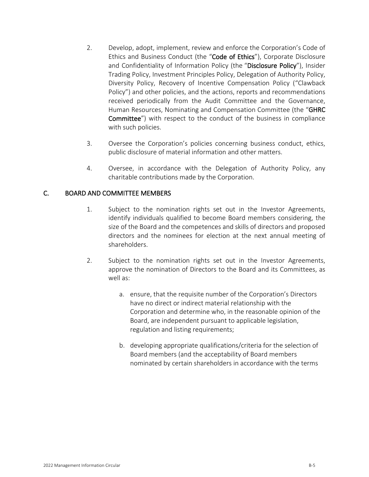- 2. Develop, adopt, implement, review and enforce the Corporation's Code of Ethics and Business Conduct (the "Code of Ethics"), Corporate Disclosure and Confidentiality of Information Policy (the "Disclosure Policy"), Insider Trading Policy, Investment Principles Policy, Delegation of Authority Policy, Diversity Policy, Recovery of Incentive Compensation Policy ("Clawback Policy") and other policies, and the actions, reports and recommendations received periodically from the Audit Committee and the Governance, Human Resources, Nominating and Compensation Committee (the "GHRC Committee") with respect to the conduct of the business in compliance with such policies.
- 3. Oversee the Corporation's policies concerning business conduct, ethics, public disclosure of material information and other matters.
- 4. Oversee, in accordance with the Delegation of Authority Policy, any charitable contributions made by the Corporation.

## C. BOARD AND COMMITTEE MEMBERS

- 1. Subject to the nomination rights set out in the Investor Agreements, identify individuals qualified to become Board members considering, the size of the Board and the competences and skills of directors and proposed directors and the nominees for election at the next annual meeting of shareholders.
- 2. Subject to the nomination rights set out in the Investor Agreements, approve the nomination of Directors to the Board and its Committees, as well as:
	- a. ensure, that the requisite number of the Corporation's Directors have no direct or indirect material relationship with the Corporation and determine who, in the reasonable opinion of the Board, are independent pursuant to applicable legislation, regulation and listing requirements;
	- b. developing appropriate qualifications/criteria for the selection of Board members (and the acceptability of Board members nominated by certain shareholders in accordance with the terms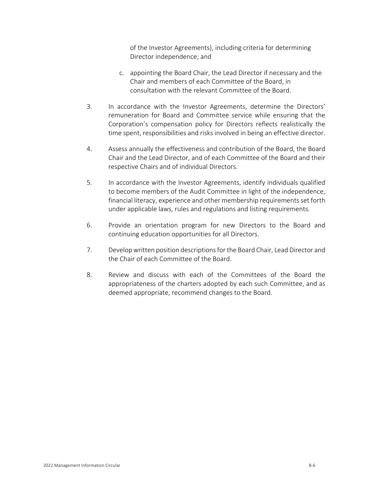of the Investor Agreements), including criteria for determining Director independence; and

- c. appointing the Board Chair, the Lead Director if necessary and the Chair and members of each Committee of the Board, in consultation with the relevant Committee of the Board.
- 3. In accordance with the Investor Agreements, determine the Directors' remuneration for Board and Committee service while ensuring that the Corporation's compensation policy for Directors reflects realistically the time spent, responsibilities and risks involved in being an effective director.
- 4. Assess annually the effectiveness and contribution of the Board, the Board Chair and the Lead Director, and of each Committee of the Board and their respective Chairs and of individual Directors.
- 5. In accordance with the Investor Agreements, identify individuals qualified to become members of the Audit Committee in light of the independence, financial literacy, experience and other membership requirements set forth under applicable laws, rules and regulations and listing requirements.
- 6. Provide an orientation program for new Directors to the Board and continuing education opportunities for all Directors.
- 7. Develop written position descriptions for the Board Chair, Lead Director and the Chair of each Committee of the Board.
- 8. Review and discuss with each of the Committees of the Board the appropriateness of the charters adopted by each such Committee, and as deemed appropriate, recommend changes to the Board.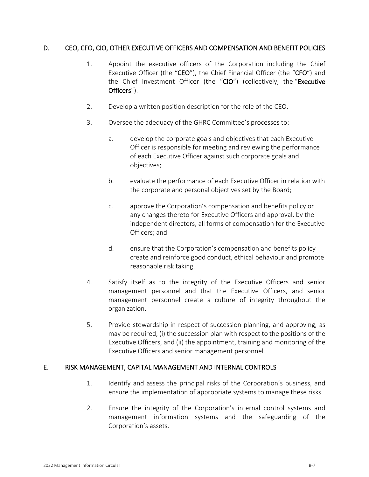## D. CEO, CFO, CIO, OTHER EXECUTIVE OFFICERS AND COMPENSATION AND BENEFIT POLICIES

- 1. Appoint the executive officers of the Corporation including the Chief Executive Officer (the "CEO"), the Chief Financial Officer (the "CFO") and the Chief Investment Officer (the "CIO") (collectively, the "Executive Officers").
- 2. Develop a written position description for the role of the CEO.
- 3. Oversee the adequacy of the GHRC Committee's processes to:
	- a. develop the corporate goals and objectives that each Executive Officer is responsible for meeting and reviewing the performance of each Executive Officer against such corporate goals and objectives;
	- b. evaluate the performance of each Executive Officer in relation with the corporate and personal objectives set by the Board;
	- c. approve the Corporation's compensation and benefits policy or any changes thereto for Executive Officers and approval, by the independent directors, all forms of compensation for the Executive Officers; and
	- d. ensure that the Corporation's compensation and benefits policy create and reinforce good conduct, ethical behaviour and promote reasonable risk taking.
- 4. Satisfy itself as to the integrity of the Executive Officers and senior management personnel and that the Executive Officers, and senior management personnel create a culture of integrity throughout the organization.
- 5. Provide stewardship in respect of succession planning, and approving, as may be required, (i) the succession plan with respect to the positions of the Executive Officers, and (ii) the appointment, training and monitoring of the Executive Officers and senior management personnel.

## E. RISK MANAGEMENT, CAPITAL MANAGEMENT AND INTERNAL CONTROLS

- 1. Identify and assess the principal risks of the Corporation's business, and ensure the implementation of appropriate systems to manage these risks.
- 2. Ensure the integrity of the Corporation's internal control systems and management information systems and the safeguarding of the Corporation's assets.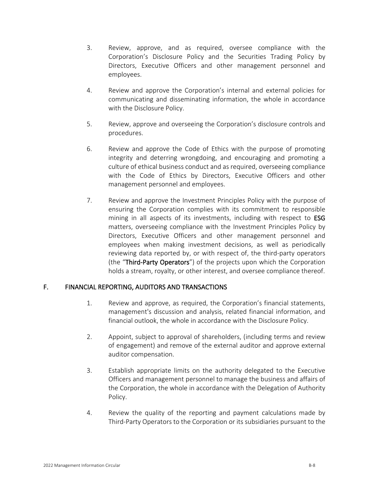- 3. Review, approve, and as required, oversee compliance with the Corporation's Disclosure Policy and the Securities Trading Policy by Directors, Executive Officers and other management personnel and employees.
- 4. Review and approve the Corporation's internal and external policies for communicating and disseminating information, the whole in accordance with the Disclosure Policy.
- 5. Review, approve and overseeing the Corporation's disclosure controls and procedures.
- 6. Review and approve the Code of Ethics with the purpose of promoting integrity and deterring wrongdoing, and encouraging and promoting a culture of ethical business conduct and as required, overseeing compliance with the Code of Ethics by Directors, Executive Officers and other management personnel and employees.
- 7. Review and approve the Investment Principles Policy with the purpose of ensuring the Corporation complies with its commitment to responsible mining in all aspects of its investments, including with respect to ESG matters, overseeing compliance with the Investment Principles Policy by Directors, Executive Officers and other management personnel and employees when making investment decisions, as well as periodically reviewing data reported by, or with respect of, the third-party operators (the "Third-Party Operators") of the projects upon which the Corporation holds a stream, royalty, or other interest, and oversee compliance thereof.

# F. FINANCIAL REPORTING, AUDITORS AND TRANSACTIONS

- 1. Review and approve, as required, the Corporation's financial statements, management's discussion and analysis, related financial information, and financial outlook, the whole in accordance with the Disclosure Policy.
- 2. Appoint, subject to approval of shareholders, (including terms and review of engagement) and remove of the external auditor and approve external auditor compensation.
- 3. Establish appropriate limits on the authority delegated to the Executive Officers and management personnel to manage the business and affairs of the Corporation, the whole in accordance with the Delegation of Authority Policy.
- 4. Review the quality of the reporting and payment calculations made by Third-Party Operators to the Corporation or its subsidiaries pursuant to the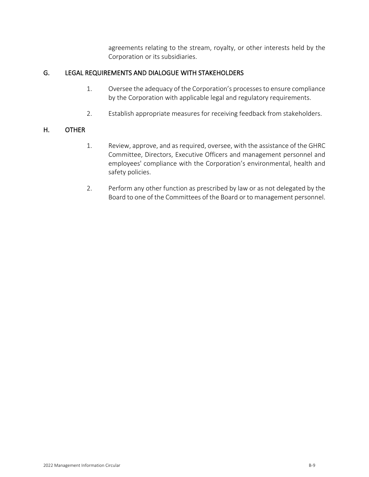agreements relating to the stream, royalty, or other interests held by the Corporation or its subsidiaries.

# G. LEGAL REQUIREMENTS AND DIALOGUE WITH STAKEHOLDERS

- 1. Oversee the adequacy of the Corporation's processes to ensure compliance by the Corporation with applicable legal and regulatory requirements.
- 2. Establish appropriate measures for receiving feedback from stakeholders.

# H. OTHER

- 1. Review, approve, and as required, oversee, with the assistance of the GHRC Committee, Directors, Executive Officers and management personnel and employees' compliance with the Corporation's environmental, health and safety policies.
- 2. Perform any other function as prescribed by law or as not delegated by the Board to one of the Committees of the Board or to management personnel.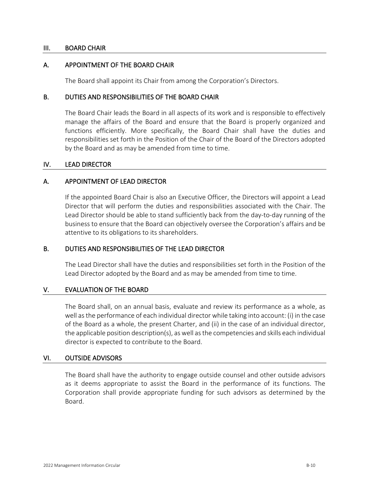## III. BOARD CHAIR

## A. APPOINTMENT OF THE BOARD CHAIR

The Board shall appoint its Chair from among the Corporation's Directors.

## B. DUTIES AND RESPONSIBILITIES OF THE BOARD CHAIR

The Board Chair leads the Board in all aspects of its work and is responsible to effectively manage the affairs of the Board and ensure that the Board is properly organized and functions efficiently. More specifically, the Board Chair shall have the duties and responsibilities set forth in the Position of the Chair of the Board of the Directors adopted by the Board and as may be amended from time to time.

### IV. LEAD DIRECTOR

## A. APPOINTMENT OF LEAD DIRECTOR

If the appointed Board Chair is also an Executive Officer, the Directors will appoint a Lead Director that will perform the duties and responsibilities associated with the Chair. The Lead Director should be able to stand sufficiently back from the day-to-day running of the business to ensure that the Board can objectively oversee the Corporation's affairs and be attentive to its obligations to its shareholders.

## B. DUTIES AND RESPONSIBILITIES OF THE LEAD DIRECTOR

The Lead Director shall have the duties and responsibilities set forth in the Position of the Lead Director adopted by the Board and as may be amended from time to time.

### V. EVALUATION OF THE BOARD

The Board shall, on an annual basis, evaluate and review its performance as a whole, as well as the performance of each individual director while taking into account: (i) in the case of the Board as a whole, the present Charter, and (ii) in the case of an individual director, the applicable position description(s), as well as the competencies and skills each individual director is expected to contribute to the Board.

### VI. OUTSIDE ADVISORS

The Board shall have the authority to engage outside counsel and other outside advisors as it deems appropriate to assist the Board in the performance of its functions. The Corporation shall provide appropriate funding for such advisors as determined by the Board.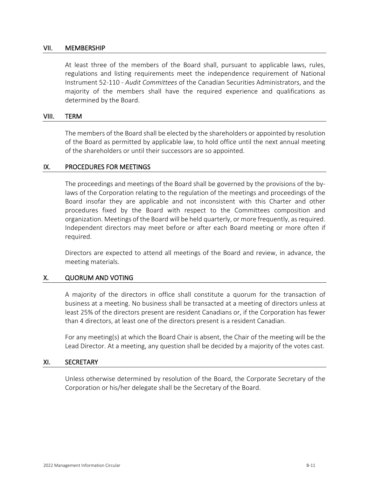### VII. MEMBERSHIP

At least three of the members of the Board shall, pursuant to applicable laws, rules, regulations and listing requirements meet the independence requirement of National Instrument 52-110 - *Audit Committees* of the Canadian Securities Administrators, and the majority of the members shall have the required experience and qualifications as determined by the Board.

### VIII. TERM

The members of the Board shall be elected by the shareholders or appointed by resolution of the Board as permitted by applicable law, to hold office until the next annual meeting of the shareholders or until their successors are so appointed.

### IX. PROCEDURES FOR MEETINGS

The proceedings and meetings of the Board shall be governed by the provisions of the bylaws of the Corporation relating to the regulation of the meetings and proceedings of the Board insofar they are applicable and not inconsistent with this Charter and other procedures fixed by the Board with respect to the Committees composition and organization. Meetings of the Board will be held quarterly, or more frequently, as required. Independent directors may meet before or after each Board meeting or more often if required.

Directors are expected to attend all meetings of the Board and review, in advance, the meeting materials.

### X. QUORUM AND VOTING

A majority of the directors in office shall constitute a quorum for the transaction of business at a meeting. No business shall be transacted at a meeting of directors unless at least 25% of the directors present are resident Canadians or, if the Corporation has fewer than 4 directors, at least one of the directors present is a resident Canadian.

For any meeting(s) at which the Board Chair is absent, the Chair of the meeting will be the Lead Director. At a meeting, any question shall be decided by a majority of the votes cast.

### XI. SECRETARY

Unless otherwise determined by resolution of the Board, the Corporate Secretary of the Corporation or his/her delegate shall be the Secretary of the Board.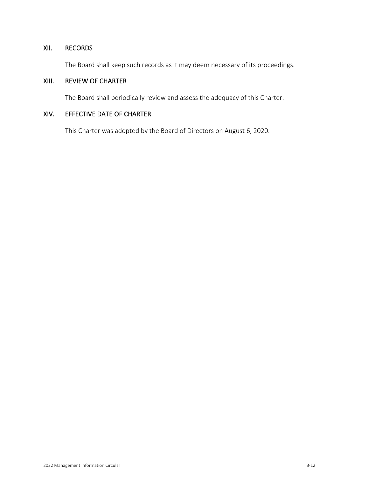# XII. RECORDS

The Board shall keep such records as it may deem necessary of its proceedings.

# XIII. REVIEW OF CHARTER

The Board shall periodically review and assess the adequacy of this Charter.

# XIV. EFFECTIVE DATE OF CHARTER

This Charter was adopted by the Board of Directors on August 6, 2020.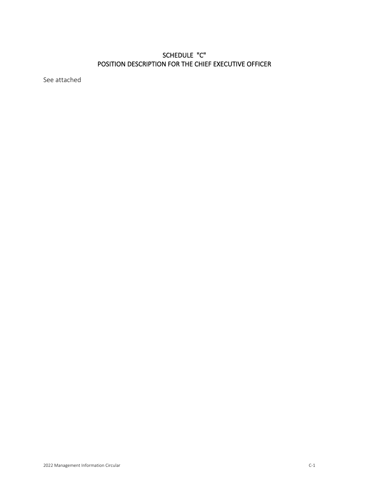# SCHEDULE "C" POSITION DESCRIPTION FOR THE CHIEF EXECUTIVE OFFICER

See attached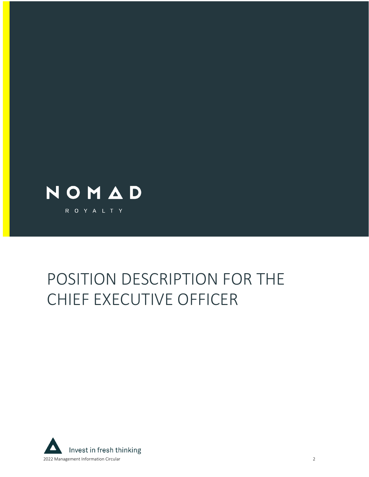

# POSITION DESCRIPTION FOR THE CHIEF EXECUTIVE OFFICER

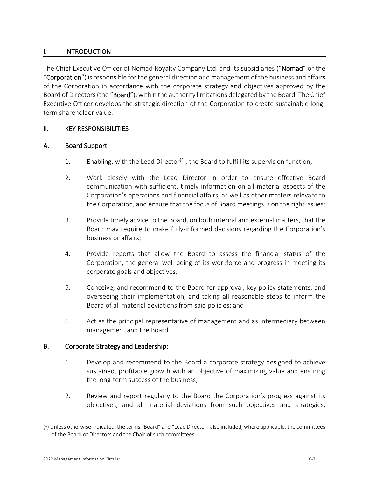# I. INTRODUCTION

The Chief Executive Officer of Nomad Royalty Company Ltd. and its subsidiaries ("**Nomad**" or the "Corporation") is responsible for the general direction and management of the business and affairs of the Corporation in accordance with the corporate strategy and objectives approved by the Board of Directors (the "Board"), within the authority limitations delegated by the Board. The Chief Executive Officer develops the strategic direction of the Corporation to create sustainable longterm shareholder value.

## II. KEY RESPONSIBILITIES

## A. Board Support

- [1](#page-82-0). Enabling, with the Lead Director<sup>(1)</sup>, the Board to fulfill its supervision function;
- 2. Work closely with the Lead Director in order to ensure effective Board communication with sufficient, timely information on all material aspects of the Corporation's operations and financial affairs, as well as other matters relevant to the Corporation, and ensure that the focus of Board meetings is on the right issues;
- 3. Provide timely advice to the Board, on both internal and external matters, that the Board may require to make fully-informed decisions regarding the Corporation's business or affairs;
- 4. Provide reports that allow the Board to assess the financial status of the Corporation, the general well-being of its workforce and progress in meeting its corporate goals and objectives;
- 5. Conceive, and recommend to the Board for approval, key policy statements, and overseeing their implementation, and taking all reasonable steps to inform the Board of all material deviations from said policies; and
- 6. Act as the principal representative of management and as intermediary between management and the Board.

# B. Corporate Strategy and Leadership:

- 1. Develop and recommend to the Board a corporate strategy designed to achieve sustained, profitable growth with an objective of maximizing value and ensuring the long-term success of the business;
- 2. Review and report regularly to the Board the Corporation's progress against its objectives, and all material deviations from such objectives and strategies,

<span id="page-82-0"></span><sup>(</sup> 1 ) Unless otherwise indicated, the terms "Board" and "Lead Director" also included, where applicable, the committees of the Board of Directors and the Chair of such committees.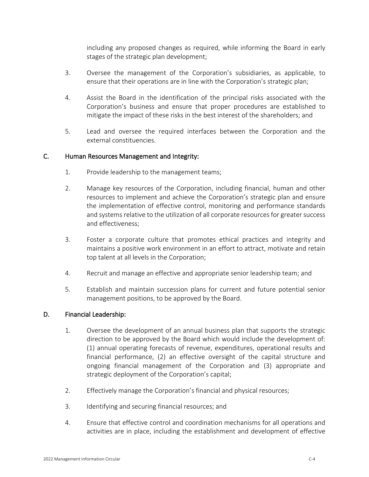including any proposed changes as required, while informing the Board in early stages of the strategic plan development;

- 3. Oversee the management of the Corporation's subsidiaries, as applicable, to ensure that their operations are in line with the Corporation's strategic plan;
- 4. Assist the Board in the identification of the principal risks associated with the Corporation's business and ensure that proper procedures are established to mitigate the impact of these risks in the best interest of the shareholders; and
- 5. Lead and oversee the required interfaces between the Corporation and the external constituencies.

## C. Human Resources Management and Integrity:

- 1. Provide leadership to the management teams;
- 2. Manage key resources of the Corporation, including financial, human and other resources to implement and achieve the Corporation's strategic plan and ensure the implementation of effective control, monitoring and performance standards and systems relative to the utilization of all corporate resources for greater success and effectiveness;
- 3. Foster a corporate culture that promotes ethical practices and integrity and maintains a positive work environment in an effort to attract, motivate and retain top talent at all levels in the Corporation;
- 4. Recruit and manage an effective and appropriate senior leadership team; and
- 5. Establish and maintain succession plans for current and future potential senior management positions, to be approved by the Board.

## D. Financial Leadership:

- 1. Oversee the development of an annual business plan that supports the strategic direction to be approved by the Board which would include the development of: (1) annual operating forecasts of revenue, expenditures, operational results and financial performance, (2) an effective oversight of the capital structure and ongoing financial management of the Corporation and (3) appropriate and strategic deployment of the Corporation's capital;
- 2. Effectively manage the Corporation's financial and physical resources;
- 3. Identifying and securing financial resources; and
- 4. Ensure that effective control and coordination mechanisms for all operations and activities are in place, including the establishment and development of effective